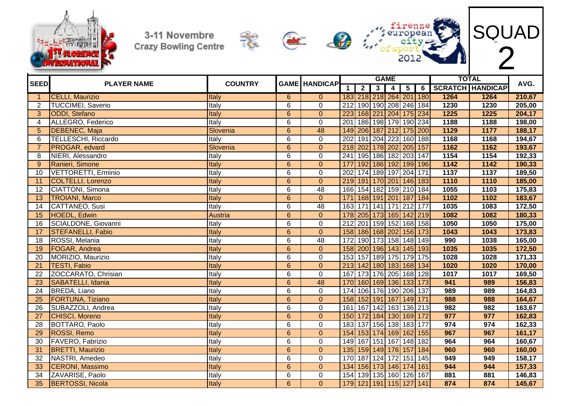



 $\frac{1}{2}$ 







| <b>SEED</b>     | <b>PLAYER NAME</b>         | <b>COUNTRY</b> |                | <b>GAME HANDICAP</b> |                  |                         |                         | <b>GAME</b>     |                         |       |      | <b>TOTAL</b>            | AVG.   |
|-----------------|----------------------------|----------------|----------------|----------------------|------------------|-------------------------|-------------------------|-----------------|-------------------------|-------|------|-------------------------|--------|
|                 |                            |                |                |                      | $\overline{1}$   | $\overline{2}$          | $\overline{\mathbf{3}}$ | $\overline{4}$  | $\overline{\mathbf{5}}$ | 6     |      | <b>SCRATCH HANDICAP</b> |        |
|                 | <b>CELLI, Maurizio</b>     | Italy          | 6              | $\overline{0}$       |                  | 183 218 218 264 201 180 |                         |                 |                         |       | 1264 | 1264                    | 210,67 |
| $\overline{2}$  | <b>TUCCIMEI, Saverio</b>   | Italy          | 6              | $\mathbf 0$          | 212              |                         |                         |                 | 190 190 208 246 184     |       | 1230 | 1230                    | 205,00 |
| 3               | <b>ODDI</b> , Stefano      | Italy          | $\overline{6}$ | $\overline{0}$       | 223              |                         |                         |                 | 168 221 204 175 234     |       | 1225 | $\overline{1225}$       | 204,17 |
| 4               | ALLEGRO, Federico          | Italy          | $\overline{6}$ | $\overline{0}$       | 201              |                         |                         |                 | 186 198 179 190 234     |       | 1188 | 1188                    | 198,00 |
| 5               | <b>DEBENEC, Maja</b>       | Slovenia       | $6\phantom{1}$ | 48                   | 149              |                         |                         |                 | 206 187 212 175 200     |       | 1129 | 1177                    | 188,17 |
| 6               | <b>TELLESCHI, Riccardo</b> | Italy          | 6              | $\mathbf 0$          | $\overline{202}$ |                         |                         |                 | 191 204 223 160 188     |       | 1168 | 1168                    | 194,67 |
|                 | PROGAR, edvard             | Slovenia       | $\overline{6}$ | $\overline{0}$       |                  | 218 202 178 202 205 157 |                         |                 |                         |       | 1162 | 1162                    | 193,67 |
| 8               | NIERI, Alessandro          | Italy          | $\overline{6}$ | $\mathbf 0$          | $\overline{241}$ | 195 186 182 203         |                         |                 |                         | 147   | 1154 | 1154                    | 192,33 |
| 9               | Ranieri, Simone            | Italy          | $\overline{6}$ | $\mathbf{0}$         | 177              |                         |                         |                 | 192 186 192 199         | 196   | 1142 | 1142                    | 190,33 |
| 10              | <b>VETTORETTI, Erminio</b> | Italy          | 6              | 0                    | 202              | 174 189 197 204         |                         |                 |                         | 171   | 1137 | 1137                    | 189,50 |
| 11              | <b>COLTELLI, Lorenzo</b>   | Italy          | $\overline{6}$ | $\overline{0}$       |                  | 219 191 170 201 146 183 |                         |                 |                         |       | 1110 | 1110                    | 185,00 |
| 12              | CIATTONI, Simona           | Italy          | $\overline{6}$ | $\overline{48}$      | 166              |                         |                         |                 | 154 182 159 210 184     |       | 1055 | 1103                    | 175,83 |
| 13              | <b>TROIANI, Marco</b>      | Italy          | $\overline{6}$ | $\overline{0}$       | $\overline{171}$ | 168 191 201 187         |                         |                 |                         | 184   | 1102 | 1102                    | 183,67 |
| 14              | CATTANEO, Susi             | Italy          | 6              | $\overline{48}$      | 163              | 171 141 171 212         |                         |                 |                         | 177   | 1035 | 1083                    | 172,50 |
| 15              | HOEDL, Edwin               | Austria        | $\overline{6}$ | $\overline{0}$       | 178              | 205 173 165 142         |                         |                 |                         | 219   | 1082 | 1082                    | 180,33 |
| 16              | SCIALDONE, Giovanni        | Italy          | 6              | $\mathbf 0$          | 212              |                         |                         |                 | 201 159 152 168 158     |       | 1050 | 1050                    | 175,00 |
| 17              | <b>STEFANELLI, Fabio</b>   | Italy          | $\overline{6}$ | $\overline{0}$       | 158              | 186 168 202 156         |                         |                 |                         | 173   | 1043 | 1043                    | 173,83 |
| 18              | ROSSI, Melania             | Italy          | 6              | 48                   | 172              |                         |                         | 190 173 158 148 |                         | 149   | 990  | 1038                    | 165,00 |
| 19              | FOGAR, Andrea              | Italy          | $\overline{6}$ | $\overline{0}$       | 158              | 200 196 143 145         |                         |                 |                         | 193   | 1035 | 1035                    | 172,50 |
| 20              | MORIZIO, Maurizio          | <b>Italy</b>   | $\overline{6}$ | $\mathbf 0$          | 153              |                         |                         |                 | 157 189 175 179         | 175   | 1028 | 1028                    | 171,33 |
| 21              | <b>TESTI, Fabio</b>        | Italy          | $\overline{6}$ | $\overline{0}$       | 213              | 142 180 183 168         |                         |                 |                         | 134   | 1020 | 1020                    | 170,00 |
| $\overline{22}$ | ZOCCARATO, Chrisian        | Italy          | $\overline{6}$ | $\overline{0}$       | 167              |                         |                         |                 | 173 176 205 168         | 128   | 1017 | 1017                    | 169,50 |
| 23              | SABATELLI, Idania          | Italy          | 6              | 48                   | 170              |                         |                         | 160 169 136 133 |                         | 173   | 941  | 989                     | 156,83 |
| $\overline{24}$ | <b>BREDA, Liano</b>        | Italy          | $\overline{6}$ | $\overline{0}$       | 174              |                         |                         |                 | 106 176 190 206         | 137   | 989  | 989                     | 164,83 |
| 25              | <b>FORTUNA, Tiziano</b>    | Italy          | $\overline{6}$ | $\overline{0}$       |                  | 158 152 191 167 149     |                         |                 |                         | $171$ | 988  | 988                     | 164,67 |
| $\overline{26}$ | SUBAZZOLI, Andrea          | Italy          | $\overline{6}$ | $\mathbf 0$          | 161              |                         |                         |                 | 167 142 163 136 213     |       | 982  | 982                     | 163,67 |
| 27              | <b>CHISCI, Moreno</b>      | Italy          | 6              | $\Omega$             |                  | 150 172 184 130 169 172 |                         |                 |                         |       | 977  | 977                     | 162,83 |
| 28              | <b>BOTTARO, Paolo</b>      | Italy          | $\overline{6}$ | $\overline{0}$       | 183              |                         |                         |                 | 137 156 138 183 177     |       | 974  | 974                     | 162,33 |
| $\overline{29}$ | <b>ROSSI, Remo</b>         | Italy          | $\overline{6}$ | $\overline{0}$       |                  | 154 153 174 169 162     |                         |                 |                         | 155   | 967  | 967                     | 161,17 |
| 30              | FAVERO, Fabrizio           | Italy          | 6              | 0                    | 149              |                         |                         |                 | 167 151 167 148 182     |       | 964  | 964                     | 160,67 |
| 31              | <b>BRETTI, Maurizio</b>    | Italy          | $\overline{6}$ | $\Omega$             |                  | 135 159 149 176 157     |                         |                 |                         | 184   | 960  | 960                     | 160,00 |
| 32              | NASTRI, Amedeo             | Italy          | $\overline{6}$ | $\mathbf 0$          | 170              |                         |                         |                 | 187 124 172 151 145     |       | 949  | 949                     | 158,17 |
| 33              | <b>CERONI</b> , Massimo    | Italy          | $6\phantom{1}$ | $\overline{0}$       |                  | 134 156 173 146 174     |                         |                 |                         | 161   | 944  | 944                     | 157,33 |
| 34              | ZAVARISE, Paolo            | Italy          | 6              | $\pmb{0}$            | 154              |                         |                         |                 | 139 135 160 126 167     |       | 881  | 881                     | 146,83 |
| 35              | <b>BERTOSSI, Nicola</b>    | Italy          | $6\phantom{1}$ | $\overline{0}$       |                  | 179 121 191 115 127 141 |                         |                 |                         |       | 874  | 874                     | 145,67 |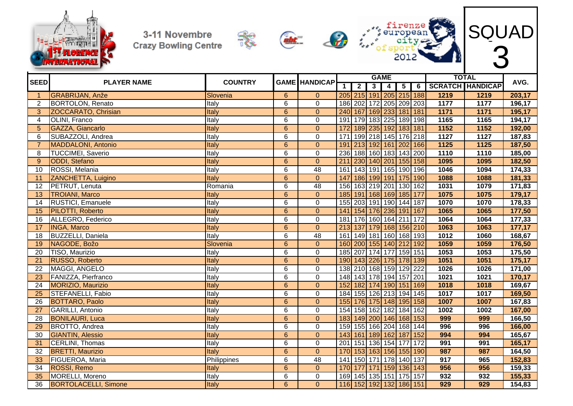









| <b>SEED</b>     | <b>PLAYER NAME</b>          | <b>COUNTRY</b> |                | <b>GAME HANDICAP</b> |                  |                             |                | <b>GAME</b>             |                 |               |                  | <b>TOTAL</b>            | AVG.   |
|-----------------|-----------------------------|----------------|----------------|----------------------|------------------|-----------------------------|----------------|-------------------------|-----------------|---------------|------------------|-------------------------|--------|
|                 |                             |                |                |                      | $\mathbf 1$      | $\overline{2}$              | 3 <sup>1</sup> | $\overline{\mathbf{4}}$ | 5 <sup>1</sup>  | 6             |                  | <b>SCRATCH HANDICAP</b> |        |
|                 | <b>GRABRIJAN, Anže</b>      | Slovenia       | $\overline{6}$ | $\mathbf{0}$         |                  | 205 215 191 205 215 188     |                |                         |                 |               | 1219             | 1219                    | 203,17 |
| $\overline{2}$  | <b>BORTOLON, Renato</b>     | Italy          | 6              | $\mathbf{0}$         |                  | 186 202 172 205 209 203     |                |                         |                 |               | 1177             | 1177                    | 196,17 |
| 3 <sup>1</sup>  | ZOCCARATO, Chrisian         | Italy          | $6\phantom{a}$ | $\overline{0}$       |                  | 240 167 169 233 181 181     |                |                         |                 |               | 1171             | 1171                    | 195,17 |
| 4               | <b>OLINI, Franco</b>        | Italy          | $\overline{6}$ | $\overline{0}$       | 191              | 179 183 225 189 198         |                |                         |                 |               | 1165             | 1165                    | 194,17 |
| 5               | GAZZA, Giancarlo            | Italy          | $\overline{6}$ | $\overline{0}$       | 172              | 189 235 192 183 181         |                |                         |                 |               | 1152             | 1152                    | 192,00 |
| 6               | SUBAZZOLI, Andrea           | Italy          | 6              | 0                    | 171              | 199 218 145 176 218         |                |                         |                 |               | 1127             | 1127                    | 187,83 |
| $\overline{7}$  | <b>MADDALONI, Antonio</b>   | Italy          | $\overline{6}$ | $\overline{0}$       | 191              | 213 192 161 202 166         |                |                         |                 |               | 1125             | 1125                    | 187,50 |
| 8               | <b>TUCCIMEI, Saverio</b>    | Italy          | 6              | $\mathbf 0$          | 236              | 188 160 183 143 200         |                |                         |                 |               | 1110             | 1110                    | 185,00 |
| 9               | ODDI, Stefano               | Italy          | $6\phantom{1}$ | $\overline{0}$       | $\overline{211}$ | 230 140 201                 |                |                         | 155 158         |               | 1095             | 1095                    | 182,50 |
| 10              | ROSSI, Melania              | Italy          | 6              | 48                   | 161              | 143 191 165 190 196         |                |                         |                 |               | 1046             | 1094                    | 174,33 |
| 11              | ZANCHETTA, Luigino          | Italy          | $\overline{6}$ | $\overline{0}$       | 147              | 186 199 191                 |                |                         | 175 190         |               | 1088             | 1088                    | 181,33 |
| 12              | PETRUT, Lenuta              | Romania        | 6              | 48                   | 156              | 163 219 201                 |                |                         | 130 162         |               | 1031             | 1079                    | 171,83 |
| 13              | <b>TROIANI, Marco</b>       | Italy          | $6\phantom{1}$ | $\overline{0}$       | 185              | 191 168 169                 |                |                         | 185 177         |               | 1075             | 1075                    | 179,17 |
| 14              | <b>RUSTICI, Emanuele</b>    | Italy          | $\overline{6}$ | $\mathbf 0$          | 155              | 203 191 190 144             |                |                         |                 | 187           | 1070             | 1070                    | 178,33 |
| 15              | PILOTTI, Roberto            | Italy          | $\overline{6}$ | $\mathbf{0}$         | 141              | 154 176 236                 |                |                         | 191             | 167           | 1065             | 1065                    | 177,50 |
| 16              | ALLEGRO, Federico           | Italy          | $\overline{6}$ | $\mathbf 0$          | 181              | 176 160 164 211             |                |                         |                 | 172           | 1064             | 1064                    | 177,33 |
| 17              | <b>INGA, Marco</b>          | Italy          | $\overline{6}$ | $\overline{0}$       | 213              | 137                         |                |                         | 179 168 156 210 |               | 1063             | 1063                    | 177,17 |
| 18              | <b>BUZZELLI, Daniela</b>    | Italy          | 6              | 48                   | 161              | 149                         |                |                         | 181 160 168 193 |               | 1012             | 1060                    | 168,67 |
| 19              | NAGODE, Božo                | Slovenia       | $\overline{6}$ | $\pmb{0}$            | 160              | 200 155 140 212             |                |                         |                 | 192           | 1059             | 1059                    | 176,50 |
| 20              | TISO, Maurizio              | Italy          | 6              | $\mathbf 0$          | 185              | 207 174 177                 |                |                         | 159 151         |               | 1053             | 1053                    | 175,50 |
| 21              | RUSSO, Roberto              | Italy          | $6\phantom{a}$ | $\pmb{0}$            | 190              | 143 226 175                 |                |                         | 178 139         |               | 1051             | 1051                    | 175,17 |
| 22              | MAGGI, ANGELO               | Italy          | 6              | $\mathbf 0$          | 138              | 210 168 159 129 222         |                |                         |                 |               | 1026             | 1026                    | 171,00 |
| 23              | FANIZZA, Pierfranco         | Italy          | 6              | $\mathbf 0$          |                  | 148 143 178 194 157 201     |                |                         |                 |               | 1021             | 1021                    | 170,17 |
| 24              | MORIZIO, Maurizio           | Italy          | $\overline{6}$ | $\overline{0}$       | 152              | 182 174 190 151 169         |                |                         |                 |               | 1018             | 1018                    | 169,67 |
| 25              | <b>STEFANELLI, Fabio</b>    | Italy          | $\overline{6}$ | $\pmb{0}$            | 184              | 155 126 213 194 145         |                |                         |                 |               | 1017             | 1017                    | 169,50 |
| 26              | <b>BOTTARO, Paolo</b>       | Italy          | $\overline{6}$ | $\mathbf{0}$         |                  | 155 176 175 148 195 158     |                |                         |                 |               | 1007             | 1007                    | 167,83 |
| 27              | GARILLI, Antonio            | Italy          | 6              | 0                    |                  | 154 158 162 182 184 162     |                |                         |                 |               | 1002             | 1002                    | 167,00 |
| 28              | <b>BONILAURI, Luca</b>      | <b>Italy</b>   | $\overline{6}$ | $\overline{0}$       |                  | 183 149 200 146             |                |                         | 168 153         |               | 999              | 999                     | 166,50 |
| 29              | BROTTO, Andrea              | Italy          | 6              | $\mathbf 0$          |                  | 159 155 166 204             |                |                         | 168 144         |               | 996              | 996                     | 166,00 |
| 30              | <b>GIANTIN, Alessio</b>     | Italy          | $6\phantom{1}$ | $\mathbf{0}$         | 143              | 161   189   162             |                |                         | 187             | $\boxed{152}$ | 994              | 994                     | 165,67 |
| 31              | <b>CERLINI, Thomas</b>      | Italy          | $\overline{6}$ | $\overline{0}$       | 201              | 151 136 154                 |                |                         | 177             | 172           | 991              | 991                     | 165,17 |
| 32              | <b>BRETTI, Maurizio</b>     | <b>Italy</b>   | $6\phantom{1}$ | $\mathbf{0}$         | 170              | 153   163   156   155   190 |                |                         |                 |               | 987              | 987                     | 164,50 |
| 33              | FIGUEROA, Maria             | Philippines    | 6              | 48                   | 141              | 150 171 178 140 137         |                |                         |                 |               | $\overline{917}$ | 965                     | 152,83 |
| $\overline{34}$ | ROSSI, Remo                 | Italy          | $\overline{6}$ | $\mathbf{0}$         | 170              | 177                         |                |                         | 171 159 136 143 |               | 956              | 956                     | 159,33 |
| 35              | MORELLI, Moreno             | Italy          | 6              | $\pmb{0}$            | 169              | 145 135 151                 |                |                         | 175 157         |               | 932              | 932                     | 155,33 |
| 36              | <b>BORTOLACELLI, Simone</b> | Italy          | $\overline{6}$ | $\Omega$             |                  | 116 152 192 132 186 151     |                |                         |                 |               | 929              | 929                     | 154,83 |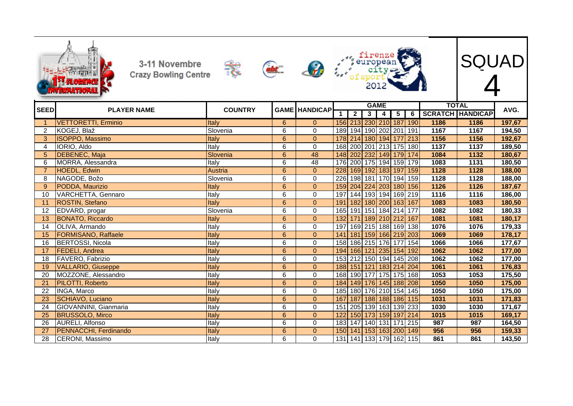|                 | 3-11 Novembre<br><b>Crazy Bowling Centre</b><br><b>MERRIMO</b> |                | abt.           | $\mathcal{L}$        |                  |                  |                         |                     |                |                |      | SQUAD                                   |        |
|-----------------|----------------------------------------------------------------|----------------|----------------|----------------------|------------------|------------------|-------------------------|---------------------|----------------|----------------|------|-----------------------------------------|--------|
| <b>SEED</b>     | <b>PLAYER NAME</b>                                             | <b>COUNTRY</b> |                | <b>GAME HANDICAP</b> | 1                | $\boldsymbol{2}$ | $\overline{\mathbf{3}}$ | <b>GAME</b><br>4    | $\overline{5}$ | $\overline{6}$ |      | <b>TOTAL</b><br><b>SCRATCH HANDICAP</b> | AVG.   |
|                 | <b>VETTORETTI, Erminio</b>                                     | <b>Italy</b>   | 6              | $\Omega$             |                  |                  |                         | 156 213 230 210     | 187            | 190            | 1186 | 1186                                    | 197,67 |
| 2               | KOGEJ, Blaž                                                    | Slovenia       | 6              | $\Omega$             | 189 <sup>1</sup> |                  |                         | 194 190 202 201 191 |                |                | 1167 | 1167                                    | 194,50 |
| 3               | <b>ISOPPO, Massimo</b>                                         | Italy          | $\overline{6}$ | $\mathbf{0}$         |                  |                  |                         | 178 214 180 194 177 |                | 213            | 1156 | 1156                                    | 192,67 |
| $\overline{4}$  | IORIO, Aldo                                                    | Italy          | 6              | $\mathbf 0$          |                  | 168 200          |                         | 201 213 175 180     |                |                | 1137 | 1137                                    | 189,50 |
| 5 <sup>5</sup>  | <b>DEBENEC, Maja</b>                                           | Slovenia       | 6              | 48                   | 148              | 202              |                         | 232 149 179         |                | 174            | 1084 | 1132                                    | 180,67 |
| 6               | MORRA, Alessandra                                              | Italy          | 6              | 48                   |                  |                  |                         | 176 200 175 194     | 159            | 179            | 1083 | 1131                                    | 180,50 |
| $\overline{7}$  | HOEDL, Edwin                                                   | Austria        | $6\phantom{a}$ | $\Omega$             | 228              |                  |                         | 169 192 183 197     |                | 159            | 1128 | 1128                                    | 188,00 |
| 8               | NAGODE, Božo                                                   | Slovenia       | 6              | $\mathbf 0$          | 226              |                  |                         | 198 181 170 194     |                | 159            | 1128 | 1128                                    | 188,00 |
| 9               | PODDA, Maurizio                                                | Italy          | 6              | $\Omega$             | 159              |                  |                         | 204 224 203 180 156 |                |                | 1126 | 1126                                    | 187,67 |
| 10              | VARCHETTA, Gennaro                                             | Italy          | 6              | $\overline{0}$       | 197              |                  |                         | 144 193 194 169     |                | 219            | 1116 | 1116                                    | 186,00 |
| 11              | <b>ROSTIN, Stefano</b>                                         | Italy          | 6              | $\overline{0}$       | 191              |                  |                         | 182 180 200 163 167 |                |                | 1083 | 1083                                    | 180,50 |
| 12              | EDVARD, progar                                                 | Slovenia       | 6              | 0                    | 165              | 191              | $151$                   |                     | 184 214        | 177            | 1082 | 1082                                    | 180,33 |
| 13              | <b>BONATO, Riccardo</b>                                        | Italy          | $6\phantom{a}$ | $\Omega$             | 132              | $\overline{171}$ |                         | 189 210 212         |                | 167            | 1081 | 1081                                    | 180,17 |
| 14              | OLIVA, Armando                                                 | Italy          | 6              | $\Omega$             | 197              |                  |                         | 169 215 188 169 138 |                |                | 1076 | 1076                                    | 179,33 |
| $\overline{15}$ | <b>FORMISANO, Raffaele</b>                                     | Italy          | 6              | $\overline{0}$       | 141              | 181              |                         | 159 166 219         |                | 203            | 1069 | 1069                                    | 178,17 |
| 16              | <b>BERTOSSI, Nicola</b>                                        | Italy          | 6              | 0                    | 158              |                  |                         | 186 215 176         | 177            | 154            | 1066 | 1066                                    | 177,67 |
| 17              | <b>FEDELI</b> , Andrea                                         | Italy          | $6\phantom{1}$ | $\mathbf{0}$         | 194              |                  |                         | 166 121 235         | 154            | 192            | 1062 | 1062                                    | 177,00 |
| 18              | FAVERO, Fabrizio                                               | Italy          | 6              | 0                    | 153              |                  |                         | 212 150 194         | 145            | 208            | 1062 | 1062                                    | 177,00 |
| 19              | <b>VALLARIO, Giuseppe</b>                                      | Italy          | $\overline{6}$ | $\Omega$             | 188              | 151              |                         | 121 183             | 214            | 204            | 1061 | 1061                                    | 176,83 |
| 20              | MOZZONE, Alessandro                                            | Italy          | 6              | $\Omega$             | 168              |                  |                         | 190 177 175 175     |                | 168            | 1053 | 1053                                    | 175,50 |
| 21              | PILOTTI, Roberto                                               | Italy          | $\overline{6}$ | $\overline{0}$       | 184              |                  |                         | 149 176 145 188     |                | 208            | 1050 | 1050                                    | 175,00 |
| 22              | <b>INGA, Marco</b>                                             | Italy          | $\overline{6}$ | $\mathbf 0$          | 185              |                  |                         | 180 176 210 154     |                | 145            | 1050 | 1050                                    | 175,00 |
| 23              | <b>SCHIAVO, Luciano</b>                                        | Italy          | $6\phantom{a}$ | $\Omega$             | 167              | 187              |                         | 188 188 186         |                | 115            | 1031 | 1031                                    | 171,83 |
| 24              | GIOVANNINI, Gianmaria                                          | Italy          | 6              | $\mathbf 0$          | 151              |                  |                         | 205 139 163 139     |                | 233            | 1030 | 1030                                    | 171,67 |
| 25              | <b>BRUSSOLO, Mirco</b>                                         | Italy          | $6\phantom{a}$ | $\Omega$             | 122              |                  |                         | 150 173 159 197     |                | 214            | 1015 | 1015                                    | 169,17 |
| $\overline{26}$ | <b>AURELI, Alfonso</b>                                         | Italy          | 6              | $\mathbf 0$          | 183              | 147              |                         | 140 131 171         |                | 215            | 987  | 987                                     | 164,50 |
| 27              | PENNACCHI, Ferdinando                                          | Italy          | $6\phantom{1}$ | $\Omega$             | 150 <sup>1</sup> | 141              |                         | 153 163 200 149     |                |                | 956  | 956                                     | 159,33 |
| 28              | CERONI, Massimo                                                | Italy          | 6              | $\Omega$             |                  | 131 141          |                         | 133 179 162         |                | 115            | 861  | 861                                     | 143,50 |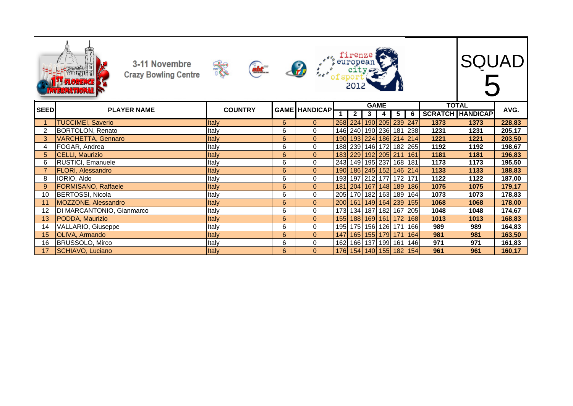|                | 3-11 Novembre<br><b>Crazy Bowling Centre</b> | abt.           |   |                      |            |                |                |             |                         |       |              | <b>SQUAD</b>            |        |
|----------------|----------------------------------------------|----------------|---|----------------------|------------|----------------|----------------|-------------|-------------------------|-------|--------------|-------------------------|--------|
| <b>SEED</b>    | <b>PLAYER NAME</b>                           | <b>COUNTRY</b> |   | <b>GAME HANDICAP</b> |            |                |                | <b>GAME</b> |                         |       | <b>TOTAL</b> |                         | AVG.   |
|                |                                              |                |   |                      | 1          | $\overline{2}$ | 3 <sup>1</sup> | 4           | $5\overline{)}$         | 6     |              | <b>SCRATCH HANDICAP</b> |        |
|                | <b>TUCCIMEI, Saverio</b>                     | Italy          | 6 | $\Omega$             |            |                |                |             | 268 224 190 205 239     | 247   | 1373         | 1373                    | 228,83 |
| $\overline{2}$ | <b>BORTOLON, Renato</b>                      | Italy          | 6 | $\Omega$             |            |                |                |             | 146 240 190 236 181     | 238   | 1231         | 1231                    | 205,17 |
| 3              | <b>VARCHETTA, Gennaro</b>                    | Italy          | 6 | $\Omega$             | <b>190</b> |                |                |             | 193 224 186 214 214     |       | 1221         | 1221                    | 203,50 |
| 4              | FOGAR, Andrea                                | Italy          | 6 | 0                    |            |                |                |             | 188 239 146 172 182 265 |       | 1192         | 1192                    | 198,67 |
| 5              | <b>CELLI, Maurizio</b>                       | Italy          | 6 | $\mathbf{0}$         |            |                |                |             | 183 229 192 205 211     | 161   | 1181         | 1181                    | 196,83 |
| 6              | <b>RUSTICI, Emanuele</b>                     | Italy          | 6 | $\mathbf 0$          |            |                |                |             | 243 149 195 237 168 181 |       | 1173         | 1173                    | 195,50 |
| $\overline{7}$ | <b>FLORI, Alessandro</b>                     | Italy          | 6 | $\mathbf{0}$         | 190        |                |                |             | 186 245 152 146         | $214$ | 1133         | 1133                    | 188,83 |
| 8              | IORIO, Aldo                                  | Italy          | 6 | 0                    |            |                |                |             | 193 197 212 177 172     | 171   | 1122         | 1122                    | 187,00 |
| 9              | <b>FORMISANO, Raffaele</b>                   | Italy          | 6 | $\mathbf{0}$         |            |                |                |             | 181 204 167 148 189     | 186   | 1075         | 1075                    | 179,17 |
| 10             | <b>BERTOSSI, Nicola</b>                      | Italy          | 6 | $\Omega$             |            |                |                |             | 205 170 182 163 189     | 164   | 1073         | 1073                    | 178,83 |
| 11             | MOZZONE, Alessandro                          | Italy          | 6 | $\mathbf{0}$         | 200        |                |                |             | 161 149 164 239         | 155   | 1068         | 1068                    | 178,00 |
| 12             | DI MARCANTONIO, Gianmarco                    | Italy          | 6 | 0                    |            |                |                |             | 173 134 187 182 167     | 205   | 1048         | 1048                    | 174,67 |
| 13             | PODDA, Maurizio                              | Italy          | 6 | $\mathbf{0}$         | 155        |                |                |             | 188 169 161 172         | 168   | 1013         | 1013                    | 168,83 |
| 14             | VALLARIO, Giuseppe                           | Italy          | 6 | $\mathbf 0$          | 195        |                |                |             | 175 156 126 171         | 166   | 989          | 989                     | 164,83 |
| 15             | <b>OLIVA, Armando</b>                        | <b>Italy</b>   | 6 | $\Omega$             |            |                |                |             | 147 165 155 179 171 164 |       | 981          | 981                     | 163,50 |
| 16             | BRUSSOLO, Mirco                              | Italy          | 6 | $\mathbf 0$          |            |                |                |             | 162 166 137 199 161     | 146   | 971          | 971                     | 161,83 |
| 17             | SCHIAVO, Luciano                             | Italy          | 6 | $\Omega$             |            |                |                |             | 176 154 140 155 182 154 |       | 961          | 961                     | 160,17 |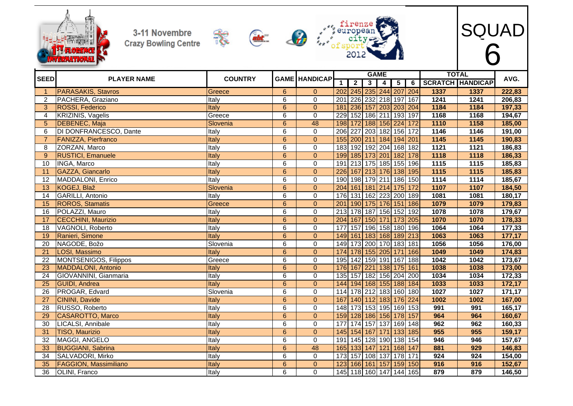





SQUAD

6

|                 |                              |                |                |                      |                  |                  |   | <b>GAME</b>             |                         |                 |                   | <b>TOTAL</b>            |        |
|-----------------|------------------------------|----------------|----------------|----------------------|------------------|------------------|---|-------------------------|-------------------------|-----------------|-------------------|-------------------------|--------|
| <b>SEED</b>     | <b>PLAYER NAME</b>           | <b>COUNTRY</b> |                | <b>GAME HANDICAP</b> | 1                | $\overline{2}$   | 3 | 4                       | $\overline{\mathbf{5}}$ | 6               |                   | <b>SCRATCH HANDICAP</b> | AVG.   |
|                 | <b>PARASAKIS, Stavros</b>    | Greece         | 6              | $\overline{0}$       |                  |                  |   | 202 245 235 244 207     |                         | 204             | 1337              | 1337                    | 222,83 |
| $\overline{2}$  | PACHERA, Graziano            | Italy          | $\overline{6}$ | $\overline{0}$       | $\overline{201}$ |                  |   | 226 232 218 197         |                         | 167             | 1241              | 1241                    | 206,83 |
| 3               | <b>ROSSI, Federico</b>       | Italy          | $6\phantom{1}$ | $\overline{0}$       | 181              |                  |   | 236 157 203 203         |                         | 204             | 1184              | 1184                    | 197,33 |
| 4               | <b>KRIZINIS, Vagelis</b>     | Greece         | 6              | $\overline{0}$       | 229              |                  |   | 152 186 211 193         |                         | 197             | 1168              | 1168                    | 194,67 |
| 5               | <b>DEBENEC, Maja</b>         | Slovenia       | $6\phantom{1}$ | 48                   | 198              |                  |   | 172 188 156 224         |                         | 172             | 1110              | 1158                    | 185,00 |
| 6               | DI DONFRANCESCO, Dante       | Italy          | 6              | 0                    | 206              | $\overline{227}$ |   | 203 182 156             |                         | 172             | 1146              | 1146                    | 191,00 |
|                 | FANIZZA, Pierfranco          | Italy          | 6              | $\pmb{0}$            |                  |                  |   | 155 200 211 184 194     |                         | 201             | 1145              | 1145                    | 190,83 |
| 8               | ZORZAN, Marco                | Italy          | 6              | $\mathbf 0$          | 183              |                  |   | 192 192 204 168 182     |                         |                 | $\overline{1121}$ | 1121                    | 186,83 |
| $\mathbf{Q}$    | <b>RUSTICI, Emanuele</b>     | Italy          | $6\phantom{1}$ | $\mathbf 0$          | 199              |                  |   | 185 173 201 182         |                         | 178             | 1118              | 1118                    | 186,33 |
| 10              | <b>INGA, Marco</b>           | Italy          | $\overline{6}$ | $\overline{0}$       | 191              |                  |   | 213 175 185 155 196     |                         |                 | 1115              | 1115                    | 185,83 |
| 11              | GAZZA, Giancarlo             | Italy          | $\overline{6}$ | $\mathbf 0$          | 226              |                  |   | 167 213 176 138 195     |                         |                 | 1115              | 1115                    | 185,83 |
| 12              | MADDALONI, Enrico            | Italy          | 6              | $\pmb{0}$            | 190              |                  |   | 198 179 211 186 150     |                         |                 | 1114              | 1114                    | 185,67 |
| 13              | KOGEJ, Blaž                  | Slovenia       | $6\phantom{1}$ | $\mathbf{0}$         |                  |                  |   | 204 161 181 214 175     |                         | $\frac{172}{2}$ | 1107              | 1107                    | 184,50 |
| 14              | <b>GARILLI, Antonio</b>      | Italy          | 6              | $\mathbf 0$          | 176              |                  |   | 131 162 223 200 189     |                         |                 | 1081              | 1081                    | 180,17 |
| 15              | <b>ROROS, Stamatis</b>       | Greece         | 6              | $\Omega$             | 201              |                  |   | 190 175 176 151         |                         | 186             | 1079              | 1079                    | 179,83 |
| 16              | POLAZZI, Mauro               | Italy          | 6              | $\mathbf 0$          | 213              |                  |   | 178 187 156 152         |                         | 192             | 1078              | 1078                    | 179,67 |
| 17              | <b>CECCHINI, Maurizio</b>    | Italy          | $\overline{6}$ | $\mathbf 0$          |                  |                  |   | 204 167 150 171 173 205 |                         |                 | 1070              | 1070                    | 178,33 |
| 18              | VAGNOLI, Roberto             | Italy          | 6              | $\overline{0}$       | 177              |                  |   | 157 196 158 180 196     |                         |                 | 1064              | 1064                    | 177,33 |
| 19              | Ranieri, Simone              | Italy          | 6              | $\pmb{0}$            |                  |                  |   | 149 161 183 168 189 213 |                         |                 | 1063              | 1063                    | 177,17 |
| 20              | NAGODE, Božo                 | Slovenia       | 6              | $\mathbf 0$          | 149              |                  |   | 173 200 170 183 181     |                         |                 | 1056              | 1056                    | 176,00 |
| 21              | LOSI, Massimo                | Italy          | 6              | $\mathbf 0$          |                  |                  |   | 174 178 155 205 171 166 |                         |                 | 1049              | 1049                    | 174,83 |
| 22              | <b>MONTSENIGOS, Filippos</b> | Greece         | 6              | $\mathbf 0$          | 195              |                  |   | 142 159 191 167         |                         | 188             | 1042              | 1042                    | 173,67 |
| $\overline{23}$ | <b>MADDALONI, Antonio</b>    | Italy          | $\overline{6}$ | $\overline{0}$       | 176              |                  |   | 167 221 138 175         |                         | 161             | 1038              | 1038                    | 173,00 |
| 24              | GIOVANNINI, Gianmaria        | Italy          | 6              | $\pmb{0}$            | 135              |                  |   | 157 182 156 204         |                         | 200             | 1034              | 1034                    | 172,33 |
| 25              | <b>GUIDI</b> , Andrea        | Italy          | $6\phantom{1}$ | $\mathbf{0}$         | 144              |                  |   | 194 168 155 188         |                         | 184             | 1033              | 1033                    | 172,17 |
| 26              | PROGAR, Edvard               | Slovenia       | $\overline{6}$ | $\overline{0}$       | 114              |                  |   | 178 212 183 160 180     |                         |                 | 1027              | 1027                    | 171,17 |
| 27              | CININI, Davide               | Italy          | 6              | $\pmb{0}$            | 167              |                  |   | 140 112 183 176         |                         | 224             | 1002              | 1002                    | 167,00 |
| 28              | RUSSO, Roberto               | Italy          | 6              | $\mathbf 0$          | 148              |                  |   | 173 153 195 169 153     |                         |                 | 991               | 991                     | 165,17 |
| 29              | <b>CASAROTTO, Marco</b>      | Italy          | $6\phantom{a}$ | $\mathbf 0$          | 159              |                  |   | 128 186 156 178         |                         | 157             | 964               | 964                     | 160,67 |
| 30              | LICALSI, Annibale            | Italy          | $\overline{6}$ | $\overline{0}$       | 177              |                  |   | 174 157 137 169 148     |                         |                 | 962               | 962                     | 160,33 |
| 31              | <b>TISO, Maurizio</b>        | Italy          | $\overline{6}$ | $\overline{0}$       | $\boxed{145}$    |                  |   | 154 167 171 133         |                         | 185             | 955               | 955                     | 159,17 |
| 32              | MAGGI, ANGELO                | Italy          | 6              | $\mathbf 0$          | 191              |                  |   | 145 128 190             |                         | 138 154         | 946               | 946                     | 157,67 |
| 33              | <b>BUGGIANI, Sabrina</b>     | Italy          | $6\phantom{1}$ | 48                   | 165              |                  |   | 133 147 121 168 147     |                         |                 | 881               | 929                     | 146,83 |
| 34              | SALVADORI, Mirko             | Italy          | $\overline{6}$ | $\overline{0}$       | 173              |                  |   | 157 108 137 178 171     |                         |                 | 924               | 924                     | 154,00 |
| 35              | <b>FAGGION, Massimiliano</b> | Italy          | $6\phantom{1}$ | $\Omega$             | 123              |                  |   | 166 161 157 159 150     |                         |                 | 916               | 916                     | 152,67 |
| 36              | OLINI, Franco                | Italy          | 6              | $\mathbf 0$          |                  |                  |   | 145 118 160 147 144 165 |                         |                 | 879               | 879                     | 146,50 |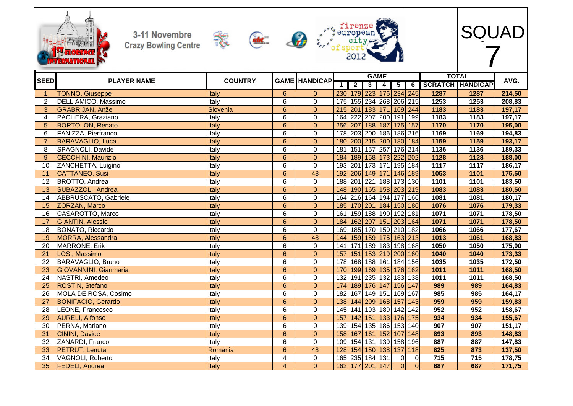





SQUAD

|                |                              |                |                |                      |                   |                | <b>GAME</b>             |                         |                  |                |      | <b>TOTAL</b>            |        |
|----------------|------------------------------|----------------|----------------|----------------------|-------------------|----------------|-------------------------|-------------------------|------------------|----------------|------|-------------------------|--------|
| <b>SEED</b>    | <b>PLAYER NAME</b>           | <b>COUNTRY</b> |                | <b>GAME HANDICAP</b> | $\mathbf 1$       | $\overline{2}$ | 3 <sup>1</sup>          | $\overline{\mathbf{4}}$ | $\overline{5}$   | 6              |      | <b>SCRATCH HANDICAP</b> | AVG.   |
| $\overline{1}$ | <b>TONNO, Giuseppe</b>       | Italy          | $6\phantom{1}$ | $\mathbf{0}$         |                   |                | 230 179 223 176 234 245 |                         |                  |                | 1287 | 1287                    | 214,50 |
| 2              | DELL AMICO, Massimo          | Italy          | 6              | $\mathbf 0$          | 175               |                | 155 234 268 206 215     |                         |                  |                | 1253 | 1253                    | 208,83 |
| 3              | GRABRIJAN, Anže              | Slovenia       | $\overline{6}$ | $\mathbf{0}$         |                   |                | 215 201 183 171 169 244 |                         |                  |                | 1183 | 1183                    | 197,17 |
| 4              | PACHERA, Graziano            | Italy          | 6              | $\mathbf 0$          | 164               |                | 222 207 200 191 199     |                         |                  |                | 1183 | 1183                    | 197,17 |
| 5              | <b>BORTOLON, Renato</b>      | Italy          | $6\phantom{1}$ | $\mathbf{0}$         |                   |                | 256 207 188 187 175 157 |                         |                  |                | 1170 | 1170                    | 195,00 |
| 6              | FANIZZA, Pierfranco          | Italy          | 6              | $\mathbf 0$          | 178               |                | 203 200 186 186 216     |                         |                  |                | 1169 | 1169                    | 194,83 |
| $\overline{7}$ | <b>BARAVAGLIO, Luca</b>      | Italy          | $6\phantom{1}$ | $\mathbf{0}$         | 180               |                | 200 215 200 180 184     |                         |                  |                | 1159 | 1159                    | 193,17 |
| 8              | SPAGNOLI, Davide             | Italy          | 6              | $\mathbf 0$          | 181               |                | 151 157 257             |                         | 176 214          |                | 1136 | 1136                    | 189,33 |
| -9             | <b>CECCHINI, Maurizio</b>    | Italy          | $6\phantom{1}$ | $\Omega$             | 184               |                | 189 158 173 222         |                         |                  | 202            | 1128 | 1128                    | 188,00 |
| 10             | ZANCHETTA, Luigino           | Italy          | 6              | $\mathbf 0$          | 193               | 201            | $173$ 171               |                         | 195 184          |                | 1117 | 1117                    | 186,17 |
| 11             | CATTANEO, Susi               | Italy          | $\overline{6}$ | 48                   | 192               |                | 206 149 171 146 189     |                         |                  |                | 1053 | 1101                    | 175,50 |
| 12             | BROTTO, Andrea               | Italy          | 6              | $\mathbf 0$          | 188               |                | 201 221 188 173 130     |                         |                  |                | 1101 | 1101                    | 183,50 |
| 13             | SUBAZZOLI, Andrea            | Italy          | $6\phantom{1}$ | $\mathbf{0}$         |                   |                | 148 190 165 158 203 219 |                         |                  |                | 1083 | 1083                    | 180,50 |
| 14             | ABBRUSCATO, Gabriele         | Italy          | $\overline{6}$ | $\overline{0}$       | 164               |                | 216 164 194 177         |                         |                  | 166            | 1081 | 1081                    | 180,17 |
| 15             | ZORZAN, Marco                | Italy          | $6\phantom{1}$ | $\Omega$             | 185               |                | 170 201 184 150 186     |                         |                  |                | 1076 | 1076                    | 179,33 |
| 16             | CASAROTTO, Marco             | Italy          | 6              | $\mathbf 0$          | 161               |                | 159 188 190 192 181     |                         |                  |                | 1071 | 1071                    | 178,50 |
| 17             | <b>GIANTIN, Alessio</b>      | Italy          | $6\phantom{1}$ | $\mathbf{0}$         | 184               |                | 162 207 151 203 164     |                         |                  |                | 1071 | 1071                    | 178,50 |
| 18             | BONATO, Riccardo             | Italy          | 6              | $\mathbf 0$          | 169               |                | 185 170 150 210 182     |                         |                  |                | 1066 | 1066                    | 177,67 |
| 19             | MORRA, Alessandra            | Italy          | $\overline{6}$ | 48                   | 144               |                | 159 159 175 163 213     |                         |                  |                | 1013 | 1061                    | 168,83 |
| 20             | MARRONE, Erik                | Italy          | 6              | $\mathbf 0$          | 141               | 171            | 189 183 198 168         |                         |                  |                | 1050 | 1050                    | 175,00 |
| 21             | LOSI, Massimo                | Italy          | $6\phantom{1}$ | $\mathbf{0}$         | 157               |                | 151 153 219 200 160     |                         |                  |                | 1040 | 1040                    | 173,33 |
| 22             | BARAVAGLIO, Bruno            | Italy          | $\overline{6}$ | $\overline{0}$       | 178               |                | 168 188 161 184 156     |                         |                  |                | 1035 | 1035                    | 172,50 |
| 23             | <b>GIOVANNINI, Gianmaria</b> | Italy          | $6\phantom{1}$ | $\Omega$             | 170               |                | 199 169 135             |                         | 176 162          |                | 1011 | 1011                    | 168,50 |
| 24             | NASTRI, Amedeo               | Italy          | 6              | $\mathbf 0$          | 132               |                | 191 235 132             |                         | 183 138          |                | 1011 | 1011                    | 168,50 |
| 25             | ROSTIN, Stefano              | Italy          | $6\phantom{1}$ | $\mathbf{0}$         | $\overline{174}$  |                | 189 176 147             |                         | 156 147          |                | 989  | 989                     | 164,83 |
| 26             | MOLA DE ROSA, Cosimo         | Italy          | 6              | $\mathbf 0$          | 182               |                | 167 149 151             |                         | 169 167          |                | 985  | 985                     | 164,17 |
| 27             | <b>BONIFACIO, Gerardo</b>    | Italy          | $\overline{6}$ | $\mathbf{0}$         | 138               |                | 144 209 168 157         |                         |                  | $\boxed{143}$  | 959  | 959                     | 159,83 |
| 28             | LEONE, Francesco             | Italy          | 6              | $\mathbf 0$          | $\frac{145}{145}$ |                | 141 193 189 142         |                         |                  | $\boxed{142}$  | 952  | 952                     | 158,67 |
| 29             | <b>AURELI, Alfonso</b>       | Italy          | $6\phantom{1}$ | $\Omega$             | 157               |                | 142 151 133             |                         | 176              | 175            | 934  | 934                     | 155,67 |
| 30             | PERNA, Mariano               | Italy          | $\overline{6}$ | $\overline{0}$       |                   |                | 139 154 135 186 153     |                         |                  | 140            | 907  | 907                     | 151,17 |
| 31             | CININI, Davide               | Italy          | $6\phantom{1}$ | $\mathbf{0}$         |                   |                | 158 167 161 152         |                         | 107              | 148            | 893  | 893                     | 148,83 |
| 32             | ZANARDI, Franco              | Italy          | 6              | $\mathbf 0$          |                   |                | 109 154 131 139 158     |                         |                  | 196            | 887  | 887                     | 147,83 |
| 33             | <b>PETRUT, Lenuta</b>        | Romania        | $6\phantom{1}$ | 48                   | 128               |                | 154 150 138             |                         | $\overline{137}$ | 118            | 825  | 873                     | 137,50 |
| 34             | VAGNOLI, Roberto             | Italy          | 4              | $\mathbf 0$          |                   |                | 165 235 184 131         |                         | $\Omega$         | $\overline{0}$ | 715  | 715                     | 178,75 |
| 35             | <b>FEDELI, Andrea</b>        | Italy          | $\overline{4}$ | $\mathbf{0}$         |                   |                | 162 177 201 147         |                         | 0                | $\overline{0}$ | 687  | 687                     | 171,75 |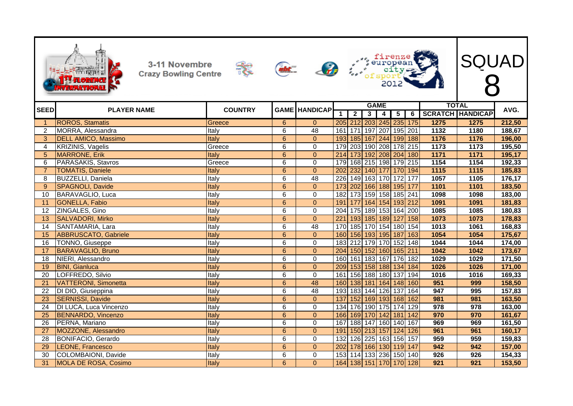|                     | 3-11 Novembre<br><b>Crazy Bowling Centre</b>    |                | abt.           | $\mathcal{L}$        |                  |                             |                | 201                                    |                         |                 |              | <b>SQUAD</b>            |                  |
|---------------------|-------------------------------------------------|----------------|----------------|----------------------|------------------|-----------------------------|----------------|----------------------------------------|-------------------------|-----------------|--------------|-------------------------|------------------|
| <b>SEED</b>         | <b>PLAYER NAME</b>                              | <b>COUNTRY</b> |                | <b>GAME HANDICAP</b> |                  |                             |                | <b>GAME</b>                            |                         |                 |              | <b>TOTAL</b>            | AVG.             |
|                     |                                                 |                |                |                      | $\mathbf 1$      | $\overline{2}$              | $\overline{3}$ | 4                                      | $\overline{\mathbf{5}}$ | 6               |              | <b>SCRATCH HANDICAP</b> |                  |
|                     | <b>ROROS, Stamatis</b>                          | Greece         | 6<br>6         | $\mathbf{0}$<br>48   | 161              | 205 212<br>$\overline{171}$ |                | 203 245 235                            |                         | $\frac{175}{2}$ | 1275<br>1132 | 1275                    | 212,50           |
| $\overline{2}$<br>3 | MORRA, Alessandra<br><b>DELL AMICO, Massimo</b> | Italy<br>Italy | $\overline{6}$ | $\overline{0}$       | 193              |                             |                | 197 207 195 201<br>185 167 244 199 188 |                         |                 | 1176         | 1180<br>1176            | 188,67<br>196,00 |
| 4                   | <b>KRIZINIS, Vagelis</b>                        | Greece         | $\overline{6}$ | $\mathbf 0$          | 179              |                             |                | 203 190 208 178 215                    |                         |                 | 1173         | 1173                    | 195,50           |
| 5 <sup>5</sup>      | <b>MARRONE, Erik</b>                            | Italy          | $6\phantom{1}$ | $\overline{0}$       | 214              |                             |                | 173 192 208 204 180                    |                         |                 | 1171         | 1171                    | 195,17           |
| 6                   | PARASAKIS, Stavros                              | Greece         | 6              | 0                    | 179              |                             |                | 168 215 198 179 215                    |                         |                 | 1154         | 1154                    | 192,33           |
| $\overline{7}$      | <b>TOMATIS, Daniele</b>                         | Italy          | $\overline{6}$ | $\overline{0}$       | 202              |                             |                | 232 140 177 170 194                    |                         |                 | 1115         | 1115                    | 185,83           |
| 8                   | <b>BUZZELLI, Daniela</b>                        | Italy          | 6              | 48                   | 226              |                             |                | 149 163 170                            | 172                     | 177             | 1057         | 1105                    | 176,17           |
| 9                   | SPAGNOLI, Davide                                | Italy          | $\overline{6}$ | $\overline{0}$       | 173              | 202                         |                | 166 188                                | 195                     | 177             | 1101         | 1101                    | 183,50           |
| 10                  | BARAVAGLIO, Luca                                | Italy          | $\overline{6}$ | $\overline{0}$       | 182              |                             |                | 173 159 158 185 241                    |                         |                 | 1098         | 1098                    | 183,00           |
| 11                  | <b>GONELLA, Fabio</b>                           | Italy          | 6              | $\overline{0}$       | 191              | 177                         |                | 164 154 193 212                        |                         |                 | 1091         | 1091                    | 181,83           |
| 12                  | ZINGALES, Gino                                  | Italy          | 6              | $\Omega$             | $\overline{204}$ |                             |                | 175 189 153 164 200                    |                         |                 | 1085         | 1085                    | 180,83           |
| 13                  | <b>SALVADORI, Mirko</b>                         | Italy          | 6              | $\Omega$             | $\overline{221}$ |                             |                | 193 185 189                            | 127                     | 158             | 1073         | 1073                    | 178,83           |
| 14                  | SANTAMARIA, Lara                                | Italy          | $\overline{6}$ | 48                   | 170              |                             |                | 185 170 154 180 154                    |                         |                 | 1013         | 1061                    | 168,83           |
| 15                  | <b>ABBRUSCATO, Gabriele</b>                     | Italy          | $6\phantom{a}$ | $\overline{0}$       | 160              |                             |                | 156 193 195 187                        |                         | 163             | 1054         | 1054                    | 175,67           |
| 16                  | <b>TONNO</b> , Giuseppe                         | Italy          | 6              | $\mathbf 0$          | 183              |                             |                | 212 179 170 152 148                    |                         |                 | 1044         | 1044                    | 174,00           |
| 17                  | <b>BARAVAGLIO, Bruno</b>                        | Italy          | $6\phantom{a}$ | $\overline{0}$       | 204              |                             |                | 150 152 160 165 211                    |                         |                 | 1042         | 1042                    | 173,67           |
| 18                  | NIERI, Alessandro                               | Italy          | 6              | $\Omega$             | 160              |                             |                | 161 183 167 176                        |                         | 182             | 1029         | 1029                    | 171,50           |
| 19                  | <b>BINI, Gianluca</b>                           | Italy          | $6\phantom{1}$ | $\Omega$             | 209              |                             |                | 153 158 188 134                        |                         | 184             | 1026         | 1026                    | 171,00           |
| 20                  | LOFFREDO, Silvio                                | Italy          | 6              | $\overline{0}$       | 161              |                             |                | 156 188 180                            | 137                     | 194             | 1016         | 1016                    | 169,33           |
| 21                  | <b>VATTERONI, Simonetta</b>                     | Italy          | $6\phantom{a}$ | 48                   | 160              |                             |                | 138 181 164 148 160                    |                         |                 | 951          | 999                     | 158,50           |
| $\overline{22}$     | DI DIO, Giuseppina                              | Italy          | $\overline{6}$ | 48                   | 193              |                             |                | 183 144 126                            | 137                     | 164             | 947          | 995                     | 157,83           |
| 23                  | <b>SERNISSI, Davide</b>                         | Italy          | $6\phantom{a}$ | $\overline{0}$       | 137              |                             |                | 152 169 193 168                        |                         | 162             | 981          | 981                     | 163,50           |
| 24                  | DI LUCA, Luca Vincenzo                          | Italy          | 6              | $\Omega$             | 134              |                             |                | 176 190 175 174                        |                         | 129             | 978          | 978                     | 163,00           |
| 25                  | <b>BENNARDO, Vincenzo</b>                       | Italy          | $6\phantom{1}$ | $\Omega$             | 166              |                             |                | 169 170 142                            | 181                     | 142             | 970          | 970                     | 161,67           |
| 26                  | PERNA, Mariano                                  | Italy          | 6              | $\mathbf{0}$         | 167              |                             |                | 188 147 160 140 167                    |                         |                 | 969          | 969                     | 161,50           |
| $\overline{27}$     | MOZZONE, Alessandro                             | Italy          | $\overline{6}$ | $\overline{0}$       | 191              |                             |                | 150 213 157 124                        |                         | 126             | 961          | 961                     | 160,17           |
| $\overline{28}$     | <b>BONIFACIO, Gerardo</b>                       | Italy          | 6              | $\mathbf 0$          | 132              |                             |                | 126 225 163 156 157                    |                         |                 | 959          | 959                     | 159,83           |
| $\overline{29}$     | LEONE, Francesco                                | Italy          | 6              | $\overline{0}$       | 202              |                             |                | 178 166 130 119 147                    |                         |                 | 942          | 942                     | 157,00           |
| 30                  | COLOMBAIONI, Davide                             | Italy          | 6              | $\Omega$             | 153              |                             |                | 114 133 236 150 140                    |                         |                 | 926          | 926                     | 154,33           |
| 31                  | MOLA DE ROSA, Cosimo                            | <b>Italy</b>   | $6\phantom{1}$ | $\overline{0}$       |                  | 164 138 151 170 170 128     |                |                                        |                         |                 | 921          | 921                     | 153,50           |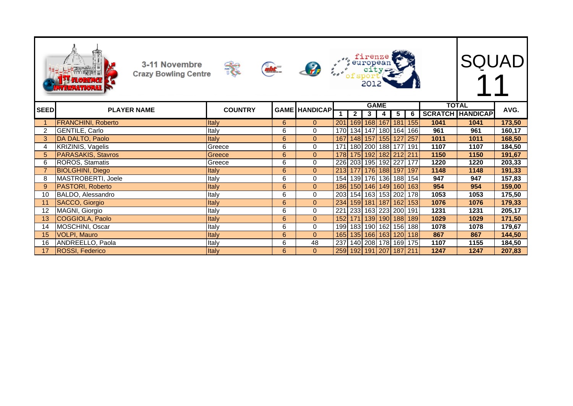|                | 3-11 Novembre<br><b>Crazy Bowling Centre</b><br><b>HTERFATIORAL</b> | 表              | abt | $\mathcal{L}$        |     |                | 2012           | european **<br>european **<br>*** |     |     |              | <b>SQUAD</b>            |        |
|----------------|---------------------------------------------------------------------|----------------|-----|----------------------|-----|----------------|----------------|-----------------------------------|-----|-----|--------------|-------------------------|--------|
| <b>SEED</b>    | <b>PLAYER NAME</b>                                                  | <b>COUNTRY</b> |     | <b>GAME HANDICAP</b> |     |                |                | <b>GAME</b>                       |     |     | <b>TOTAL</b> |                         | AVG.   |
|                |                                                                     |                |     |                      | 1   | $\overline{2}$ | 3 <sup>1</sup> | 4                                 | 5   | 6   |              | <b>SCRATCH HANDICAP</b> |        |
|                | <b>FRANCHINI, Roberto</b>                                           | Italy          | 6   | $\Omega$             | 201 |                |                | 169   168   167   181             |     | 155 | 1041         | 1041                    | 173,50 |
| 2              | <b>GENTILE, Carlo</b>                                               | Italy          | 6   | $\mathbf 0$          | 170 |                |                | 134 147 180 164                   |     | 166 | 961          | 961                     | 160,17 |
| 3              | DA DALTO, Paolo                                                     | Italy          | 6   | $\Omega$             | 167 |                |                | 148 157 155                       | 127 | 257 | 1011         | 1011                    | 168,50 |
| 4              | KRIZINIS, Vagelis                                                   | Greece         | 6   | $\Omega$             |     |                |                | 171 180 200 188 177               |     | 191 | 1107         | 1107                    | 184,50 |
| 5.             | PARASAKIS, Stavros                                                  | Greece         | 6   | $\mathbf{0}$         | 178 |                |                | 175 192 182 212 211               |     |     | 1150         | 1150                    | 191,67 |
| 6              | ROROS, Stamatis                                                     | Greece         | 6   | $\mathbf 0$          |     |                |                | 226 203 195 192 227               |     | 177 | 1220         | 1220                    | 203,33 |
| $\overline{7}$ | <b>BIOLGHINI, Diego</b>                                             | Italy          | 6   | $\mathbf{0}$         |     |                |                | 213 177 176 188 197               |     | 197 | 1148         | 1148                    | 191,33 |
| 8              | MASTROBERTI, Joele                                                  | Italy          | 6   | $\mathbf{0}$         |     |                |                | 154 139 176 136 188               |     | 154 | 947          | 947                     | 157,83 |
| 9              | <b>PASTORI, Roberto</b>                                             | Italy          | 6   | $\mathbf{0}$         | 186 |                |                | 150 146 149 160                   |     | 163 | 954          | 954                     | 159,00 |
| 10             | BALDO, Alessandro                                                   | Italy          | 6   | 0                    | 203 |                |                | 154 163 153 202                   |     | 178 | 1053         | 1053                    | 175,50 |
| 11             | SACCO, Giorgio                                                      | Italy          | 6   | $\mathbf{0}$         | 234 |                |                | 159 181 187 162                   |     | 153 | 1076         | 1076                    | 179,33 |
| 12             | MAGNI, Giorgio                                                      | Italy          | 6   | $\Omega$             | 221 |                |                | 233 163 223 200                   |     | 191 | 1231         | 1231                    | 205,17 |
| 13             | COGGIOLA, Paolo                                                     | Italy          | 6   | $\mathbf{0}$         | 152 |                |                | 171 139 190 188                   |     | 189 | 1029         | 1029                    | 171,50 |
| 14             | MOSCHINI, Oscar                                                     | Italy          | 6   | $\Omega$             | 199 |                |                | 183 190 162 156                   |     | 188 | 1078         | 1078                    | 179,67 |
| 15             | <b>VOLPI, Mauro</b>                                                 | <b>Italy</b>   | 6   | $\mathbf{0}$         | 165 |                |                | 135 166 163 120                   |     | 118 | 867          | 867                     | 144,50 |
| 16             | ANDREELLO, Paola                                                    | Italy          | 6   | 48                   | 237 |                |                | 140 208 178 169                   |     | 175 | 1107         | 1155                    | 184,50 |
| 17             | <b>ROSSI, Federico</b>                                              | Italy          | 6   | $\Omega$             |     |                |                | 259 192 191 207 187 211           |     |     | 1247         | 1247                    | 207,83 |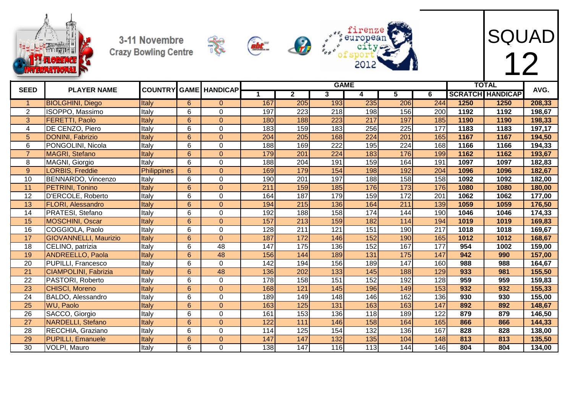







| <b>SEED</b>     | <b>PLAYER NAME</b>           |                    |                 | <b>COUNTRY GAME HANDICAP</b> |     |                 |                  | <b>GAME</b> |                  |     |      | <b>TOTAL</b>            | AVG.   |
|-----------------|------------------------------|--------------------|-----------------|------------------------------|-----|-----------------|------------------|-------------|------------------|-----|------|-------------------------|--------|
|                 |                              |                    |                 |                              |     | $\mathbf{2}$    | 3                | 4           | 5.               | 6   |      | <b>SCRATCH HANDICAP</b> |        |
| $\mathbf{1}$    | <b>BIOLGHINI, Diego</b>      | Italy              | $6^{\circ}$     | $\Omega$                     | 167 | 205             | 193              | 235         | 206              | 244 | 1250 | 1250                    | 208,33 |
| 2               | ISOPPO, Massimo              | Italy              | 6               | $\Omega$                     | 197 | 223             | 218              | 198         | 156              | 200 | 1192 | 1192                    | 198,67 |
| 3               | <b>FERETTI, Paolo</b>        | Italy              | 6               | $\Omega$                     | 180 | 188             | 223              | 217         | 197              | 185 | 1190 | 1190                    | 198,33 |
| $\overline{4}$  | DE CENZO, Piero              | Italy              | 6               | $\overline{0}$               | 183 | 159             | 183              | 256         | $\overline{225}$ | 177 | 1183 | 1183                    | 197,17 |
| $5\phantom{.0}$ | <b>DONINI, Fabrizio</b>      | Italy              | 6               | $\Omega$                     | 204 | 205             | 168              | 224         | 201              | 165 | 1167 | 1167                    | 194,50 |
| 6               | PONGOLINI, Nicola            | Italy              | 6               | $\Omega$                     | 188 | 169             | 222              | 195         | 224              | 168 | 1166 | 1166                    | 194,33 |
| $\overline{7}$  | MAGRI, Stefano               | Italy              | 6               | $\overline{0}$               | 179 | 201             | 224              | 183         | 176              | 199 | 1162 | 1162                    | 193,67 |
| 8               | MAGNI, Giorgio               | Italy              | 6               | $\Omega$                     | 188 | 204             | 191              | 159         | 164              | 191 | 1097 | 1097                    | 182,83 |
| 9               | LORBIS, Freddie              | <b>Philippines</b> | $6\phantom{1}$  | $\Omega$                     | 169 | 179             | 154              | 198         | 192              | 204 | 1096 | 1096                    | 182,67 |
| 10              | BENNARDO, Vincenzo           | Italy              | 6               | $\Omega$                     | 190 | 201             | 197              | 188         | 158              | 158 | 1092 | 1092                    | 182,00 |
| $\overline{11}$ | <b>PETRINI, Tonino</b>       | Italy              | $6\phantom{1}$  | $\overline{0}$               | 211 | 159             | 185              | 176         | $\overline{173}$ | 176 | 1080 | 1080                    | 180,00 |
| 12              | D'ERCOLE, Roberto            | Italy              | 6               | $\Omega$                     | 164 | 187             | 179              | 159         | 172              | 201 | 1062 | 1062                    | 177,00 |
| 13              | <b>FLORI, Alessandro</b>     | Italy              | 6               | $\Omega$                     | 194 | 215             | 136              | 164         | 211              | 139 | 1059 | 1059                    | 176,50 |
| 14              | PRATESI, Stefano             | Italy              | $6\phantom{1}6$ | $\Omega$                     | 192 | 188             | 158              | 174         | 144              | 190 | 1046 | 1046                    | 174,33 |
| 15              | <b>MOSCHINI, Oscar</b>       | Italy              | $6\phantom{1}$  | $\Omega$                     | 157 | 213             | 159              | 182         | 114              | 194 | 1019 | 1019                    | 169,83 |
| 16              | COGGIOLA, Paolo              | Italy              | 6               | $\Omega$                     | 128 | 211             | 121              | 151         | 190              | 217 | 1018 | 1018                    | 169,67 |
| 17              | <b>GIOVANNELLI, Maurizio</b> | Italy              | $6\phantom{1}$  | $\Omega$                     | 187 | 172             | 146              | 152         | 190              | 165 | 1012 | 1012                    | 168,67 |
| 18              | CELINO, patrizia             | Italy              | 6               | 48                           | 147 | 175             | 136              | 152         | 167              | 177 | 954  | 1002                    | 159,00 |
| 19              | <b>ANDREELLO, Paola</b>      | Italy              | $6\phantom{1}$  | 48                           | 156 | 144             | 189              | 131         | 175              | 147 | 942  | 990                     | 157,00 |
| 20              | <b>PUPILLI, Francesco</b>    | Italy              | 6               | $\overline{0}$               | 142 | 194             | 156              | 189         | 147              | 160 | 988  | 988                     | 164,67 |
| 21              | <b>CIAMPOLINI, Fabrizia</b>  | Italy              | $6\phantom{1}$  | 48                           | 136 | 202             | 133              | 145         | 188              | 129 | 933  | 981                     | 155,50 |
| 22              | PASTORI, Roberto             | Italy              | 6               | $\overline{0}$               | 178 | 158             | 151              | 152         | 192              | 128 | 959  | 959                     | 159,83 |
| $\overline{23}$ | <b>CHISCI, Moreno</b>        | Italy              | $6\phantom{1}$  | $\Omega$                     | 168 | 121             | 145              | 196         | 149              | 153 | 932  | 932                     | 155,33 |
| 24              | BALDO, Alessandro            | Italy              | 6               | $\Omega$                     | 189 | 149             | 148              | 146         | 162              | 136 | 930  | 930                     | 155,00 |
| 25              | <b>WU, Paolo</b>             | Italy              | 6               | $\overline{0}$               | 163 | 125             | $\overline{131}$ | 163         | 163              | 147 | 892  | 892                     | 148,67 |
| 26              | SACCO, Giorgio               | Italy              | 6               | $\Omega$                     | 161 | 153             | 136              | 118         | 189              | 122 | 879  | 879                     | 146,50 |
| 27              | <b>NARDELLI, Stefano</b>     | Italy              | $6\phantom{1}$  | $\overline{0}$               | 122 | 111             | 146              | 158         | 164              | 165 | 866  | 866                     | 144,33 |
| 28              | RECCHIA, Graziano            | Italy              | 6               | $\Omega$                     | 114 | $\frac{125}{2}$ | 154              | 132         | 136              | 167 | 828  | 828                     | 138,00 |
| 29              | <b>PUPILLI, Emanuele</b>     | Italy              | 6               | $\overline{0}$               | 147 | 147             | 132              | 135         | 104              | 148 | 813  | 813                     | 135,50 |
| 30              | VOLPI, Mauro                 | Italy              | 6               | $\Omega$                     | 138 | 147             | 116              | 113         | 144              | 146 | 804  | 804                     | 134,00 |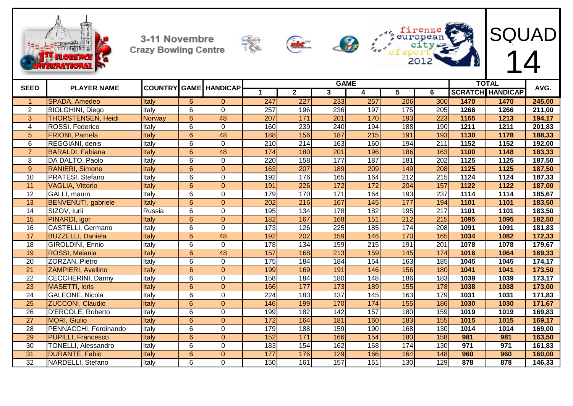









| <b>SEED</b>     | <b>PLAYER NAME</b>         |               |                 | <b>COUNTRY GAME HANDICAP</b> |     |              |     | <b>GAME</b>      |                  |                  |      | <b>TOTAL</b>            | AVG.                 |
|-----------------|----------------------------|---------------|-----------------|------------------------------|-----|--------------|-----|------------------|------------------|------------------|------|-------------------------|----------------------|
|                 |                            |               |                 |                              | 1   | $\mathbf{2}$ | 3   | 4                | 5.               | 6                |      | <b>SCRATCH HANDICAP</b> |                      |
|                 | <b>SPADA, Amedeo</b>       | Italy         | $\overline{6}$  | $\Omega$                     | 247 | 227          | 233 | 257              | 206              | 300              | 1470 | 1470                    | 245,00               |
| $\overline{2}$  | <b>BIOLGHINI, Diego</b>    | Italy         | 6               | $\overline{0}$               | 257 | 196          | 236 | 197              | 175              | 205              | 1266 | 1266                    | 211,00               |
| 3               | <b>THORSTENSEN, Heidi</b>  | <b>Norway</b> | $6\phantom{1}$  | 48                           | 207 | 171          | 201 | 170              | 193              | 223              | 1165 | 1213                    | 194,17               |
| 4               | ROSSI, Federico            | Italy         | 6               | 0                            | 160 | 239          | 240 | 194              | 188              | 190              | 1211 | 1211                    | 201,83               |
| 5               | <b>FRIONI, Pamela</b>      | Italy         | $6\phantom{1}$  | 48                           | 188 | 156          | 187 | $\overline{215}$ | 191              | 193              | 1130 | 1178                    | 188,33               |
| 6               | REGGIANI, denis            | Italy         | 6               | 0                            | 210 | 214          | 163 | 160              | 194              | 211              | 1152 | 1152                    | 192,00               |
| $\overline{7}$  | <b>BARALDI, Fabiana</b>    | Italy         | $6\phantom{1}$  | 48                           | 174 | 180          | 201 | 196              | 186              | 163              | 1100 | 1148                    | 183,33               |
| 8               | DA DALTO, Paolo            | Italy         | 6               | 0                            | 220 | 158          | 177 | 187              | 181              | 202              | 1125 | 1125                    | 187,50               |
| 9               | <b>RANIERI, Simone</b>     | Italy         | $6\phantom{1}$  | $\overline{0}$               | 163 | 207          | 189 | 209              | 149              | 208              | 1125 | 1125                    | 187,50               |
| 10              | PRATESI, Stefano           | Italy         | 6               | 0                            | 192 | 176          | 165 | 164              | $\overline{212}$ | 215              | 1124 | 1124                    | 187,33               |
| 11              | <b>VAGLIA, Vittorio</b>    | Italy         | $6\phantom{1}6$ | $\overline{0}$               | 191 | 226          | 172 | 172              | 204              | 157              | 1122 | 1122                    | 187,00               |
| 12              | GALLI, mauro               | Italy         | 6               | 0                            | 179 | 170          | 171 | 164              | 193              | 237              | 1114 | 1114                    | 185,67               |
| 13              | <b>BENVENUTI, gabriele</b> | Italy         | $6\phantom{1}$  | $\Omega$                     | 202 | 216          | 167 | 145              | 177              | 194              | 1101 | 1101                    | 183,50               |
| $\overline{14}$ | SIZOV, lurii               | Russia        | 6               | 0                            | 195 | 134          | 178 | 182              | 195              | 217              | 1101 | 1101                    | 183,50               |
| 15              | PINARDI, igor              | Italy         | $6\phantom{1}$  | $\overline{0}$               | 182 | 167          | 168 | 151              | $\overline{212}$ | 215              | 1095 | 1095                    | 182,50               |
| 16              | CASTELLI, Germano          | Italy         | 6               | 0                            | 173 | 126          | 225 | 185              | 174              | 208              | 1091 | 1091                    | 181,83               |
| 17              | <b>BUZZELLI, Daniela</b>   | Italy         | 6               | 48                           | 192 | 202          | 159 | 146              | 170              | 165              | 1034 | 1082                    | 172,33               |
| $\overline{18}$ | GIROLDINI, Ennio           | Italy         | $6\phantom{1}$  | 0                            | 178 | 134          | 159 | $\overline{215}$ | 191              | $\overline{201}$ | 1078 | 1078                    | 179,67               |
| 19              | ROSSI, Melania             | Italy         | $6\phantom{1}6$ | 48                           | 157 | 168          | 213 | 159              | 145              | 174              | 1016 | 1064                    | 169,33               |
| $\overline{20}$ | ZORZAN, Pietro             | Italy         | 6               | 0                            | 175 | 184          | 184 | 154              | 163              | 185              | 1045 | 1045                    | 174,17               |
| $\overline{21}$ | <b>ZAMPIERI, Avellino</b>  | Italy         | $\overline{6}$  | $\Omega$                     | 199 | 169          | 191 | 146              | 156              | 180              | 1041 | 1041                    | 173,50               |
| 22              | <b>CECCHERINI, Danny</b>   | Italy         | 6               | $\overline{0}$               | 158 | 184          | 180 | 148              | 186              | 183              | 1039 | 1039                    | 173,17               |
| 23              | <b>MASETTI, loris</b>      | Italy         | $6\phantom{1}6$ | $\overline{0}$               | 166 | 177          | 173 | 189              | 155              | 178              | 1038 | 1038                    | 173,00               |
| 24              | <b>GALEONE, Nicola</b>     | Italy         | $\overline{6}$  | 0                            | 224 | 183          | 137 | 145              | 163              | 179              | 1031 | 1031                    | $\overline{171}, 83$ |
| $\overline{25}$ | <b>ZUCCONI, Claudio</b>    | Italy         | 6               | $\overline{0}$               | 146 | 199          | 170 | 174              | 155              | 186              | 1030 | 1030                    | 171,67               |
| 26              | D'ERCOLE, Roberto          | Italy         | $\overline{6}$  | 0                            | 199 | 182          | 142 | 157              | 180              | 159              | 1019 | 1019                    | 169,83               |
| $\overline{27}$ | <b>MORI, Giulio</b>        | Italy         | $6\phantom{1}$  | $\overline{0}$               | 172 | 164          | 181 | 160              | 183              | 155              | 1015 | 1015                    | 169,17               |
| $\overline{28}$ | PENNACCHI, Ferdinando      | Italy         | $\,6$           | $\overline{0}$               | 179 | 188          | 159 | 190              | 168              | 130              | 1014 | 1014                    | 169,00               |
| 29              | <b>PUPILLI, Francesco</b>  | Italy         | $6\phantom{1}$  | $\overline{0}$               | 152 | 171          | 166 | 154              | 180              | 158              | 981  | 981                     | 163,50               |
| 30              | <b>TONELLI, Alessandro</b> | Italy         | 6               | 0                            | 183 | 154          | 162 | 168              | 174              | 130              | 971  | 971                     | 161,83               |
| 31              | <b>DURANTE, Fabio</b>      | Italy         | $6\phantom{1}$  | $\overline{0}$               | 177 | 176          | 129 | 166              | 164              | 148              | 960  | 960                     | 160,00               |
| $\overline{32}$ | NARDELLI, Stefano          | Italy         | 6               | $\overline{0}$               | 150 | 161          | 157 | 151              | 130              | 129              | 878  | 878                     | 146,33               |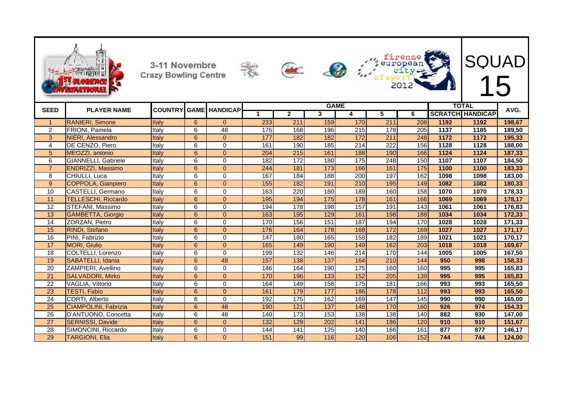|                 |                             | 3-11 Novembre<br><b>Crazy Bowling Centre</b> |                 |                 |     | sht.           |                  |                  |                  | 201               |      | <b>SQUAD</b>                            |        |
|-----------------|-----------------------------|----------------------------------------------|-----------------|-----------------|-----|----------------|------------------|------------------|------------------|-------------------|------|-----------------------------------------|--------|
| <b>SEED</b>     | <b>PLAYER NAME</b>          | <b>COUNTRY GAME</b>                          |                 | <b>HANDICAP</b> | 1   | $\overline{2}$ | <b>GAME</b><br>3 | 4                | 5                | 6                 |      | <b>TOTAL</b><br><b>SCRATCH HANDICAP</b> | AVG.   |
| $\mathbf 1$     | <b>RANIERI, Simone</b>      | <b>Italy</b>                                 | 6               | $\Omega$        | 233 | 211            | 159              | 170              | 211              | 208               | 1192 | 1192                                    | 198,67 |
| 2               | <b>FRIONI, Pamela</b>       | ltalv                                        | 6               | 48              | 175 | 168            | 196              | $\overline{215}$ | 178              | 205               | 1137 | 1185                                    | 189,50 |
| 3               | NIERI, Alessandro           | Italy                                        | 6               | $\Omega$        | 177 | 182            | 182              | 172              | 211              | 248               | 1172 | 1172                                    | 195,33 |
| $\overline{4}$  | DE CENZO, Piero             | Italy                                        | 6               | $\Omega$        | 161 | 190            | 185              | 214              | 222              | 156               | 1128 | 1128                                    | 188,00 |
| 5               | MEOZZI, antonio             | Italy                                        | 6               | $\overline{0}$  | 204 | 215            | 161              | 188              | 190              | 166               | 1124 | 1124                                    | 187,33 |
| 6               | <b>GIANNELLI, Gabriele</b>  | Italy                                        | 6               | $\Omega$        | 182 | 172            | 180              | 175              | 248              | 150               | 1107 | 1107                                    | 184,50 |
| $\overline{7}$  | ENDRIZZI, Massimo           | Italy                                        | 6               | $\Omega$        | 244 | 181            | 173              | 166              | 161              | 175               | 1100 | 1100                                    | 183,33 |
| 8               | CHIULLI, Luca               | Italy                                        | 6               | $\Omega$        | 167 | 184            | 188              | 200              | 197              | 162               | 1098 | 1098                                    | 183,00 |
| $\overline{9}$  | <b>COPPOLA, Gianpiero</b>   | Italy                                        | $6\phantom{1}6$ | $\overline{0}$  | 155 | 182            | 191              | 210              | 195              | $\frac{149}{149}$ | 1082 | 1082                                    | 180,33 |
| 10              | CASTELLI, Germano           | Italy                                        | 6               | $\Omega$        | 163 | 220            | 180              | 189              | 160              | 158               | 1070 | 1070                                    | 178,33 |
| 11              | <b>TELLESCHI, Riccardo</b>  | Italy                                        | 6               | $\overline{0}$  | 195 | 194            | $\frac{175}{2}$  | 178              | 161              | 166               | 1069 | 1069                                    | 178,17 |
| 12              | STEFANI, Massimo            | Italy                                        | 6               | $\Omega$        | 194 | 178            | 198              | 157              | 191              | 143               | 1061 | 1061                                    | 176,83 |
| 13              | <b>GAMBETTA, Giorgio</b>    | Italy                                        | 6               | $\overline{0}$  | 163 | 195            | 129              | 161              | 198              | 188               | 1034 | 1034                                    | 172,33 |
| 14              | ZORZAN, Pietro              | Italy                                        | 6               | $\Omega$        | 170 | 156            | 151              | 187              | 194              | 170               | 1028 | 1028                                    | 171,33 |
| 15              | RINDI, Stefano              | Italy                                        | 6               | $\overline{0}$  | 176 | 164            | 178              | 168              | 172              | 169               | 1027 | 1027                                    | 171,17 |
| 16              | PINI, Fabrizio              | Italy                                        | 6               | $\Omega$        | 147 | 180            | 165              | 158              | 182              | 189               | 1021 | 1021                                    | 170,17 |
| 17              | <b>MORI, Giulio</b>         | Italy                                        | 6               | $\Omega$        | 165 | 149            | 190              | 149              | 162              | 203               | 1018 | 1018                                    | 169,67 |
| $\overline{18}$ | COLTELLI, Lorenzo           | Italy                                        | 6               | $\Omega$        | 199 | 132            | 146              | 214              | 170              | 144               | 1005 | 1005                                    | 167,50 |
| 19              | SABATELLI, Idania           | Italy                                        | 6               | 48              | 157 | 138            | 137              | 164              | 210              | 144               | 950  | 998                                     | 158,33 |
| $\overline{20}$ | ZAMPIERI, Avellino          | Italy                                        | 6               | $\mathbf 0$     | 146 | 164            | 190              | $\frac{175}{2}$  | 160              | 160               | 995  | 995                                     | 165,83 |
| $\overline{21}$ | <b>SALVADORI, Mirko</b>     | Italy                                        | $6\phantom{1}$  | $\overline{0}$  | 170 | 196            | $\overline{133}$ | 152              | 205              | 139               | 995  | 995                                     | 165,83 |
| $\overline{22}$ | VAGLIA, Vittorio            | Italy                                        | 6               | $\Omega$        | 164 | 149            | 158              | $\frac{175}{2}$  | 181              | 166               | 993  | 993                                     | 165,50 |
| $\overline{23}$ | <b>TESTI, Fabio</b>         | Italy                                        | $6\phantom{1}$  | $\overline{0}$  | 161 | 179            | 177              | 186              | $\frac{178}{ }$  | $\frac{11}{2}$    | 993  | 993                                     | 165,50 |
| $\overline{24}$ | CORTI, Alberto              | Italy                                        | 6               | $\Omega$        | 192 | 175            | 162              | 169              | $\overline{147}$ | $\frac{145}{145}$ | 990  | 990                                     | 165,00 |
| $\overline{25}$ | <b>CIAMPOLINI, Fabrizia</b> | Italy                                        | 6               | 48              | 190 | 121            | 137              | 148              | 170              | 160               | 926  | 974                                     | 154,33 |
| 26              | D'ANTUONO, Concetta         | Italy                                        | 6               | 48              | 140 | 173            | 153              | 138              | 138              | 140               | 882  | 930                                     | 147,00 |
| $\overline{27}$ | <b>SERNISSI, Davide</b>     | Italy                                        | 6               | $\Omega$        | 132 | 129            | 202              | 141              | 186              | 120               | 910  | 910                                     | 151,67 |
| 28              | SIMONCINI, Riccardo         | Italy                                        | 6               | $\Omega$        | 144 | 141            | 125              | 140              | 166              | 161               | 877  | 877                                     | 146,17 |
| 29              | TARGIONI, Elia              | <b>Italy</b>                                 | 6               | $\Omega$        | 151 | 99             | 116              | 120              | 106              | 152               | 744  | 744                                     | 124,00 |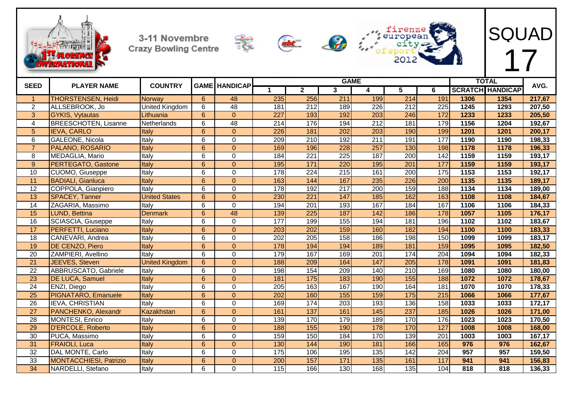









| <b>SEED</b>      | <b>PLAYER NAME</b>            | <b>COUNTRY</b>        |                 | <b>GAME HANDICAP</b> |                  |                  |                   | <b>GAME</b>      |                  |                  |      | <b>TOTAL</b>            | AVG.   |
|------------------|-------------------------------|-----------------------|-----------------|----------------------|------------------|------------------|-------------------|------------------|------------------|------------------|------|-------------------------|--------|
|                  |                               |                       |                 |                      | 1                | $\mathbf{2}$     | $\mathbf{3}$      | 4                | 5                | 6                |      | <b>SCRATCH HANDICAP</b> |        |
| $\mathbf{1}$     | <b>THORSTENSEN, Heidi</b>     | Norway                | 6               | 48                   | 235              | 256              | 211               | 199              | 214              | 191              | 1306 | 1354                    | 217,67 |
| $\overline{2}$   | ALLSEBROOK, Jo                | United Kingdom        | 6               | 48                   | 181              | 212              | 189               | 226              | 212              | 225              | 1245 | 1293                    | 207,50 |
| $\overline{3}$   | <b>GYKIS, Vytautas</b>        | Lithuania             | $\overline{6}$  | $\overline{0}$       | $\overline{227}$ | 193              | 192               | $\overline{203}$ | 246              | $\overline{172}$ | 1233 | 1233                    | 205,50 |
| 4                | <b>BREESCHOTEN, Lisanne</b>   | Netherlands           | 6               | 48                   | 214              | 176              | 194               | $\overline{212}$ | 181              | 179              | 1156 | 1204                    | 192,67 |
| 5                | <b>IEVA, CARLO</b>            | Italy                 | 6               | $\mathbf{0}$         | 226              | 181              | 202               | 203              | 190              | 199              | 1201 | 1201                    | 200,17 |
| 6                | <b>GALEONE, Nicola</b>        | Italy                 | 6               | $\overline{0}$       | 209              | 210              | 192               | 211              | 191              | 177              | 1190 | 1190                    | 198,33 |
| $\overline{7}$   | PALANO, ROSARIO               | Italy                 | 6               | $\overline{0}$       | 169              | 196              | 228               | 257              | 130              | 198              | 1178 | 1178                    | 196,33 |
| 8                | MEDAGLIA, Mario               | Italy                 | 6               | $\Omega$             | 184              | $\overline{221}$ | $\overline{225}$  | 187              | 200              | 142              | 1159 | 1159                    | 193,17 |
| $\boldsymbol{9}$ | PERTEGATO, Gastone            | Italy                 | $6\overline{6}$ | $\overline{0}$       | 195              | $\overline{171}$ | 220               | 195              | $\overline{201}$ | 177              | 1159 | 1159                    | 193,17 |
| 10               | <b>CUOMO, Giuseppe</b>        | Italy                 | 6               | $\mathbf 0$          | 178              | $\overline{224}$ | $\overline{215}$  | 161              | $\overline{200}$ | 175              | 1153 | 1153                    | 192,17 |
| 11               | <b>BADIALI, Gianluca</b>      | Italy                 | 6               | $\overline{0}$       | 163              | 144              | 167               | 235              | 226              | 200              | 1135 | 1135                    | 189,17 |
| $\overline{12}$  | COPPOLA, Gianpiero            | Italy                 | $\overline{6}$  | $\mathbf 0$          | 178              | 192              | $\overline{217}$  | $\overline{200}$ | 159              | 188              | 1134 | 1134                    | 189,00 |
| $\overline{13}$  | <b>SPACEY, Tanner</b>         | <b>United States</b>  | $6\phantom{a}$  | $\pmb{0}$            | 230              | $\overline{221}$ | $\frac{147}{147}$ | 185              | 162              | 163              | 1108 | 1108                    | 184,67 |
| $\overline{14}$  | ZAGARIA, Massimo              | Italy                 | 6               | $\mathbf 0$          | 194              | $\overline{201}$ | 193               | 167              | 184              | 167              | 1106 | 1106                    | 184,33 |
| 15               | LUND, Bettina                 | <b>Denmark</b>        | $6\phantom{a}$  | 48                   | 139              | $\overline{225}$ | 187               | 142              | 186              | 178              | 1057 | 1105                    | 176,17 |
| $\overline{16}$  | SCIASCIA, Giuseppe            | Italy                 | 6               | $\mathbf 0$          | 177              | 199              | 155               | 194              | 181              | 196              | 1102 | 1102                    | 183,67 |
| 17               | <b>PERFETTI, Luciano</b>      | Italy                 | $6\phantom{a}$  | $\pmb{0}$            | 203              | 202              | 159               | 160              | 182              | 194              | 1100 | 1100                    | 183,33 |
| 18               | CANEVARI, Andrea              | Italy                 | 6               | $\mathbf 0$          | 202              | 205              | 158               | 186              | 198              | 150              | 1099 | 1099                    | 183,17 |
| 19               | DE CENZO, Piero               | Italy                 | 6               | $\overline{0}$       | 178              | 194              | 194               | 189              | 181              | 159              | 1095 | 1095                    | 182,50 |
| 20               | ZAMPIERI, Avellino            | Italy                 | 6               | 0                    | 179              | 167              | 169               | 201              | 174              | 204              | 1094 | 1094                    | 182,33 |
| $\overline{21}$  | JEEVES, Steven                | <b>United Kingdom</b> | 6               | $\Omega$             | 188              | 209              | 164               | 147              | 205              | 178              | 1091 | 1091                    | 181,83 |
| $\overline{22}$  | ABBRUSCATO, Gabriele          | Italy                 | 6               | $\mathbf 0$          | 198              | 154              | 209               | 140              | $\overline{210}$ | 169              | 1080 | 1080                    | 180,00 |
| 23               | <b>DE LUCA, Samuel</b>        | Italy                 | 6               | $\overline{0}$       | 181              | 175              | 183               | 190              | 155              | 188              | 1072 | 1072                    | 178,67 |
| $\overline{24}$  | ENZI, Diego                   | Italy                 | 6               | $\mathbf 0$          | 205              | 163              | 167               | 190              | 164              | 181              | 1070 | 1070                    | 178,33 |
| $\overline{25}$  | PIGNATARO, Emanuele           | Italy                 | 6               | $\overline{0}$       | 202              | 160              | 155               | 159              | 175              | 215              | 1066 | 1066                    | 177,67 |
| $\overline{26}$  | <b>IEVA, CHRISTIAN</b>        | Italy                 | 6               | $\pmb{0}$            | 169              | 174              | $\overline{203}$  | 193              | 136              | 158              | 1033 | 1033                    | 172,17 |
| 27               | PANCHENKO, Alexandr           | Kazakhstan            | 6               | $\mathbf{0}$         | 161              | 137              | 161               | 145              | 237              | 185              | 1026 | 1026                    | 171,00 |
| 28               | <b>MONTESI, Enrico</b>        | Italy                 | $\overline{6}$  | $\overline{0}$       | 139              | 170              | 179               | 189              | 170              | 176              | 1023 | 1023                    | 170,50 |
| 29               | <b>D'ERCOLE, Roberto</b>      | Italy                 | 6               | $\mathbf{0}$         | 188              | 155              | 190               | 178              | 170              | 127              | 1008 | 1008                    | 168,00 |
| 30               | PUCA, Massimo                 | Italy                 | 6               | 0                    | 159              | 150              | 184               | 170              | 139              | 201              | 1003 | 1003                    | 167,17 |
| 31               | <b>FRAIOLI, Luca</b>          | Italy                 | $6\phantom{a}$  | $\pmb{0}$            | 130              | 144              | 190               | 181              | 166              | 165              | 976  | 976                     | 162,67 |
| $\overline{32}$  | DAL MONTE, Carlo              | Italy                 | 6               | 0                    | 175              | 106              | 195               | $\frac{135}{ }$  | 142              | $\overline{204}$ | 957  | 957                     | 159,50 |
| $\overline{33}$  | <b>MONTACCHIESI, Patrizio</b> | Italy                 | 6               | $\overline{0}$       | 200              | 157              | 171               | 135              | 161              | 117              | 941  | 941                     | 156,83 |
| $\overline{34}$  | NARDELLI, Stefano             | Italy                 | 6               | $\Omega$             | 115              | 166              | 130               | 168              | 135              | 104              | 818  | 818                     | 136,33 |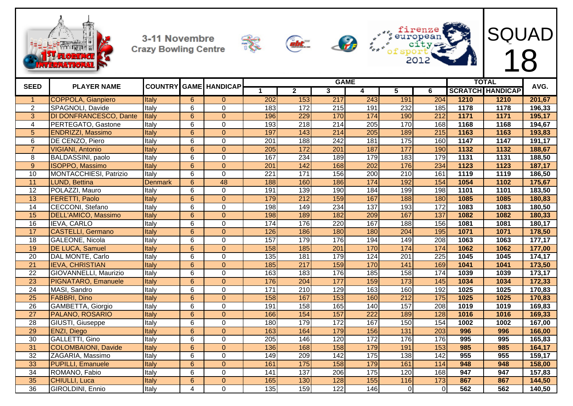









|                         |                            |                |                         |                              |                  |                  |     | <b>GAME</b> |                   |                  |      | <b>TOTAL</b>            |        |
|-------------------------|----------------------------|----------------|-------------------------|------------------------------|------------------|------------------|-----|-------------|-------------------|------------------|------|-------------------------|--------|
| <b>SEED</b>             | <b>PLAYER NAME</b>         |                |                         | <b>COUNTRY GAME HANDICAP</b> |                  | $\mathbf{2}$     | 3   | 4           | 5                 | 6                |      | <b>SCRATCH HANDICAP</b> | AVG.   |
| -1                      | <b>COPPOLA, Gianpiero</b>  | Italy          | $\overline{6}$          | $\Omega$                     | 202              | 153              | 217 | 243         | 191               | 204              | 1210 | 1210                    | 201,67 |
| $\overline{2}$          | SPAGNOLI, Davide           | Italy          | $\overline{6}$          | $\Omega$                     | 183              | 172              | 215 | 191         | 232               | 185              | 1178 | 1178                    | 196,33 |
| 3                       | DI DONFRANCESCO, Dante     | Italy          | $6\phantom{1}$          | $\Omega$                     | 196              | 229              | 170 | 174         | 190               | 212              | 1171 | 1171                    | 195,17 |
| $\overline{\mathbf{4}}$ | PERTEGATO, Gastone         | Italy          | $6\phantom{1}$          | 0                            | 193              | 218              | 214 | 205         | 170               | 168              | 1168 | 1168                    | 194,67 |
| $\overline{5}$          | <b>ENDRIZZI, Massimo</b>   | Italy          | $\overline{6}$          | $\overline{0}$               | 197              | 143              | 214 | 205         | 189               | 215              | 1163 | 1163                    | 193,83 |
| $\overline{6}$          | DE CENZO, Piero            | Italy          | $6\phantom{1}$          | $\mathbf{0}$                 | $\overline{201}$ | 188              | 242 | 181         | 175               | 160              | 1147 | 1147                    | 191,17 |
| $\overline{7}$          | <b>VIGIANI, Antonio</b>    | Italy          | $6\phantom{1}6$         | $\overline{0}$               | 205              | 172              | 201 | 187         | 177               | 190              | 1132 | 1132                    | 188,67 |
| 8                       | BALDASSINI, paolo          | Italy          | 6                       | $\mathbf 0$                  | 167              | 234              | 189 | 179         | 183               | 179              | 1131 | 1131                    | 188,50 |
| $\overline{9}$          | <b>ISOPPO, Massimo</b>     | Italy          | 6                       | $\overline{0}$               | $\overline{201}$ | 142              | 168 | 202         | 176               | 234              | 1123 | 1123                    | 187,17 |
| 10                      | MONTACCHIESI, Patrizio     | Italy          | 6                       | $\mathbf{0}$                 | 221              | 171              | 156 | 200         | 210               | 161              | 1119 | 1119                    | 186,50 |
| $\overline{11}$         | LUND, Bettina              | <b>Denmark</b> | $6\phantom{1}$          | 48                           | 188              | 160              | 186 | 174         | 192               | 154              | 1054 | 1102                    | 175,67 |
| $\overline{12}$         | POLAZZI, Mauro             | Italy          | 6                       | $\mathbf 0$                  | 191              | 139              | 190 | 184         | 199               | 198              | 1101 | 1101                    | 183,50 |
| 13                      | <b>FERETTI, Paolo</b>      | Italy          | $\overline{6}$          | $\overline{0}$               | 179              | 212              | 159 | 167         | 188               | 180              | 1085 | 1085                    | 180,83 |
| 14                      | CECCONI, Stefano           | Italy          | $\overline{6}$          | $\overline{0}$               | 198              | 149              | 234 | 137         | 193               | 172              | 1083 | 1083                    | 180,50 |
| 15                      | <b>DELL'AMICO, Massimo</b> | Italy          | $6\phantom{1}$          | $\overline{0}$               | 198              | 189              | 182 | 209         | 167               | 137              | 1082 | 1082                    | 180,33 |
| 16                      | <b>IEVA, CARLO</b>         | Italy          | 6                       | $\Omega$                     | 174              | 176              | 220 | 167         | 188               | 156              | 1081 | 1081                    | 180,17 |
| $\overline{17}$         | <b>CASTELLI, Germano</b>   | Italy          | 6                       | $\overline{0}$               | 126              | 186              | 180 | 180         | 204               | 195              | 1071 | 1071                    | 178,50 |
| 18                      | GALEONE, Nicola            | Italy          | 6                       | $\mathbf 0$                  | 157              | 179              | 176 | 194         | 149               | 208              | 1063 | 1063                    | 177,17 |
| 19                      | <b>DE LUCA, Samuel</b>     | Italy          | $6\phantom{1}$          | $\overline{0}$               | 158              | 185              | 201 | 170         | 174               | 174              | 1062 | 1062                    | 177,00 |
| 20                      | DAL MONTE, Carlo           | Italy          | 6                       | $\mathbf 0$                  | 135              | 181              | 179 | 124         | 201               | $\overline{225}$ | 1045 | 1045                    | 174,17 |
| 21                      | <b>IEVA, CHRISTIAN</b>     | Italy          | $6\phantom{1}$          | $\overline{0}$               | 185              | $\overline{217}$ | 159 | 170         | $\frac{141}{141}$ | 169              | 1041 | 1041                    | 173,50 |
| $\overline{22}$         | GIOVANNELLI, Maurizio      | Italy          | $\overline{6}$          | $\mathbf 0$                  | 163              | 183              | 176 | 185         | 158               | 174              | 1039 | 1039                    | 173,17 |
| 23                      | <b>PIGNATARO, Emanuele</b> | Italy          | $6\phantom{1}$          | $\Omega$                     | 176              | 204              | 177 | 159         | 173               | 145              | 1034 | 1034                    | 172,33 |
| 24                      | MASI, Sandro               | Italy          | 6                       | $\mathbf 0$                  | 171              | $\overline{210}$ | 129 | 163         | 160               | 192              | 1025 | 1025                    | 170,83 |
| $\overline{25}$         | <b>FABBRI, Dino</b>        | Italy          | $6\phantom{1}$          | $\overline{0}$               | 158              | 167              | 153 | 160         | 212               | $\overline{175}$ | 1025 | 1025                    | 170,83 |
| 26                      | GAMBETTA, Giorgio          | Italy          | 6                       | $\mathbf{0}$                 | 191              | 158              | 165 | 140         | 157               | 208              | 1019 | 1019                    | 169,83 |
| $\overline{27}$         | PALANO, ROSARIO            | Italy          | $6\phantom{1}$          | $\overline{0}$               | 166              | 154              | 157 | 222         | 189               | 128              | 1016 | 1016                    | 169,33 |
| 28                      | GIUSTI, Giuseppe           | Italy          | 6                       | $\mathbf 0$                  | 180              | 179              | 172 | 167         | 150               | 154              | 1002 | 1002                    | 167,00 |
| 29                      | ENZI, Diego                | Italy          | $\overline{6}$          | $\overline{0}$               | 163              | 164              | 179 | 156         | 131               | 203              | 996  | 996                     | 166,00 |
| 30                      | GALLETTI, Gino             | Italy          | 6                       | $\mathbf 0$                  | 205              | 146              | 120 | 172         | 176               | 176              | 995  | 995                     | 165,83 |
| 31                      | <b>COLOMBAIONI, Davide</b> | Italy          | $6\phantom{1}$          | $\overline{0}$               | 136              | 168              | 158 | 179         | 191               | 153              | 985  | 985                     | 164,17 |
| $\overline{32}$         | ZAGARIA, Massimo           | Italy          | $\overline{6}$          | $\overline{0}$               | 149              | 209              | 142 | 175         | 138               | 142              | 955  | 955                     | 159,17 |
| 33                      | <b>PUPILLI, Emanuele</b>   | Italy          | $6\phantom{1}$          | $\overline{0}$               | 161              | 175              | 158 | 179         | 161               | 114              | 948  | 948                     | 158,00 |
| $\overline{34}$         | ROMANO, Fabio              | Italy          | $\overline{6}$          | $\mathbf{0}$                 | 141              | 137              | 206 | 175         | 120               | 168              | 947  | 947                     | 157,83 |
| 35                      | <b>CHIULLI, Luca</b>       | Italy          | $\overline{6}$          | $\overline{0}$               | 165              | 130              | 128 | 155         | 116               | 173              | 867  | 867                     | 144,50 |
| $\overline{36}$         | GIROLDINI, Ennio           | Italy          | $\overline{\mathbf{4}}$ | $\overline{0}$               | 135              | 159              | 122 | 146         | $\overline{0}$    | $\overline{0}$   | 562  | 562                     | 140,50 |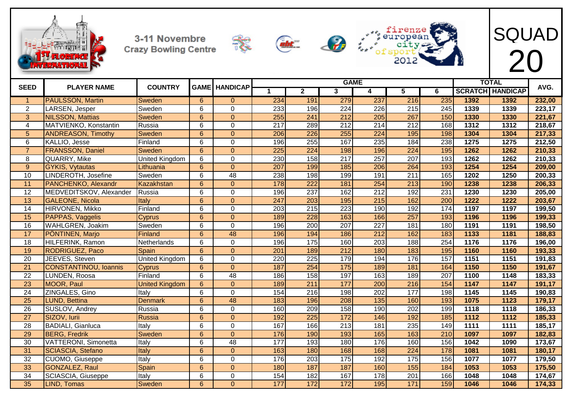









| <b>SEED</b>     | <b>PLAYER NAME</b>           | <b>COUNTRY</b>        |                 | <b>GAME HANDICAP</b> |                  |                  | <b>GAME</b>      |                  |                  |                  |      | <b>TOTAL</b>            | AVG.   |
|-----------------|------------------------------|-----------------------|-----------------|----------------------|------------------|------------------|------------------|------------------|------------------|------------------|------|-------------------------|--------|
|                 |                              |                       |                 |                      | 1                | $\overline{2}$   | 3                | 4                | 5                | 6                |      | <b>SCRATCH HANDICAP</b> |        |
| $\overline{1}$  | <b>PAULSSON, Martin</b>      | Sweden                | 6               | $\overline{0}$       | 234              | 191              | 279              | 237              | 216              | 235              | 1392 | 1392                    | 232,00 |
| 2               | LARSEN, Jesper               | Sweden                | 6               | $\mathbf 0$          | 233              | 196              | 224              | 226              | 215              | 245              | 1339 | 1339                    | 223,17 |
| 3               | <b>NILSSON, Mattias</b>      | Sweden                | $\overline{6}$  | $\overline{0}$       | 255              | 241              | 212              | 205              | 267              | 150              | 1330 | 1330                    | 221,67 |
| 4               | MATVIENKO, Konstantin        | Russia                | 6               | $\mathsf 0$          | 217              | 289              | $\overline{212}$ | $\overline{214}$ | $\overline{212}$ | 168              | 1312 | 1312                    | 218,67 |
| 5               | <b>ANDREASON, Timothy</b>    | Sweden                | $6\overline{6}$ | $\mathbf 0$          | 206              | $\overline{226}$ | 255              | 224              | 195              | 198              | 1304 | 1304                    | 217,33 |
| 6               | KALLIO, Jesse                | Finland               | 6               | $\overline{0}$       | 196              | 255              | 167              | 235              | 184              | 238              | 1275 | 1275                    | 212,50 |
| $\overline{7}$  | <b>FRANSSON, Daniel</b>      | Sweden                | 6               | $\overline{0}$       | $\overline{225}$ | 224              | 198              | 196              | 224              | 195              | 1262 | 1262                    | 210,33 |
| 8               | QUARRY, Mike                 | <b>United Kingdom</b> | 6               | $\pmb{0}$            | 230              | 158              | $\overline{217}$ | 257              | 207              | 193              | 1262 | 1262                    | 210,33 |
| 9               | <b>GYKIS, Vytautas</b>       | Lithuania             | $6\overline{6}$ | $\overline{0}$       | 207              | 199              | 185              | 206              | 264              | 193              | 1254 | 1254                    | 209,00 |
| 10              | LINDEROTH, Josefine          | Sweden                | 6               | 48                   | 238              | 198              | 199              | 191              | 211              | 165              | 1202 | $\overline{1250}$       | 200,33 |
| 11              | PANCHENKO, Alexandr          | Kazakhstan            | 6               | $\overline{0}$       | 178              | 222              | 181              | 254              | 213              | 190              | 1238 | 1238                    | 206,33 |
| $\overline{12}$ | MEDVEDITSKOV, Alexander      | Russia                | 6               | $\mathbf 0$          | 196              | 237              | 162              | $\overline{212}$ | 192              | $\overline{231}$ | 1230 | 1230                    | 205,00 |
| 13              | <b>GALEONE, Nicola</b>       | Italy                 | $\overline{6}$  | $\overline{0}$       | 247              | 203              | 195              | 215              | 162              | 200              | 1222 | 1222                    | 203,67 |
| 14              | HIRVONEN, Mikko              | Finland               | 6               | $\pmb{0}$            | 203              | $\overline{215}$ | 223              | 190              | 192              | 174              | 1197 | 1197                    | 199,50 |
| 15              | PAPPAS, Vaggelis             | Cyprus                | 6               | $\overline{0}$       | 189              | 228              | 163              | 166              | 257              | 193              | 1196 | 1196                    | 199,33 |
| 16              | WAHLGREN, Joakim             | Sweden                | 6               | $\overline{0}$       | 196              | $\overline{200}$ | $\overline{207}$ | $\overline{227}$ | 181              | 180              | 1191 | 1191                    | 198,50 |
| 17              | PÖNTINEN, Marjo              | <b>Finland</b>        | $6\overline{6}$ | 48                   | 196              | 194              | 186              | 212              | 162              | 183              | 1133 | 1181                    | 188,83 |
| 18              | HILFERINK, Ramon             | Netherlands           | 6               | $\mathsf 0$          | 196              | $\frac{175}{2}$  | 160              | 203              | 188              | 254              | 1176 | 1176                    | 196,00 |
| 19              | RODRIGUEZ, Paco              | Spain                 | $6\overline{6}$ | $\mathbf 0$          | 201              | 189              | $\overline{212}$ | 180              | 183              | 195              | 1160 | 1160                    | 193,33 |
| 20              | JEEVES, Steven               | <b>United Kingdom</b> | 6               | $\pmb{0}$            | 220              | 225              | 179              | 194              | 176              | 157              | 1151 | 1151                    | 191,83 |
| $\overline{21}$ | <b>CONSTANTINOU, Ioannis</b> | <b>Cyprus</b>         | 6               | $\overline{0}$       | 187              | 254              | $\frac{175}{2}$  | 189              | 181              | 164              | 1150 | 1150                    | 191,67 |
| 22              | LUNDEN, Roosa                | Finland               | 6               | 48                   | 186              | 158              | 197              | 163              | 189              | 207              | 1100 | 1148                    | 183,33 |
| 23              | <b>MOOR, Paul</b>            | <b>United Kingdom</b> | 6               | $\overline{0}$       | 189              | 211              | 177              | 200              | 216              | 154              | 1147 | 1147                    | 191,17 |
| $\overline{24}$ | ZINGALES, Gino               | Italy                 | 6               | $\overline{0}$       | 154              | $\overline{216}$ | 198              | $\overline{202}$ | 177              | 198              | 1145 | 1145                    | 190,83 |
| 25              | LUND, Bettina                | <b>Denmark</b>        | $6\overline{6}$ | 48                   | 183              | 196              | 208              | 135              | 160              | 193              | 1075 | 1123                    | 179,17 |
| 26              | SUSLOV, Andrey               | Russia                | 6               | $\pmb{0}$            | 160              | 209              | 158              | 190              | 202              | 199              | 1118 | 1118                    | 186,33 |
| $\overline{27}$ | SIZOV, Iurii                 | <b>Russia</b>         | $6\overline{6}$ | $\overline{0}$       | 192              | 225              | 172              | 146              | 192              | 185              | 1112 | 1112                    | 185,33 |
| 28              | <b>BADIALI, Gianluca</b>     | Italy                 | 6               | $\mathbf 0$          | 167              | 166              | 213              | 181              | 235              | 149              | 1111 | 1111                    | 185,17 |
| 29              | <b>BERG, Fredrik</b>         | Sweden                | 6               | $\overline{0}$       | 176              | 190              | 193              | 165              | 163              | 210              | 1097 | 1097                    | 182,83 |
| $\overline{30}$ | VATTERONI, Simonetta         | Italy                 | 6               | 48                   | 177              | 193              | 180              | 176              | 160              | 156              | 1042 | 1090                    | 173,67 |
| 31              | <b>SCIASCIA, Stefano</b>     | Italy                 | $6\overline{6}$ | $\overline{0}$       | 163              | 180              | 168              | 168              | 224              | 178              | 1081 | 1081                    | 180,17 |
| $\overline{32}$ | CUOMO, Giuseppe              | Italy                 | $\overline{6}$  | $\overline{0}$       | 176              | $\overline{203}$ | $\frac{175}{2}$  | 192              | 175              | 156              | 1077 | 1077                    | 179,50 |
| 33              | <b>GONZALEZ, Raul</b>        | Spain                 | 6               | $\overline{0}$       | 180              | 187              | 187              | 160              | 155              | 184              | 1053 | 1053                    | 175,50 |
| 34              | SCIASCIA, Giuseppe           | Italy                 | 6               | $\mathbf 0$          | 154              | 182              | 167              | 178              | 201              | 166              | 1048 | 1048                    | 174,67 |
| $\overline{35}$ | LIND, Tomas                  | Sweden                | 6               | $\Omega$             | 177              | $\overline{172}$ | $\overline{172}$ | 195              | $\overline{171}$ | 159              | 1046 | 1046                    | 174,33 |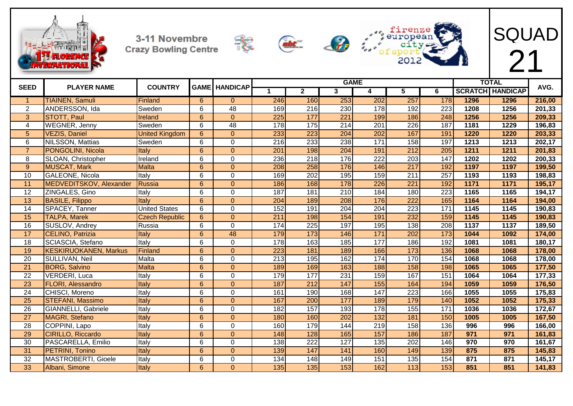









| <b>SEED</b>     | <b>PLAYER NAME</b>           | <b>COUNTRY</b>        |                | <b>GAME HANDICAP</b> |     |                  | <b>GAME</b>      |                  |                         |                  |      | <b>TOTAL</b>            | AVG.   |
|-----------------|------------------------------|-----------------------|----------------|----------------------|-----|------------------|------------------|------------------|-------------------------|------------------|------|-------------------------|--------|
|                 |                              |                       |                |                      |     | $\mathbf{2}$     | 3                | 4                | $\overline{\mathbf{5}}$ | 6                |      | <b>SCRATCH HANDICAP</b> |        |
| -1              | <b>TIAINEN, Samuli</b>       | Finland               | 6              | $\Omega$             | 246 | 160              | 253              | 202              | 257                     | 178              | 1296 | 1296                    | 216,00 |
| $\overline{2}$  | ANDERSSON, Ida               | Sweden                | 6              | 48                   | 169 | 216              | 230              | 178              | 192                     | 223              | 1208 | 1256                    | 201,33 |
| 3               | <b>STOTT, Paul</b>           | Ireland               | 6              | $\overline{0}$       | 225 | 177              | $\overline{221}$ | 199              | 186                     | 248              | 1256 | 1256                    | 209,33 |
| 4               | <b>WEGNER, Jenny</b>         | Sweden                | 6              | $\overline{48}$      | 178 | $\overline{175}$ | $\overline{214}$ | 201              | 226                     | 187              | 1181 | 1229                    | 196,83 |
| 5               | VEZIS, Daniel                | <b>United Kingdom</b> | 6              | $\overline{0}$       | 233 | 223              | 204              | 202              | 167                     | 191              | 1220 | 1220                    | 203,33 |
| 6               | NILSSON, Mattias             | Sweden                | 6              | $\mathbf 0$          | 216 | 233              | 238              | 171              | 158                     | 197              | 1213 | 1213                    | 202,17 |
| $\overline{7}$  | PONGOLINI, Nicola            | Italy                 | 6              | $\overline{0}$       | 201 | 198              | 204              | 191              | $\overline{212}$        | 205              | 1211 | 1211                    | 201,83 |
| 8               | <b>SLOAN, Christopher</b>    | Ireland               | 6              | $\mathbf 0$          | 236 | 218              | 176              | 222              | 203                     | 147              | 1202 | 1202                    | 200,33 |
| $\overline{9}$  | <b>MUSCAT, Mark</b>          | <b>Malta</b>          | 6              | $\overline{0}$       | 208 | 258              | 176              | 146              | $\overline{217}$        | 192              | 1197 | 1197                    | 199,50 |
| 10              | <b>GALEONE, Nicola</b>       | Italy                 | 6              | $\overline{0}$       | 169 | $\overline{202}$ | 195              | 159              | 211                     | 257              | 1193 | 1193                    | 198,83 |
| 11              | MEDVEDITSKOV, Alexander      | Russia                | $6\phantom{1}$ | $\overline{0}$       | 186 | 168              | 178              | 226              | 221                     | 192              | 1171 | 1171                    | 195,17 |
| $\overline{12}$ | ZINGALES, Gino               | Italy                 | 6              | $\mathbf 0$          | 187 | 181              | $\overline{210}$ | 184              | 180                     | $\overline{223}$ | 1165 | 1165                    | 194,17 |
| $\overline{13}$ | <b>BASILE, Filippo</b>       | Italy                 | 6              | $\overline{0}$       | 204 | 189              | 208              | 176              | $\overline{222}$        | 165              | 1164 | 1164                    | 194,00 |
| 14              | SPACEY, Tanner               | <b>United States</b>  | 6              | $\mathbf 0$          | 152 | 191              | 204              | 204              | 223                     | 171              | 1145 | 1145                    | 190,83 |
| 15              | <b>TALPA, Marek</b>          | <b>Czech Republic</b> | 6              | $\overline{0}$       | 211 | 198              | $\overline{154}$ | 191              | 232                     | 159              | 1145 | 1145                    | 190,83 |
| 16              | SUSLOV, Andrey               | Russia                | 6              | $\overline{0}$       | 174 | 225              | 197              | 195              | 138                     | 208              | 1137 | 1137                    | 189,50 |
| 17              | CELINO, Patrizia             | Italy                 | $6\phantom{1}$ | 48                   | 179 | 173              | 146              | 171              | 202                     | 173              | 1044 | 1092                    | 174,00 |
| $\overline{18}$ | SCIASCIA, Stefano            | Italy                 | 6              | $\mathbf 0$          | 178 | 163              | 185              | 177              | 186                     | 192              | 1081 | 1081                    | 180,17 |
| 19              | <b>KESKIRUOKANEN, Markus</b> | Finland               | $6\phantom{1}$ | $\overline{0}$       | 223 | 181              | 189              | 166              | 173                     | 136              | 1068 | 1068                    | 178,00 |
| 20              | SULLIVAN, Neil               | Malta                 | 6              | $\mathbf 0$          | 213 | 195              | 162              | 174              | 170                     | 154              | 1068 | 1068                    | 178,00 |
| $\overline{21}$ | <b>BORG, Salvino</b>         | <b>Malta</b>          | 6              | $\overline{0}$       | 189 | 169              | 163              | 188              | 158                     | 198              | 1065 | 1065                    | 177,50 |
| 22              | <b>VERDERI, Luca</b>         | Italy                 | 6              | $\mathbf 0$          | 179 | 177              | 231              | 159              | 167                     | 151              | 1064 | 1064                    | 177,33 |
| 23              | <b>FLORI, Alessandro</b>     | Italy                 | 6              | $\overline{0}$       | 187 | 212              | 147              | 155              | 164                     | 194              | 1059 | 1059                    | 176,50 |
| $\overline{24}$ | CHISCI, Moreno               | Italy                 | 6              | $\mathbf 0$          | 161 | 190              | 168              | 147              | 223                     | 166              | 1055 | 1055                    | 175,83 |
| 25              | <b>STEFANI, Massimo</b>      | Italy                 | $6\phantom{a}$ | $\overline{0}$       | 167 | 200              | 177              | 189              | 179                     | 140              | 1052 | 1052                    | 175,33 |
| 26              | GIANNELLI, Gabriele          | Italy                 | 6              | $\mathbf 0$          | 182 | 157              | 193              | 178              | 155                     | 171              | 1036 | 1036                    | 172,67 |
| 27              | MAGRI, Stefano               | Italy                 | 6              | $\overline{0}$       | 180 | 160              | $\overline{202}$ | 132              | 181                     | 150              | 1005 | 1005                    | 167,50 |
| 28              | COPPINI, Lapo                | Italy                 | 6              | $\mathbf 0$          | 160 | 179              | 144              | 219              | 158                     | 136              | 996  | 996                     | 166,00 |
| 29              | <b>CIRILLO, Riccardo</b>     | Italy                 | 6              | $\overline{0}$       | 148 | 128              | 165              | 157              | 186                     | 187              | 971  | 971                     | 161,83 |
| 30              | PASCARELLA, Emilio           | Italy                 | 6              | $\mathbf 0$          | 138 | $\overline{222}$ | 127              | $\overline{135}$ | $\overline{202}$        | 146              | 970  | 970                     | 161,67 |
| 31              | PETRINI, Tonino              | Italy                 | 6              | $\overline{0}$       | 139 | 147              | 141              | 160              | 149                     | 139              | 875  | 875                     | 145,83 |
| $\overline{32}$ | MASTROBERTI, Gioele          | Italy                 | $\overline{6}$ | $\overline{0}$       | 134 | 148              | 149              | 151              | 135                     | 154              | 871  | 871                     | 145,17 |
| 33              | Albani, Simone               | Italy                 | 6              | $\mathbf{0}$         | 135 | 135              | 153              | 162              | 113                     | 153              | 851  | 851                     | 141,83 |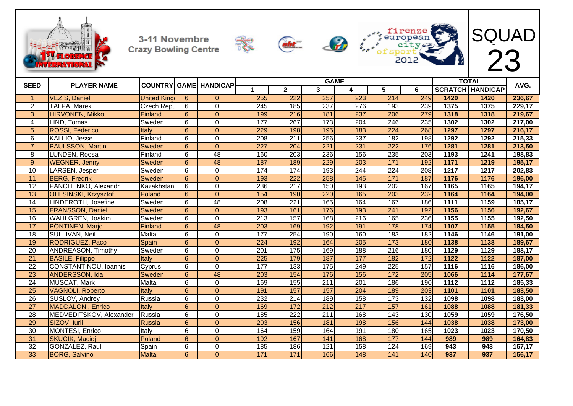

**Crazy Bowling Centre** 









| <b>SEED</b>     | <b>PLAYER NAME</b>          |                    |                | <b>COUNTRY GAME HANDICAP</b> |                  |                  | <b>GAME</b>      |     |                  |       |      | <b>TOTAL</b>            | AVG.   |
|-----------------|-----------------------------|--------------------|----------------|------------------------------|------------------|------------------|------------------|-----|------------------|-------|------|-------------------------|--------|
|                 |                             |                    |                |                              | 1                | $\overline{2}$   | $\mathbf{3}$     | 4   | 5                | 6     |      | <b>SCRATCH HANDICAP</b> |        |
| $\overline{1}$  | <b>VEZIS, Daniel</b>        | <b>United King</b> | 6              | $\Omega$                     | 255              | $\overline{222}$ | 257              | 223 | 214              | 249   | 1420 | 1420                    | 236,67 |
| $\overline{2}$  | <b>TALPA, Marek</b>         | <b>Czech Repu</b>  | 6              | $\Omega$                     | 245              | 185              | 237              | 276 | 193              | 239   | 1375 | 1375                    | 229,17 |
| 3               | <b>HIRVONEN, Mikko</b>      | Finland            | 6              | $\Omega$                     | 199              | 216              | 181              | 237 | 206              | 279   | 1318 | 1318                    | 219,67 |
| 4               | LIND, Tomas                 | Sweden             | 6              | $\Omega$                     | 177              | $\overline{267}$ | 173              | 204 | 246              | 235   | 1302 | 1302                    | 217,00 |
| 5               | <b>ROSSI, Federico</b>      | Italy              | 6              | $\overline{0}$               | 229              | 198              | 195              | 183 | 224              | 268   | 1297 | 1297                    | 216,17 |
| 6               | KALLIO, Jesse               | Finland            | 6              | $\Omega$                     | 208              | 211              | 256              | 237 | 182              | 198   | 1292 | 1292                    | 215,33 |
| $\overline{7}$  | <b>PAULSSON, Martin</b>     | <b>Sweden</b>      | $6\phantom{1}$ | $\Omega$                     | $\overline{227}$ | 204              | $\overline{221}$ | 231 | $\overline{222}$ | 176   | 1281 | 1281                    | 213,50 |
| 8               | LUNDEN, Roosa               | Finland            | 6              | 48                           | 160              | 203              | 236              | 156 | 235              | 203   | 1193 | 1241                    | 198,83 |
| $\overline{9}$  | <b>WEGNER, Jenny</b>        | <b>Sweden</b>      | 6              | 48                           | 187              | 189              | 229              | 203 | 171              | 192   | 1171 | 1219                    | 195,17 |
| 10              | LARSEN, Jesper              | Sweden             | 6              | $\Omega$                     | 174              | 174              | 193              | 244 | 224              | 208   | 1217 | 1217                    | 202,83 |
| 11              | <b>BERG, Fredrik</b>        | <b>Sweden</b>      | $6\phantom{1}$ | $\Omega$                     | 193              | $\overline{222}$ | 258              | 145 | 171              | 187   | 1176 | 1176                    | 196,00 |
| 12              | PANCHENKO, Alexandr         | Kazakhstan         | 6              | $\Omega$                     | 236              | $\overline{217}$ | 150              | 193 | 202              | 167   | 1165 | 1165                    | 194,17 |
| 13              | <b>OLESINSKI, Krzysztof</b> | Poland             | 6              | $\Omega$                     | 154              | 190              | 220              | 165 | 203              | 232   | 1164 | 1164                    | 194,00 |
| 14              | LINDEROTH, Josefine         | Sweden             | 6              | 48                           | 208              | 221              | 165              | 164 | 167              | 186   | 1111 | 1159                    | 185,17 |
| 15              | <b>FRANSSON, Daniel</b>     | Sweden             | 6              | $\overline{0}$               | 193              | 161              | 176              | 193 | 241              | 192   | 1156 | 1156                    | 192,67 |
| 16              | WAHLGREN, Joakim            | Sweden             | 6              | $\Omega$                     | 213              | 157              | 168              | 216 | 165              | 236   | 1155 | 1155                    | 192,50 |
| 17              | PÖNTINEN, Marjo             | Finland            | $6\phantom{1}$ | 48                           | 203              | 169              | 192              | 191 | 178              | $174$ | 1107 | 1155                    | 184,50 |
| 18              | SULLIVAN, Neil              | Malta              | 6              | $\Omega$                     | 177              | 254              | 190              | 160 | 183              | 182   | 1146 | 1146                    | 191,00 |
| 19              | <b>RODRIGUEZ, Paco</b>      | Spain              | 6              | $\Omega$                     | 224              | 192              | 164              | 205 | 173              | 180   | 1138 | 1138                    | 189,67 |
| 20              | <b>ANDREASON, Timothy</b>   | Sweden             | 6              | $\Omega$                     | 201              | 175              | 169              | 188 | $\overline{216}$ | 180   | 1129 | 1129                    | 188,17 |
| 21              | <b>BASILE, Filippo</b>      | <b>Italy</b>       | 6              | $\overline{0}$               | 225              | 179              | 187              | 177 | 182              | 172   | 1122 | 1122                    | 187,00 |
| 22              | CONSTANTINOU, Ioannis       | Cyprus             | 6              | $\Omega$                     | 177              | 133              | 175              | 249 | 225              | 157   | 1116 | 1116                    | 186,00 |
| 23              | ANDERSSON, Ida              | Sweden             | $6\phantom{1}$ | 48                           | 203              | 154              | 176              | 156 | 172              | 205   | 1066 | 1114                    | 177,67 |
| 24              | <b>MUSCAT, Mark</b>         | Malta              | 6              | $\Omega$                     | 169              | 155              | 211              | 201 | 186              | 190   | 1112 | 1112                    | 185,33 |
| 25              | <b>VAGNOLI, Roberto</b>     | <b>Italy</b>       | 6              | $\Omega$                     | 191              | 157              | 157              | 204 | 189              | 203   | 1101 | 1101                    | 183,50 |
| $\overline{26}$ | SUSLOV, Andrey              | Russia             | 6              | $\Omega$                     | 232              | 214              | 189              | 158 | 173              | 132   | 1098 | 1098                    | 183,00 |
| 27              | <b>MADDALONI, Enrico</b>    | <b>Italy</b>       | 6              | $\Omega$                     | 169              | 172              | 212              | 217 | 157              | 161   | 1088 | 1088                    | 181,33 |
| 28              | MEDVEDITSKOV, Alexander     | Russia             | 6              | $\Omega$                     | 185              | 222              | 211              | 168 | 143              | 130   | 1059 | 1059                    | 176,50 |
| 29              | SIZOV, Iurii                | Russia             | $6\phantom{a}$ | $\overline{0}$               | 203              | 156              | 181              | 198 | 156              | 144   | 1038 | 1038                    | 173,00 |
| 30              | MONTESI, Enrico             | Italy              | 6              | $\Omega$                     | 164              | 159              | 164              | 191 | 180              | 165   | 1023 | 1023                    | 170,50 |
| 31              | <b>SKUCIK, Maciej</b>       | Poland             | 6              | $\Omega$                     | 192              | 167              | 141              | 168 | 177              | 144   | 989  | 989                     | 164,83 |
| $\overline{32}$ | GONZALEZ, Raul              | Spain              | 6              | 0                            | 185              | 186              | 121              | 158 | 124              | 169   | 943  | $\overline{943}$        | 157,17 |
| 33              | <b>BORG, Salvino</b>        | <b>Malta</b>       | 6              | $\overline{0}$               | 171              | 171              | 166              | 148 | $141$            | 140   | 937  | 937                     | 156,17 |

3-11 Novembre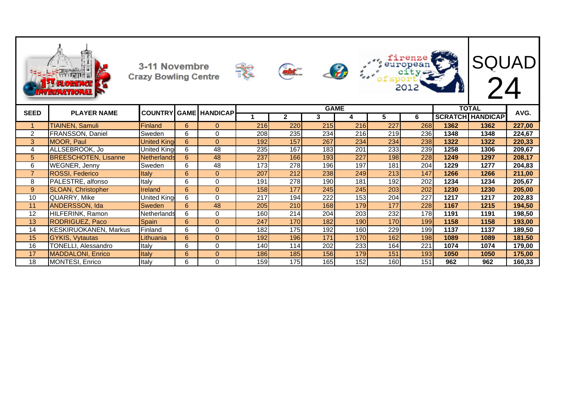|                |                               | 3-11 Novembre<br><b>Crazy Bowling Centre</b> |                |                      |     | abt _        |             | $\bullet$ |                  | firenze<br>firenze<br>2012 |      | SQUAD<br>24             |        |
|----------------|-------------------------------|----------------------------------------------|----------------|----------------------|-----|--------------|-------------|-----------|------------------|----------------------------|------|-------------------------|--------|
| <b>SEED</b>    | <b>PLAYER NAME</b>            | <b>COUNTRY</b>                               |                | <b>GAME HANDICAP</b> |     |              | <b>GAME</b> |           |                  |                            |      | <b>TOTAL</b>            | AVG.   |
|                |                               |                                              |                |                      |     | $\mathbf{2}$ | 3           | 4         | 5                | 6                          |      | <b>SCRATCH HANDICAP</b> |        |
|                | <b>TIAINEN, Samuli</b>        | Finland                                      | 6              | $\Omega$             | 216 | 220          | 215         | 216       | $\overline{227}$ | 268                        | 1362 | 1362                    | 227,00 |
| $\overline{2}$ | FRANSSON, Daniel              | Sweden                                       | 6              | $\mathbf 0$          | 208 | 235          | 234         | 216       | 219              | 236                        | 1348 | 1348                    | 224,67 |
| 3              | <b>MOOR, Paul</b>             | <b>United King</b>                           | 6              | $\mathbf{0}$         | 192 | 157          | 267         | 234       | 234              | 238                        | 1322 | 1322                    | 220,33 |
| 4              | ALLSEBROOK, Jo                | United Kina                                  | 6              | 48                   | 235 | 167          | 183         | 201       | 233              | 239                        | 1258 | 1306                    | 209,67 |
| 5              | <b>BREESCHOTEN, Lisanne</b>   | <b>Netherlands</b>                           | 6              | 48                   | 237 | 166          | 193         | 227       | 198              | 228                        | 1249 | 1297                    | 208,17 |
| 6              | <b>WEGNER, Jenny</b>          | Sweden                                       | 6              | $\overline{48}$      | 173 | 278          | 196         | 197       | 181              | 204                        | 1229 | 1277                    | 204,83 |
| $\overline{7}$ | <b>ROSSI, Federico</b>        | Italy                                        | $6\phantom{1}$ | $\Omega$             | 207 | 212          | 238         | 249       | 213              | 147                        | 1266 | 1266                    | 211,00 |
| 8              | PALESTRE, alfonso             | Italy                                        | 6              | 0                    | 191 | 278          | 190         | 181       | 192              | 202                        | 1234 | 1234                    | 205,67 |
| $9\,$          | <b>SLOAN, Christopher</b>     | Ireland                                      | $6\phantom{1}$ | $\mathbf{0}$         | 158 | 177          | 245         | 245       | 203              | 202                        | 1230 | 1230                    | 205,00 |
| 10             | QUARRY, Mike                  | United King                                  | 6              | $\Omega$             | 217 | 194          | 222         | 153       | 204              | 227                        | 1217 | 1217                    | 202,83 |
| 11             | <b>ANDERSSON, Ida</b>         | Sweden                                       | 6              | 48                   | 205 | 210          | 168         | 179       | 177              | 228                        | 1167 | 1215                    | 194,50 |
| 12             | HILFERINK, Ramon              | Netherlands                                  | 6              | $\pmb{0}$            | 160 | 214          | 204         | 203       | 232              | 178                        | 1191 | 1191                    | 198,50 |
| 13             | <b>RODRIGUEZ, Paco</b>        | Spain                                        | $6\phantom{1}$ | $\mathbf{0}$         | 247 | 170          | 182         | 190       | 170              | 199                        | 1158 | 1158                    | 193,00 |
| 14             | <b>IKESKIRUOKANEN. Markus</b> | Finland                                      | 6              | 0                    | 182 | 175          | 192         | 160       | 229              | 199                        | 1137 | 1137                    | 189,50 |
| 15             | <b>GYKIS, Vytautas</b>        | Lithuania                                    | $6\phantom{1}$ | $\Omega$             | 192 | 196          | 171         | 170       | 162              | 198                        | 1089 | 1089                    | 181,50 |
| 16             | TONELLI, Alessandro           | Italy                                        | 6              | 0                    | 140 | 114          | 202         | 233       | 164              | 221                        | 1074 | 1074                    | 179,00 |
| 17             | <b>MADDALONI, Enrico</b>      | Italy                                        | 6              | $\mathbf{0}$         | 186 | 185          | 156         | 179       | 151              | 193                        | 1050 | 1050                    | 175,00 |
| 18             | MONTESI, Enrico               | Italy                                        | 6              | $\mathbf 0$          | 159 | 175          | 165         | 152       | 160              | 151                        | 962  | 962                     | 160,33 |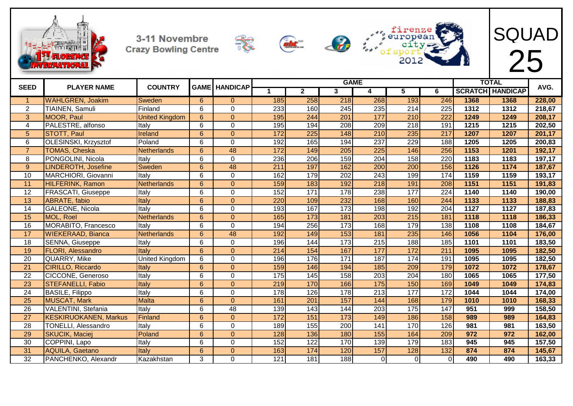









| <b>SEED</b>     |                              | <b>COUNTRY</b>        | <b>GAME</b>    |                 |                 |                  |                  | <b>GAME</b>      |     |                  |      | <b>TOTAL</b>            | AVG.   |
|-----------------|------------------------------|-----------------------|----------------|-----------------|-----------------|------------------|------------------|------------------|-----|------------------|------|-------------------------|--------|
|                 | <b>PLAYER NAME</b>           |                       |                | <b>HANDICAP</b> |                 | $\mathbf{2}$     | 3                | 4                | 5   | 6                |      | <b>SCRATCH HANDICAP</b> |        |
| -1              | <b>WAHLGREN, Joakim</b>      | Sweden                | 6              | $\Omega$        | 185             | 258              | 218              | 268              | 193 | 246              | 1368 | 1368                    | 228,00 |
| $\overline{2}$  | TIAINEN, Samuli              | Finland               | 6              | 0               | 233             | 160              | 245              | 235              | 214 | 225              | 1312 | 1312                    | 218,67 |
| 3               | <b>MOOR, Paul</b>            | <b>United Kingdom</b> | $6\phantom{a}$ | $\Omega$        | 195             | 244              | $\overline{201}$ | 177              | 210 | $\overline{222}$ | 1249 | 1249                    | 208,17 |
| 4               | PALESTRE, alfonso            | Italy                 | 6              | $\overline{0}$  | 195             | 194              | 208              | 209              | 218 | 191              | 1215 | 1215                    | 202,50 |
| 5               | <b>STOTT, Paul</b>           | Ireland               | $6\phantom{a}$ | $\overline{0}$  | 172             | 225              | 148              | 210              | 235 | 217              | 1207 | 1207                    | 201,17 |
| 6               | OLESINSKI, Krzysztof         | Poland                | 6              | $\mathbf 0$     | 192             | 165              | 194              | $\overline{237}$ | 229 | 188              | 1205 | 1205                    | 200,83 |
| $\overline{7}$  | <b>TOMAS, Cheska</b>         | <b>Netherlands</b>    | $6\phantom{a}$ | 48              | $\frac{172}{2}$ | 149              | 205              | 225              | 146 | 256              | 1153 | 1201                    | 192,17 |
| 8               | PONGOLINI, Nicola            | Italy                 | 6              | 0               | 236             | 206              | 159              | 204              | 158 | 220              | 1183 | 1183                    | 197,17 |
| 9               | <b>LINDEROTH, Josefine</b>   | Sweden                | $6\phantom{a}$ | 48              | 211             | 197              | 162              | 200              | 200 | 156              | 1126 | 1174                    | 187,67 |
| 10              | MARCHIORI, Giovanni          | Italy                 | 6              | $\mathbf 0$     | 162             | 179              | $\overline{202}$ | $\overline{243}$ | 199 | 174              | 1159 | 1159                    | 193,17 |
| 11              | <b>HILFERINK, Ramon</b>      | Netherlands           | $6\phantom{a}$ | $\overline{0}$  | 159             | 183              | 192              | 218              | 191 | 208              | 1151 | 1151                    | 191,83 |
| $\overline{12}$ | <b>FRASCATI, Giuseppe</b>    | Italy                 | 6              | 0               | 152             | 171              | 178              | 238              | 177 | $\overline{224}$ | 1140 | 1140                    | 190,00 |
| 13              | ABRATE, fabio                | Italy                 | $6\phantom{a}$ | $\overline{0}$  | 220             | 109              | 232              | 168              | 160 | 244              | 1133 | 1133                    | 188,83 |
| 14              | GALEONE, Nicola              | Italy                 | 6              | $\overline{0}$  | 193             | 167              | 173              | 198              | 192 | 204              | 1127 | 1127                    | 187,83 |
| 15              | MOL, Roel                    | <b>Netherlands</b>    | $6\phantom{a}$ | $\overline{0}$  | 165             | 173              | 181              | 203              | 215 | 181              | 1118 | 1118                    | 186,33 |
| 16              | MORABITO, Francesco          | Italy                 | 6              | $\mathbf 0$     | 194             | 256              | 173              | 168              | 179 | 138              | 1108 | 1108                    | 184,67 |
| 17              | <b>WIEKERAAD, Bianca</b>     | <b>Netherlands</b>    | $6\phantom{a}$ | 48              | 192             | 149              | 153              | 181              | 235 | 146              | 1056 | 1104                    | 176,00 |
| 18              | SENNA, Giuseppe              | Italy                 | 6              | $\mathbf 0$     | 196             | 144              | 173              | 215              | 188 | 185              | 1101 | 1101                    | 183,50 |
| 19              | <b>FLORI, Alessandro</b>     | Italy                 | 6              | $\overline{0}$  | 214             | 154              | 167              | 177              | 172 | 211              | 1095 | 1095                    | 182,50 |
| 20              | QUARRY, Mike                 | <b>United Kingdom</b> | 6              | 0               | 196             | 176              | 171              | 187              | 174 | 191              | 1095 | 1095                    | 182,50 |
| 21              | <b>CIRILLO, Riccardo</b>     | Italy                 | 6              | $\overline{0}$  | 159             | 146              | 194              | 185              | 209 | 179              | 1072 | 1072                    | 178,67 |
| 22              | CICCONE, Generoso            | Italy                 | 6              | 0               | 175             | 145              | 158              | 203              | 204 | 180              | 1065 | 1065                    | 177,50 |
| 23              | <b>STEFANELLI, Fabio</b>     | Italy                 | $6\phantom{a}$ | $\overline{0}$  | 219             | 170              | 166              | 175              | 150 | 169              | 1049 | 1049                    | 174,83 |
| $\overline{24}$ | <b>BASILE, Filippo</b>       | Italy                 | 6              | $\overline{0}$  | 178             | 126              | 178              | $\overline{213}$ | 177 | 172              | 1044 | 1044                    | 174,00 |
| 25              | <b>MUSCAT, Mark</b>          | Malta                 | 6              | $\overline{0}$  | 161             | 201              | 157              | 144              | 168 | 179              | 1010 | 1010                    | 168,33 |
| 26              | VALENTINI, Stefania          | Italy                 | 6              | 48              | 139             | 143              | 144              | 203              | 175 | 147              | 951  | 999                     | 158,50 |
| $\overline{27}$ | <b>KESKIRUOKANEN, Markus</b> | Finland               | $6\phantom{a}$ | $\Omega$        | 172             | 151              | 173              | 149              | 186 | 158              | 989  | 989                     | 164,83 |
| 28              | <b>TONELLI, Alessandro</b>   | Italy                 | 6              | $\mathbf 0$     | 189             | 155              | 200              | 141              | 170 | 126              | 981  | 981                     | 163,50 |
| 29              | <b>SKUCIK, Maciej</b>        | Poland                | 6              | $\overline{0}$  | 128             | 136              | 180              | 155              | 164 | 209              | 972  | 972                     | 162,00 |
| $\overline{30}$ | COPPINI, Lapo                | Italy                 | 6              | $\overline{0}$  | 152             | $\overline{122}$ | 170              | 139              | 179 | 183              | 945  | 945                     | 157,50 |
| 31              | <b>AQUILA, Gaetano</b>       | Italy                 | $6\phantom{a}$ | $\mathbf 0$     | 163             | 174              | 120              | 157              | 128 | 132              | 874  | 874                     | 145,67 |
| $\overline{32}$ | PANCHENKO, Alexandr          | Kazakhstan            | 3              | 0               | 121             | $\overline{181}$ | 188              | $\Omega$         | Οl  | $\Omega$         | 490  | 490                     | 163,33 |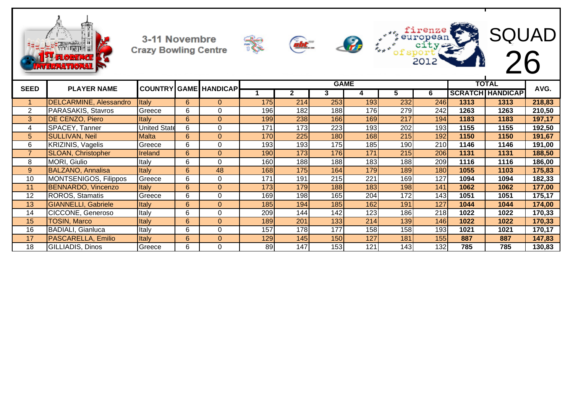









firenze<br>european

europea<br>| city<br>| of sport<br>| 2012

 $\frac{d}{dx}$ 

| <b>SEED</b>    | <b>PLAYER NAME</b>         |                     |             | <b>COUNTRY GAME HANDICAP</b> |     |                  |                  | <b>GAME</b> |     |                  |      | <b>TOTAL</b>            | AVG.   |
|----------------|----------------------------|---------------------|-------------|------------------------------|-----|------------------|------------------|-------------|-----|------------------|------|-------------------------|--------|
|                |                            |                     |             |                              |     |                  | 3                |             | b.  | 6                |      | <b>SCRATCH HANDICAP</b> |        |
|                | DELCARMINE, Alessandro     | <b>Italy</b>        | 6           | $\Omega$                     | 175 | 214              | 253              | 193         | 232 | 246              | 1313 | 1313                    | 218,83 |
| $\overline{2}$ | PARASAKIS, Stavros         | Greece              | 6           | $\Omega$                     | 196 | 182              | 188              | 176         | 279 | 242              | 1263 | 1263                    | 210,50 |
| 3              | DE CENZO, Piero            | <b>Italy</b>        | 6           | $\Omega$                     | 199 | 238              | 166              | 169         | 217 | 194              | 1183 | 1183                    | 197,17 |
| 4              | SPACEY, Tanner             | <b>United State</b> | 6           | $\Omega$                     | 171 | 173 <sub>l</sub> | 223              | 193         | 202 | 193              | 1155 | 1155                    | 192,50 |
| 5              | <b>SULLIVAN, Neil</b>      | <b>Malta</b>        | 6           | $\Omega$                     | 170 | 225              | 180              | 168         | 215 | 192              | 1150 | 1150                    | 191,67 |
| 6              | KRIZINIS, Vagelis          | Greece              | 6           | $\Omega$                     | 193 | 193              | 175              | 185         | 190 | 210 <sub>l</sub> | 1146 | 1146                    | 191,00 |
|                | <b>SLOAN, Christopher</b>  | <b>Ireland</b>      | 6           | $\Omega$                     | 190 | 173 <sub>1</sub> | <b>176</b>       | 171         | 215 | 206              | 1131 | 1131                    | 188,50 |
| 8              | MORI, Giulio               | Italy               | 6           | $\Omega$                     | 160 | 188              | 188              | 183         | 188 | 209              | 1116 | 1116                    | 186,00 |
| 9              | <b>BALZANO, Annalisa</b>   | <b>Italy</b>        | 6           | 48                           | 168 | <b>175</b>       | 164              | 179         | 189 | 180              | 1055 | 1103                    | 175,83 |
| 10             | MONTSENIGOS, Filippos      | Greece              | 6           | 0                            | 171 | 191              | 215              | 221         | 169 | 127              | 1094 | 1094                    | 182,33 |
| 11             | <b>BENNARDO, Vincenzo</b>  | <b>Italy</b>        | 6           | $\Omega$                     | 173 | 179              | 188              | 183         | 198 | 141              | 1062 | 1062                    | 177,00 |
| 12             | ROROS, Stamatis            | Greece              | 6           | $\Omega$                     | 169 | 198              | 165              | 204         | 172 | 143              | 1051 | 1051                    | 175,17 |
| 13             | <b>GIANNELLI, Gabriele</b> | <b>Italy</b>        | 6           | $\Omega$                     | 185 | 194              | <b>185</b>       | 162         | 191 | 127              | 1044 | 1044                    | 174,00 |
| 14             | CICCONE, Generoso          | Italy               | 6           | $\Omega$                     | 209 | 144              | 142              | 123         | 186 | 218              | 1022 | 1022                    | 170,33 |
| 15             | TOSIN, Marco               | Italy               | $6^{\circ}$ | $\Omega$                     | 189 | 201              | 133              | 214         | 139 | 146              | 1022 | 1022                    | 170,33 |
| 16             | <b>BADIALI, Gianluca</b>   | Italy               | 6           | $\Omega$                     | 157 | 1781             | 177              | 158         | 158 | 193 <sub>l</sub> | 1021 | 1021                    | 170,17 |
| 17             | PASCARELLA, Emilio         | <b>Italy</b>        | 6           | $\Omega$                     | 129 | 145              | 150 <sup>1</sup> | 127         | 181 | 155              | 887  | 887                     | 147,83 |
| 18             | GILLIADIS, Dinos           | Greece              | 6           | $\Omega$                     | 89  | 147              | 153              | 121         | 143 | 132              | 785  | 785                     | 130,83 |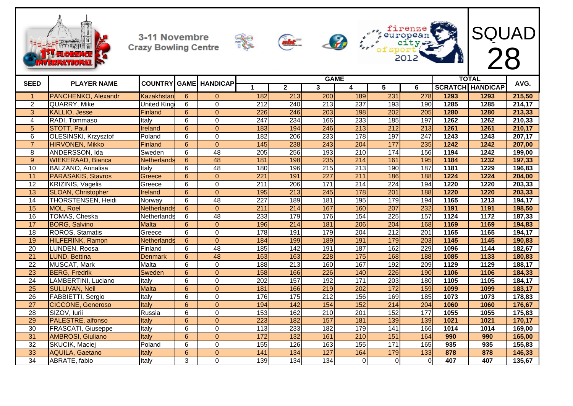







SQUAD

|                 |                           |                    |                 |                              |     |                  | <b>GAME</b>      |          |                  |                  |      | <b>TOTAL</b>            | AVG.   |
|-----------------|---------------------------|--------------------|-----------------|------------------------------|-----|------------------|------------------|----------|------------------|------------------|------|-------------------------|--------|
| <b>SEED</b>     | <b>PLAYER NAME</b>        |                    |                 | <b>COUNTRY GAME HANDICAP</b> |     | $\mathbf{2}$     | 3                | 4        | 5                | 6                |      | <b>SCRATCH HANDICAP</b> |        |
| $\mathbf 1$     | PANCHENKO, Alexandr       | Kazakhstar         | 6               | $\Omega$                     | 182 | $\overline{213}$ | 200              | 189      | 231              | 278              | 1293 | 1293                    | 215,50 |
| $\overline{2}$  | QUARRY, Mike              | <b>United King</b> | 6               | $\Omega$                     | 212 | 240              | $\overline{213}$ | 237      | 193              | 190              | 1285 | 1285                    | 214,17 |
| 3               | <b>KALLIO, Jesse</b>      | Finland            | 6               | $\Omega$                     | 226 | 246              | 203              | 198      | 202              | 205              | 1280 | 1280                    | 213,33 |
| 4               | RADI, Tommaso             | Italv              | 6               | $\Omega$                     | 247 | 234              | 166              | 233      | 185              | 197              | 1262 | 1262                    | 210,33 |
| 5               | <b>STOTT, Paul</b>        | Ireland            | 6               | $\Omega$                     | 183 | 194              | 246              | 213      | 212              | $\overline{213}$ | 1261 | 1261                    | 210,17 |
| 6               | OLESINSKI, Krzysztof      | Poland             | 6               | $\Omega$                     | 182 | 206              | 233              | 178      | 197              | $\overline{247}$ | 1243 | 1243                    | 207,17 |
| $\overline{7}$  | <b>HIRVONEN, Mikko</b>    | Finland            | 6               | $\Omega$                     | 145 | 238              | 243              | 204      | 177              | 235              | 1242 | 1242                    | 207,00 |
| 8               | ANDERSSON, Ida            | Sweden             | 6               | 48                           | 205 | 256              | 193              | 210      | 174              | 156              | 1194 | 1242                    | 199,00 |
| 9               | <b>WIEKERAAD, Bianca</b>  | Netherlands        | 6               | 48                           | 181 | 198              | 235              | 214      | 161              | 195              | 1184 | 1232                    | 197,33 |
| 10              | BALZANO, Annalisa         | Italy              | 6               | $\overline{48}$              | 180 | 196              | $\overline{215}$ | 213      | 190              | 187              | 1181 | 1229                    | 196,83 |
| 11              | PARASAKIS, Stavros        | Greece             | 6               | $\Omega$                     | 221 | 191              | 227              | 211      | 186              | 188              | 1224 | 1224                    | 204,00 |
| 12              | <b>KRIZINIS, Vagelis</b>  | Greece             | 6               | $\Omega$                     | 211 | 206              | 171              | 214      | $\overline{224}$ | 194              | 1220 | 1220                    | 203,33 |
| 13              | <b>SLOAN, Christopher</b> | Ireland            | 6               | $\Omega$                     | 195 | 213              | 245              | 178      | 201              | 188              | 1220 | 1220                    | 203,33 |
| 14              | THORSTENSEN, Heidi        | Norway             | 6               | $\overline{48}$              | 227 | 189              | 181              | 195      | 179              | 194              | 1165 | 1213                    | 194,17 |
| 15              | MOL, Roel                 | Netherlands        | 6               | $\Omega$                     | 211 | 214              | 167              | 160      | 207              | 232              | 1191 | 1191                    | 198,50 |
| 16              | TOMAS, Cheska             | Netherlands        | 6               | $\overline{48}$              | 233 | 179              | 176              | 154      | $\overline{225}$ | 157              | 1124 | 1172                    | 187,33 |
| 17              | <b>BORG, Salvino</b>      | <b>Malta</b>       | 6               | $\Omega$                     | 196 | 214              | 181              | 206      | 204              | 168              | 1169 | 1169                    | 194,83 |
| 18              | ROROS, Stamatis           | Greece             | 6               | $\Omega$                     | 178 | 191              | 179              | 204      | $\overline{212}$ | $\overline{201}$ | 1165 | 1165                    | 194,17 |
| 19              | <b>HILFERINK, Ramon</b>   | <b>Netherlands</b> | 6               | $\Omega$                     | 184 | 199              | 189              | 191      | 179              | 203              | 1145 | 1145                    | 190,83 |
| 20              | LUNDEN, Roosa             | Finland            | 6               | 48                           | 185 | 142              | 191              | 187      | 162              | 229              | 1096 | 1144                    | 182,67 |
| 21              | <b>LUND. Bettina</b>      | <b>Denmark</b>     | 6               | 48                           | 163 | 163              | 228              | 175      | 168              | 188              | 1085 | 1133                    | 180,83 |
| 22              | MUSCAT, Mark              | Malta              | 6               | $\Omega$                     | 188 | 213              | 160              | 167      | 192              | 209              | 1129 | 1129                    | 188,17 |
| 23              | <b>BERG, Fredrik</b>      | Sweden             | 6               | $\Omega$                     | 158 | 166              | 226              | 140      | 226              | 190              | 1106 | 1106                    | 184,33 |
| 24              | LAMBERTINI, Luciano       | Italy              | 6               | $\Omega$                     | 202 | 157              | 192              | 171      | 203              | 180              | 1105 | 1105                    | 184,17 |
| 25              | <b>SULLIVAN, Neil</b>     | <b>Malta</b>       | 6               | $\Omega$                     | 181 | 166              | 219              | 202      | 172              | 159              | 1099 | 1099                    | 183,17 |
| 26              | FABBIETTI, Sergio         | Italy              | 6               | $\Omega$                     | 176 | 175              | $\overline{212}$ | 156      | 169              | 185              | 1073 | 1073                    | 178,83 |
| 27              | <b>CICCONE, Generoso</b>  | Italy              | 6               | $\Omega$                     | 194 | 142              | 154              | 152      | $\overline{214}$ | 204              | 1060 | 1060                    | 176,67 |
| 28              | SIZOV, lurii              | Russia             | $6\phantom{1}6$ | $\mathbf 0$                  | 153 | 162              | $\overline{210}$ | 201      | 152              | 177              | 1055 | 1055                    | 175,83 |
| 29              | PALESTRE, alfonso         | Italy              | 6               | $\Omega$                     | 223 | 182              | 157              | 181      | 139              | 139              | 1021 | 1021                    | 170,17 |
| 30              | FRASCATI, Giuseppe        | Italy              | 6               | $\Omega$                     | 113 | 233              | 182              | 179      | 141              | 166              | 1014 | 1014                    | 169,00 |
| 31              | AMBROSI, Giuliano         | Italy              | 6               | $\Omega$                     | 172 | 132              | 161              | 210      | 151              | 164              | 990  | 990                     | 165,00 |
| 32              | SKUCIK, Maciej            | Poland             | 6               | $\Omega$                     | 155 | 126              | 163              | 155      | 171              | 165              | 935  | 935                     | 155,83 |
| 33              | <b>AQUILA, Gaetano</b>    | Italy              | 6               | $\Omega$                     | 141 | 134              | 127              | 164      | 179              | 133              | 878  | 878                     | 146,33 |
| $\overline{34}$ | ABRATE, fabio             | Italy              | 3               | 0                            | 139 | 134              | 134              | $\Omega$ | $\Omega$         | $\Omega$         | 407  | 407                     | 135,67 |

ABRATE, fabio Italy 3 0 139 134 134 0 0 0 **407 407 135,67**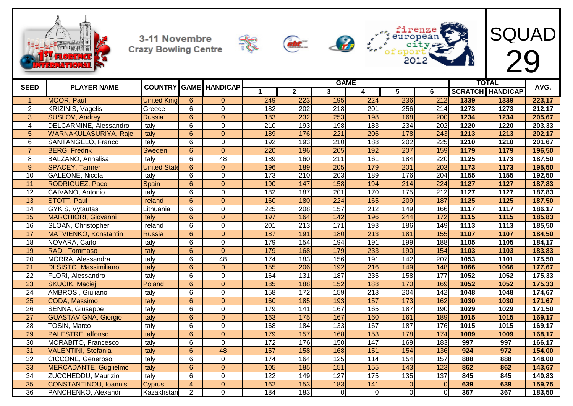









| <b>SEED</b>     | <b>PLAYER NAME</b>            |                     |                         | <b>COUNTRY GAME HANDICAP</b> |                  |                   |                         | <b>GAME</b>      |                 |                  |                   | <b>TOTAL</b>            | AVG.   |
|-----------------|-------------------------------|---------------------|-------------------------|------------------------------|------------------|-------------------|-------------------------|------------------|-----------------|------------------|-------------------|-------------------------|--------|
|                 |                               |                     |                         |                              | $\mathbf 1$      | $\mathbf{2}$      | $\overline{\mathbf{3}}$ | 4                | 5               | 6                |                   | <b>SCRATCH HANDICAP</b> |        |
| $\overline{1}$  | <b>MOOR, Paul</b>             | <b>United King</b>  | 6                       | $\Omega$                     | 249              | 223               | 195                     | 224              | 236             | 212              | 1339              | 1339                    | 223,17 |
| $\overline{2}$  | <b>KRIZINIS, Vagelis</b>      | Greece              | 6                       | $\mathbf{0}$                 | 182              | 202               | 218                     | 201              | 256             | 214              | 1273              | 1273                    | 212,17 |
| 3               | <b>SUSLOV, Andrey</b>         | Russia              | 6                       | $\Omega$                     | 183              | 232               | 253                     | 198              | 168             | 200              | 1234              | 1234                    | 205,67 |
| 4               | DELCARMINE, Alessandro        | Italy               | 6                       | $\mathbf{0}$                 | $\overline{210}$ | 193               | 198                     | 183              | 234             | $\overline{202}$ | 1220              | 1220                    | 203,33 |
| $\overline{5}$  | <b>WARNAKULASURIYA, Raje</b>  | Italy               | 6                       | $\Omega$                     | 189              | 176               | 221                     | 206              | 178             | $\overline{243}$ | 1213              | 1213                    | 202,17 |
| 6               | SANTANGELO, Franco            | Italy               | 6                       | $\overline{0}$               | 192              | 193               | $\overline{210}$        | 188              | 202             | $\overline{225}$ | 1210              | 1210                    | 201,67 |
| $\overline{7}$  | <b>BERG, Fredrik</b>          | Sweden              | $\overline{6}$          | $\overline{0}$               | 220              | 196               | 205                     | 192              | 207             | 159              | 1179              | 1179                    | 196,50 |
| 8               | BALZANO, Annalisa             | Italy               | 6                       | 48                           | 189              | 160               | $\overline{211}$        | 161              | 184             | $\overline{220}$ | 1125              | 1173                    | 187,50 |
| 9               | <b>SPACEY, Tanner</b>         | <b>United State</b> | 6                       | $\overline{0}$               | 196              | 189               | 205                     | 179              | 201             | 203              | 1173              | 1173                    | 195,50 |
| 10              | <b>GALEONE, Nicola</b>        | Italy               | 6                       | $\mathbf{0}$                 | 173              | 210               | 203                     | 189              | 176             | 204              | 1155              | 1155                    | 192,50 |
| 11              | <b>RODRIGUEZ, Paco</b>        | Spain               | $6\phantom{1}$          | $\overline{0}$               | 190              | 147               | 158                     | 194              | 214             | 224              | $\overline{1127}$ | 1127                    | 187,83 |
| $\overline{12}$ | CAIVANO, Antonio              | Italy               | 6                       | $\Omega$                     | 182              | 187               | 201                     | 170              | $\frac{175}{2}$ | $\overline{212}$ | 1127              | 1127                    | 187,83 |
| 13              | <b>STOTT, Paul</b>            | Ireland             | $6\phantom{1}$          | $\Omega$                     | 160              | 180               | 224                     | 165              | 209             | 187              | $\overline{1125}$ | 1125                    | 187,50 |
| 14              | GYKIS, Vytautas               | Lithuania           | 6                       | $\Omega$                     | 225              | 208               | 157                     | 212              | 149             | 166              | 1117              | 1117                    | 186,17 |
| 15              | <b>MARCHIORI, Giovanni</b>    | Italy               | 6                       | $\Omega$                     | 197              | 164               | 142                     | 196              | 244             | 172              | 1115              | 1115                    | 185,83 |
| 16              | SLOAN, Christopher            | Ireland             | 6                       | $\mathbf 0$                  | $\overline{201}$ | $\overline{213}$  | $\overline{171}$        | 193              | 186             | 149              | 1113              | 1113                    | 185,50 |
| $\overline{17}$ | MATVIENKO, Konstantin         | Russia              | $6\phantom{1}$          | $\overline{0}$               | 187              | 191               | 180                     | 213              | 181             | 155              | 1107              | 1107                    | 184,50 |
| 18              | NOVARA, Carlo                 | Italy               | 6                       | $\mathbf 0$                  | 179              | 154               | 194                     | 191              | 199             | 188              | 1105              | 1105                    | 184,17 |
| 19              | RADI, Tommaso                 | Italy               | $6\phantom{1}$          | $\overline{0}$               | 179              | 168               | 179                     | 233              | 190             | 154              | 1103              | 1103                    | 183,83 |
| 20              | MORRA, Alessandra             | Italy               | 6                       | $\overline{48}$              | 174              | 183               | 156                     | 191              | 142             | $\overline{207}$ | 1053              | 1101                    | 175,50 |
| 21              | <b>DI SISTO, Massimiliano</b> | Italy               | $6\phantom{1}$          | $\overline{0}$               | 155              | 206               | 192                     | $\overline{216}$ | 149             | 148              | 1066              | 1066                    | 177,67 |
| $\overline{22}$ | FLORI, Alessandro             | Italy               | 6                       | $\mathbf{0}$                 | 164              | 131               | 187                     | 235              | 158             | 177              | 1052              | 1052                    | 175,33 |
| 23              | <b>SKUCIK, Maciej</b>         | Poland              | $6\phantom{1}$          | $\Omega$                     | 185              | 188               | 152                     | 188              | 170             | 169              | 1052              | 1052                    | 175,33 |
| 24              | AMBROSI, Giuliano             | Italy               | 6                       | $\mathbf{0}$                 | 158              | 172               | 159                     | 213              | 204             | 142              | 1048              | 1048                    | 174,67 |
| $\overline{25}$ | CODA, Massimo                 | Italy               | 6                       | $\Omega$                     | 160              | 185               | 193                     | 157              | 173             | 162              | 1030              | 1030                    | 171,67 |
| $\overline{26}$ | SENNA, Giuseppe               | Italy               | 6                       | $\Omega$                     | 179              | 141               | 167                     | 165              | 187             | 190              | 1029              | 1029                    | 171,50 |
| $\overline{27}$ | <b>GUASTAVIGNA, Giorgio</b>   | Italy               | 6                       | $\Omega$                     | 163              | $\frac{175}{175}$ | 167                     | 160              | 161             | 189              | 1015              | 1015                    | 169,17 |
| $\overline{28}$ | <b>TOSIN, Marco</b>           | Italy               | 6                       | $\mathbf{0}$                 | 168              | 184               | 133                     | 167              | 187             | 176              | 1015              | 1015                    | 169,17 |
| $\overline{29}$ | PALESTRE, alfonso             | Italy               | $6\phantom{1}$          | $\overline{0}$               | 179              | 157               | 168                     | 153              | 178             | 174              | 1009              | 1009                    | 168,17 |
| 30              | MORABITO, Francesco           | Italy               | 6                       | $\mathbf{0}$                 | 172              | 176               | 150                     | 147              | 169             | 183              | 997               | 997                     | 166,17 |
| 31              | <b>VALENTINI, Stefania</b>    | Italy               | 6                       | 48                           | 157              | 158               | 168                     | 151              | 154             | 136              | 924               | 972                     | 154,00 |
| 32              | CICCONE, Generoso             | Italy               | 6                       | $\mathbf 0$                  | 174              | 164               | 125                     | 114              | 154             | 157              | 888               | 888                     | 148,00 |
| 33              | MERCADANTE, Guglielmo         | Italy               | 6                       | $\overline{0}$               | 105              | 185               | 151                     | 155              | 143             | 123              | 862               | 862                     | 143,67 |
| 34              | ZUCCHEDDU, Maurizio           | Italy               | 6                       | $\mathbf{0}$                 | 122              | 149               | 127                     | 175              | 135             | 137              | 845               | 845                     | 140,83 |
| 35              | <b>CONSTANTINOU, Ioannis</b>  | <b>Cyprus</b>       | $\overline{\mathbf{4}}$ | $\overline{0}$               | 162              | 153               | 183                     | 141              | $\mathbf{0}$    | $\Omega$         | 639               | 639                     | 159,75 |
| 36              | PANCHENKO, Alexandr           | Kazakhstan          | $\overline{2}$          | $\Omega$                     | 184              | 183               | $\overline{0}$          | $\overline{0}$   | $\Omega$        | $\Omega$         | 367               | 367                     | 183,50 |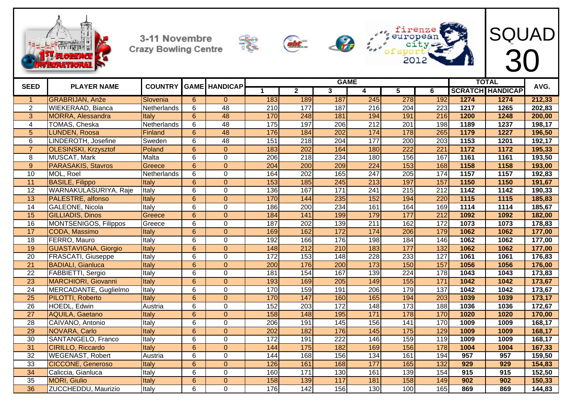









| <b>SEED</b>     |                              | <b>COUNTRY</b> |                 |                      |                  |                  |                         | <b>GAME</b>      |                   |                  |                  | <b>TOTAL</b>            |        |
|-----------------|------------------------------|----------------|-----------------|----------------------|------------------|------------------|-------------------------|------------------|-------------------|------------------|------------------|-------------------------|--------|
|                 | <b>PLAYER NAME</b>           |                |                 | <b>GAME HANDICAP</b> |                  | $\overline{2}$   | $\overline{\mathbf{3}}$ | 4                | 5                 | 6                |                  | <b>SCRATCH HANDICAP</b> | AVG.   |
|                 | <b>GRABRIJAN, Anže</b>       | Slovenia       | 6               | $\overline{0}$       | 183              | 189              | 187                     | 245              | 278               | 192              | 1274             | 1274                    | 212,33 |
| 2               | <b>WIEKERAAD, Bianca</b>     | Netherlands    | 6               | $\overline{48}$      | 210              | 177              | 187                     | 216              | $\overline{204}$  | 223              | $\frac{1217}{2}$ | 1265                    | 202,83 |
| 3               | <b>MORRA, Alessandra</b>     | Italy          | 6               | 48                   | 170              | 248              | 181                     | 194              | 191               | 216              | 1200             | 1248                    | 200,00 |
| 4               | <b>TOMAS, Cheska</b>         | Netherlands    | 6               | 48                   | 175              | 197              | 206                     | 212              | 201               | 198              | 1189             | 1237                    | 198,17 |
| $5\phantom{1}$  | <b>LUNDEN, Roosa</b>         | <b>Finland</b> | $\overline{6}$  | 48                   | 176              | 184              | 202                     | 174              | 178               | 265              | 1179             | 1227                    | 196,50 |
| $6\phantom{1}$  | LINDEROTH, Josefine          | Sweden         | 6               | 48                   | 151              | 218              | $\overline{204}$        | 177              | 200               | $\overline{203}$ | 1153             | 1201                    | 192,17 |
| $\overline{7}$  | <b>OLESINSKI, Krzysztof</b>  | Poland         | $\overline{6}$  | $\overline{0}$       | 183              | $\overline{202}$ | 164                     | 180              | 222               | 221              | 1172             | 1172                    | 195,33 |
| 8               | MUSCAT, Mark                 | Malta          | 6               | 0                    | 206              | 218              | 234                     | 180              | 156               | 167              | 1161             | 1161                    | 193,50 |
| 9               | PARASAKIS, Stavros           | Greece         | 6               | $\overline{0}$       | 204              | 200              | 209                     | 224              | 153               | 168              | 1158             | 1158                    | 193,00 |
| 10              | MOL, Roel                    | Netherlands    | 6               | $\mathbf 0$          | 164              | $\overline{202}$ | 165                     | 247              | $\overline{205}$  | 174              | 1157             | 1157                    | 192,83 |
| $\overline{11}$ | <b>BASILE, Filippo</b>       | Italy          | 6               | $\Omega$             | 153              | 185              | 245                     | $\overline{213}$ | 197               | 157              | 1150             | 1150                    | 191,67 |
| 12              | WARNAKULASURIYA, Raje        | Italy          | 6               | $\mathbf 0$          | 136              | 167              | $\overline{171}$        | 241              | 215               | 212              | 1142             | 1142                    | 190,33 |
| 13              | <b>PALESTRE, alfonso</b>     | Italy          | 6               | $\overline{0}$       | 170              | 144              | 235                     | 152              | 194               | 220              | 1115             | 1115                    | 185,83 |
| 14              | <b>GALEONE, Nicola</b>       | Italy          | 6               | $\mathbf{0}$         | 186              | 200              | 234                     | 161              | 164               | 169              | $\frac{1114}{1}$ | 1114                    | 185,67 |
| 15              | <b>GILLIADIS, Dinos</b>      | Greece         | 6               | $\Omega$             | 184              | 141              | 199                     | 179              | 177               | $\overline{212}$ | 1092             | 1092                    | 182,00 |
| 16              | <b>MONTSENIGOS, Filippos</b> | Greece         | 6               | $\mathbf{0}$         | 187              | $\overline{202}$ | 139                     | 211              | 162               | 172              | 1073             | 1073                    | 178,83 |
| 17              | CODA, Massimo                | Italy          | $\overline{6}$  | $\overline{0}$       | 169              | 162              | 172                     | 174              | 206               | 179              | 1062             | 1062                    | 177,00 |
| 18              | FERRO, Mauro                 | Italy          | 6               | 0                    | 192              | 166              | 176                     | 198              | 184               | 146              | 1062             | 1062                    | 177,00 |
| 19              | <b>GUASTAVIGNA, Giorgio</b>  | Italy          | 6               | $\overline{0}$       | 148              | $\overline{212}$ | 210                     | 183              | 177               | 132              | 1062             | 1062                    | 177,00 |
| $\overline{20}$ | <b>FRASCATI, Giuseppe</b>    | Italy          | 6               | $\overline{0}$       | $\overline{172}$ | 153              | $\overline{148}$        | $\overline{228}$ | 233               | $\overline{127}$ | 1061             | 1061                    | 176,83 |
| $\overline{21}$ | <b>BADIALI, Gianluca</b>     | Italy          | $6\overline{6}$ | $\overline{0}$       | 200              | 176              | 200                     | 173              | 150               | 157              | 1056             | 1056                    | 176,00 |
| $\overline{22}$ | FABBIETTI, Sergio            | Italy          | 6               | $\mathbf{0}$         | 181              | 154              | 167                     | 139              | 224               | 178              | 1043             | 1043                    | 173,83 |
| $\overline{23}$ | <b>MARCHIORI, Giovanni</b>   | Italy          | 6               | $\Omega$             | 193              | 169              | 205                     | 149              | 155               | 171              | 1042             | 1042                    | 173,67 |
| $\overline{24}$ | MERCADANTE, Guglielmo        | Italy          | 6               | $\mathbf{0}$         | 170              | 159              | 191                     | 206              | 179               | $\overline{137}$ | 1042             | 1042                    | 173,67 |
| $\overline{25}$ | PILOTTI, Roberto             | Italy          | 6               | $\Omega$             | 170              | 147              | 160                     | 165              | 194               | 203              | 1039             | 1039                    | 173,17 |
| $\overline{26}$ | HOEDL, Edwin                 | Austria        | 6               | $\mathbf 0$          | 152              | $\overline{203}$ | 172                     | 148              | 173               | 188              | 1036             | 1036                    | 172,67 |
| 27              | <b>AQUILA, Gaetano</b>       | Italy          | $6^{\circ}$     | $\overline{0}$       | 158              | 148              | 195                     | 171              | 178               | 170              | 1020             | 1020                    | 170,00 |
| $\overline{28}$ | CAIVANO, Antonio             | Italy          | 6               | $\mathbf{0}$         | $\overline{206}$ | 191              | 145                     | 156              | 141               | 170              | 1009             | 1009                    | 168,17 |
| $\overline{29}$ | NOVARA, Carlo                | Italy          | 6               | $\overline{0}$       | $\overline{202}$ | 182              | 176                     | $\overline{145}$ | $\frac{175}{175}$ | 129              | 1009             | 1009                    | 168,17 |
| 30              | SANTANGELO, Franco           | Italy          | 6               | $\mathbf 0$          | 172              | 191              | $\overline{222}$        | 146              | 159               | 119              | 1009             | 1009                    | 168,17 |
| 31              | <b>CIRILLO, Riccardo</b>     | Italy          | 6               | $\overline{0}$       | 144              | 175              | 182                     | 169              | 156               | 178              | 1004             | 1004                    | 167,33 |
| 32              | <b>WEGENAST, Robert</b>      | Austria        | 6               | $\mathbf{0}$         | 144              | 168              | 156                     | 134              | 161               | 194              | 957              | 957                     | 159,50 |
| 33              | <b>CICCONE, Generoso</b>     | Italy          | 6               | $\overline{0}$       | 126              | 161              | 168                     | 177              | 165               | 132              | 929              | 929                     | 154,83 |
| 34              | Caliccia, Gianluca           | Italy          | $\overline{6}$  | $\mathbf 0$          | 160              | 171              | 130                     | 161              | 139               | 154              | 915              | 915                     | 152,50 |
| 35              | <b>MORI, Giulio</b>          | Italy          | $\overline{6}$  | $\overline{0}$       | 158              | 139              | 117                     | 181              | 158               | 149              | 902              | 902                     | 150,33 |
| $\overline{36}$ | ZUCCHEDDU, Maurizio          | Italy          | 6               | $\Omega$             | 176              | 142              | 156                     | 130              | 100               | 165              | 869              | 869                     | 144,83 |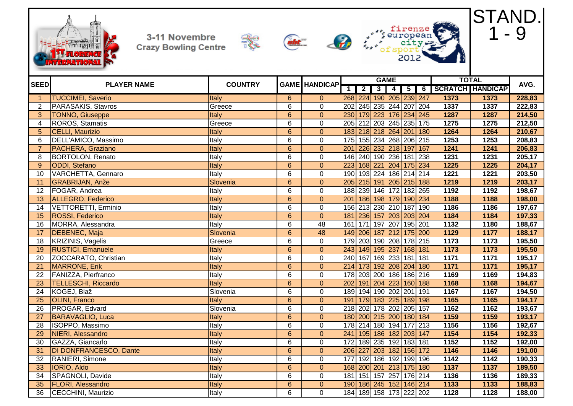









|                       |                            |                |                 |                      |                  |                |   | <b>GAME</b>             |                             |                |                   | <b>TOTAL</b>            |        |
|-----------------------|----------------------------|----------------|-----------------|----------------------|------------------|----------------|---|-------------------------|-----------------------------|----------------|-------------------|-------------------------|--------|
| <b>SEED</b>           | <b>PLAYER NAME</b>         | <b>COUNTRY</b> |                 | <b>GAME HANDICAP</b> | $\mathbf 1$      | $\overline{2}$ | 3 | $\overline{\mathbf{A}}$ | $\overline{\mathbf{5}}$     | $\overline{6}$ |                   | <b>SCRATCH HANDICAP</b> | AVG.   |
| $\mathbf{1}$          | <b>TUCCIMEI, Saverio</b>   | Italy          | $6\overline{6}$ | $\mathbf{0}$         |                  |                |   |                         | 268 224 190 205 239 247     |                | 1373              | 1373                    | 228,83 |
| $\mathbf{2}^{\prime}$ | PARASAKIS, Stavros         | Greece         | 6               | $\mathbf 0$          | 202              |                |   |                         | 245 235 244 207 204         |                | 1337              | 1337                    | 222,83 |
| $\overline{3}$        | <b>TONNO, Giuseppe</b>     | Italy          | $\overline{6}$  | $\overline{0}$       | 230              |                |   |                         | 179 223 176 234 245         |                | 1287              | 1287                    | 214,50 |
| 4                     | <b>ROROS, Stamatis</b>     | Greece         | 6               | $\overline{0}$       |                  |                |   |                         | 205 212 203 245 235 175     |                | 1275              | 1275                    | 212,50 |
| 5 <sup>5</sup>        | <b>CELLI, Maurizio</b>     | Italy          | $\overline{6}$  | $\overline{0}$       | 183              |                |   |                         | 218 218 264 201 180         |                | 1264              | 1264                    | 210,67 |
| 6                     | DELL'AMICO, Massimo        | Italy          | 6               | $\mathbf 0$          | $\overline{175}$ |                |   |                         | 155   234   268   206   215 |                | 1253              | 1253                    | 208,83 |
| $\overline{7}$        | PACHERA, Graziano          | <b>Italy</b>   | $\overline{6}$  | $\overline{0}$       | 201              |                |   |                         | 226 232 218 197             | 167            | 1241              | 1241                    | 206,83 |
| 8                     | <b>BORTOLON, Renato</b>    | Italy          | $\overline{6}$  | $\overline{0}$       | 146              |                |   |                         | 240 190 236 181 238         |                | 1231              | 1231                    | 205,17 |
| $\overline{9}$        | <b>ODDI</b> , Stefano      | <b>Italy</b>   | $\overline{6}$  | $\overline{0}$       | 223              |                |   |                         | 168 221 204 175             | 234            | 1225              | 1225                    | 204,17 |
| 10                    | VARCHETTA, Gennaro         | Italy          | 6               | $\mathbf 0$          |                  |                |   |                         | 190 193 224 186 214 214     |                | 1221              | 1221                    | 203,50 |
| 11                    | <b>GRABRIJAN, Anže</b>     | Slovenia       | $\overline{6}$  | $\overline{0}$       |                  |                |   |                         | 205 215 191 205 215 188     |                | 1219              | 1219                    | 203,17 |
| 12                    | FOGAR, Andrea              | Italy          | 6               | $\mathbf 0$          |                  |                |   |                         | 188 239 146 172 182 265     |                | 1192              | 1192                    | 198,67 |
| 13                    | <b>ALLEGRO, Federico</b>   | Italy          | $6\phantom{a}$  | $\overline{0}$       | 201              |                |   |                         | 186 198 179 190 234         |                | 1188              | 1188                    | 198,00 |
| $\overline{14}$       | <b>VETTORETTI, Erminio</b> | Italy          | 6               | $\overline{0}$       |                  |                |   |                         | 156 213 230 210 187         | 190            | 1186              | 1186                    | 197,67 |
| 15                    | ROSSI, Federico            | Italy          | $6\overline{6}$ | $\overline{0}$       | 181              |                |   |                         | 236 157 203 203 204         |                | 1184              | 1184                    | 197,33 |
| 16                    | MORRA, Alessandra          | Italy          | 6               | 48                   | 161              |                |   |                         | 171 197 207 195 201         |                | 1132              | 1180                    | 188,67 |
| 17                    | DEBENEC, Maja              | Slovenia       | $6\phantom{a}$  | 48                   | 149              |                |   |                         | 206 187 212 175 200         |                | 1129              | 1177                    | 188,17 |
| 18                    | <b>KRIZINIS, Vagelis</b>   | Greece         | 6               | $\mathbf 0$          | 179              |                |   |                         | 203 190 208 178 215         |                | 1173              | 1173                    | 195,50 |
| 19                    | <b>RUSTICI, Emanuele</b>   | <b>Italy</b>   | $6\phantom{1}$  | $\mathbf{0}$         | 243              |                |   |                         | 149 195 237 168 181         |                | 1173              | 1173                    | 195,50 |
| 20                    | ZOCCARATO, Christian       | Italy          | $\overline{6}$  | $\mathbf 0$          | 240              |                |   |                         | 167 169 233 181             | 181            | 1171              | $\frac{1171}{11}$       | 195,17 |
| 21                    | <b>MARRONE, Erik</b>       | Italy          | $\overline{6}$  | $\overline{0}$       | 214              |                |   |                         | 173 192 208 204 180         |                | 1171              | 1171                    | 195,17 |
| 22                    | FANIZZA, Pierfranco        | Italy          | 6               | $\pmb{0}$            | 178              |                |   |                         | 203 200 186 186             | 216            | 1169              | 1169                    | 194,83 |
| 23                    | <b>TELLESCHI, Riccardo</b> | Italy          | $6\overline{6}$ | $\pmb{0}$            | 202              | 191            |   |                         | 204 223 160 188             |                | 1168              | 1168                    | 194,67 |
| 24                    | KOGEJ, Blaž                | Slovenia       | 6               | $\mathbf 0$          | 189              |                |   | 194 190 202 201         |                             | 191            | 1167              | 1167                    | 194,50 |
| 25                    | <b>OLINI, Franco</b>       | Italy          | $6\phantom{1}$  | $\overline{0}$       | 191              |                |   |                         | 179 183 225 189 198         |                | 1165              | 1165                    | 194,17 |
| 26                    | PROGAR, Edvard             | Slovenia       | 6               | $\pmb{0}$            | $\overline{218}$ |                |   |                         | 202 178 202 205 157         |                | 1162              | 1162                    | 193,67 |
| 27                    | <b>BARAVAGLIO, Luca</b>    | Italy          | $\overline{6}$  | $\overline{0}$       | 180              |                |   |                         | 200 215 200 180 184         |                | 1159              | 1159                    | 193,17 |
| 28                    | ISOPPO, Massimo            | Italy          | $6\phantom{1}$  | $\mathbf 0$          | 178              |                |   |                         | 214 180 194 177             | 213            | 1156              | 1156                    | 192,67 |
| 29                    | NIERI, Alessandro          | Italy          | $\overline{6}$  | $\overline{0}$       | 241              |                |   |                         | 195 186 182 203 147         |                | 1154              | 1154                    | 192,33 |
| 30                    | GAZZA, Giancarlo           | Italy          | 6               | $\mathbf 0$          | 172              |                |   |                         | 189 235 192 183 181         |                | $\overline{1152}$ | 1152                    | 192,00 |
| 31                    | DI DONFRANCESCO, Dante     | Italy          | $\overline{6}$  | $\overline{0}$       | 206              | 227            |   |                         | 203 182 156                 | 172            | 1146              | 1146                    | 191,00 |
| 32                    | RANIERI, Simone            | Italy          | 6               | $\mathbf 0$          | 177              |                |   |                         | 192 186 192 199 196         |                | 1142              | 1142                    | 190,33 |
| 33                    | <b>IORIO, Aldo</b>         | Italy          | $6\phantom{1}$  | $\overline{0}$       | 168              |                |   |                         | 200 201 213 175 180         |                | 1137              | 1137                    | 189,50 |
| $\overline{34}$       | SPAGNOLI, Davide           | Italy          | 6               | $\mathbf 0$          | 181              |                |   |                         | 151 157 257 176 214         |                | 1136              | 1136                    | 189,33 |
| 35                    | <b>FLORI, Alessandro</b>   | Italy          | 6               | $\mathbf 0$          | 190              |                |   |                         | 186 245 152 146 214         |                | 1133              | 1133                    | 188,83 |
| 36                    | <b>CECCHINI, Maurizio</b>  | Italy          | $\overline{6}$  | $\overline{0}$       |                  |                |   |                         | 184 189 158 173 222 202     |                | 1128              | 1128                    | 188,00 |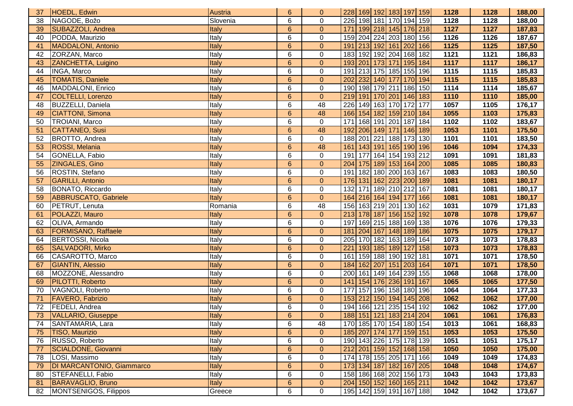| 37                             | HOEDL, Edwin                | Austria  | 6              | $\overline{0}$   | 228 169 192 183 197 159           |  |                 |     | 1128   | 1128 | 188,00 |
|--------------------------------|-----------------------------|----------|----------------|------------------|-----------------------------------|--|-----------------|-----|--------|------|--------|
| 38                             | NAGODE, Božo                | Slovenia | 6              | $\mathbf 0$      | 226 198 181 170 194 159           |  |                 |     | 1128   | 1128 | 188,00 |
| 39                             | SUBAZZOLI, Andrea           | Italy    | $6\phantom{1}$ | $\mathbf{0}$     | 171   199   218   145   176   218 |  |                 |     | 1127   | 1127 | 187,83 |
| 40                             | PODDA, Maurizio             | Italy    | 6              | $\mathbf 0$      | 159 204 224 203 180 156           |  |                 |     | 1126   | 1126 | 187,67 |
| 41                             | MADDALONI, Antonio          | Italy    | $6\phantom{a}$ | $\mathbf{0}$     | 191 213 192 161 202 166           |  |                 |     | 1125   | 1125 | 187,50 |
| 42                             | ZORZAN, Marco               | Italy    | 6              | $\mathbf 0$      | 183 192 192 204 168 182           |  |                 |     | 1121   | 1121 | 186,83 |
| 43                             | ZANCHETTA, Luigino          | Italy    | $6\phantom{1}$ | $\overline{0}$   | 193 201 173 171 195               |  |                 | 184 | $1117$ | 1117 | 186,17 |
| 44                             | <b>INGA, Marco</b>          | Italy    | 6              | 0                | 191 213 175 185 155               |  |                 | 196 | 1115   | 1115 | 185,83 |
| 45                             | <b>TOMATIS, Daniele</b>     | Italy    | $6\phantom{1}$ | $\mathbf{0}$     | 202 232 140 177 170 194           |  |                 |     | 1115   | 1115 | 185,83 |
| 46                             | MADDALONI, Enrico           | Italy    | 6              | $\mathbf 0$      | 190 198 179 211 186               |  |                 | 150 | 1114   | 1114 | 185,67 |
| 47                             | <b>COLTELLI, Lorenzo</b>    | Italy    | $6\phantom{1}$ | $\mathbf{0}$     | 219 191 170 201 146               |  |                 | 183 | 1110   | 1110 | 185,00 |
| 48                             | <b>BUZZELLI, Daniela</b>    | Italy    | 6              | 48               | 226 149 163 170 172               |  |                 | 177 | 1057   | 1105 | 176,17 |
| 49                             | <b>CIATTONI</b> , Simona    | Italy    | $6\phantom{a}$ | 48               | 166 154 182 159 210 184           |  |                 |     | 1055   | 1103 | 175,83 |
| 50                             | TROIANI, Marco              | Italy    | 6              | $\mathbf 0$      | 171 168 191 201 187 184           |  |                 |     | 1102   | 1102 | 183,67 |
| 51                             | CATTANEO, Susi              | Italy    | $6\phantom{1}$ | 48               | 192 206 149 171 146               |  |                 | 189 | 1053   | 1101 | 175,50 |
| 52                             | BROTTO, Andrea              | Italy    | 6              | $\mathbf 0$      | 188 201 221 188 173 130           |  |                 |     | 1101   | 1101 | 183,50 |
| 53                             | ROSSI, Melania              | Italy    | $6\phantom{a}$ | 48               | 161 143 191 165 190 196           |  |                 |     | 1046   | 1094 | 174,33 |
| 54                             | GONELLA, Fabio              | Italy    | 6              | $\pmb{0}$        | 191 177 164 154 193 212           |  |                 |     | 1091   | 1091 | 181,83 |
| 55                             | ZINGALES, Gino              | Italy    | $6\phantom{1}$ | $\mathbf{0}$     | 204 175 189 153 164 200           |  |                 |     | 1085   | 1085 | 180,83 |
| 56                             | ROSTIN, Stefano             | Italy    | 6              | $\mathbf 0$      | 191   182   180   200   163   167 |  |                 |     | 1083   | 1083 | 180,50 |
| 57                             | <b>GARILLI, Antonio</b>     | Italy    | $6\phantom{a}$ | $\mathbf{0}$     | 176 131 162 223 200 189           |  |                 |     | 1081   | 1081 | 180,17 |
| 58                             | BONATO, Riccardo            | Italy    | 6              | $\pmb{0}$        | 132                               |  | 171 189 210 212 | 167 | 1081   | 1081 | 180,17 |
| 59                             | <b>ABBRUSCATO, Gabriele</b> | Italy    | $6\phantom{1}$ | $\mathbf{0}$     | 164 216 164 194 177               |  |                 | 166 | 1081   | 1081 | 180,17 |
| 60                             | <b>PETRUT, Lenuta</b>       | Romania  | 6              | 48               | 156 163 219 201 130 162           |  |                 |     | 1031   | 1079 | 171,83 |
|                                |                             |          |                |                  |                                   |  |                 |     |        |      |        |
| 61                             | POLAZZI, Mauro              | Italy    | $6\phantom{1}$ | $\mathbf{0}$     | 213 178 187 156 152 192           |  |                 |     | 1078   | 1078 | 179,67 |
| 62                             | OLIVA, Armando              | Italy    | 6              | $\mathbf 0$      | 197 169 215 188 169 138           |  |                 |     | 1076   | 1076 | 179,33 |
| 63                             | <b>FORMISANO, Raffaele</b>  | Italy    | $6\phantom{1}$ | $\mathbf{0}$     | 181 204 167 148 189 186           |  |                 |     | 1075   | 1075 | 179,17 |
| 64                             | BERTOSSI, Nicola            | Italy    | 6              | 0                | 205 170 182 163 189 164           |  |                 |     | 1073   | 1073 | 178,83 |
| 65                             | SALVADORI, Mirko            | Italy    | $\overline{6}$ | $\mathbf{0}$     | 221   193   185   189   127   158 |  |                 |     | 1073   | 1073 | 178,83 |
| 66                             | CASAROTTO, Marco            | Italy    | 6              | $\mathbf 0$      | 161 159 188 190 192 181           |  |                 |     | 1071   | 1071 | 178,50 |
| 67                             | <b>GIANTIN, Alessio</b>     | Italy    | $6\phantom{1}$ | $\mathbf{0}$     | 184 162 207 151 203 164           |  |                 |     | 1071   | 1071 | 178,50 |
| 68                             | MOZZONE, Alessandro         | Italy    | 6              | $\mathbf 0$      | 200 161 149 164 239 155           |  |                 |     | 1068   | 1068 | 178,00 |
| 69                             | <b>PILOTTI, Roberto</b>     | Italy    | $6\phantom{1}$ | $\mathbf{0}$     | 141 154 176 236 191 167           |  |                 |     | 1065   | 1065 | 177,50 |
| 70                             | VAGNOLI, Roberto            | Italy    | 6              | $\mathbf 0$      | 177 157 196 158 180 196           |  |                 |     | 1064   | 1064 | 177,33 |
| 71                             | FAVERO, Fabrizio            | Italy    | $6\phantom{a}$ | $\mathbf{0}$     | 153 212 150 194 145 208           |  |                 |     | 1062   | 1062 | 177,00 |
| 72                             | <b>FEDELI, Andrea</b>       | Italy    | 6              | $\mathbf 0$      | 194 166 121 235 154 192           |  |                 |     | 1062   | 1062 | 177,00 |
| $\overline{\phantom{a}}$<br>73 | VALLARIO, Giuseppe          | Italy    | 6              | $\mathbf{0}$     | 188 151 121 183 214 204           |  |                 |     | 1061   | 1061 | 176,83 |
| 74                             | SANTAMARIA, Lara            | Italy    | 6              | 48               | 170 185 170 154 180 154           |  |                 |     | 1013   | 1061 | 168,83 |
| 75                             | <b>TISO, Maurizio</b>       | Italy    | 6              | $\mathbf{0}$     | 185 207 174 177 159 151           |  |                 |     | 1053   | 1053 | 175,50 |
| 76                             | RUSSO, Roberto              | Italy    | 6              | $\boldsymbol{0}$ | 190 143 226 175 178 139           |  |                 |     | 1051   | 1051 | 175,17 |
| 77                             | SCIALDONE, Giovanni         | Italy    | 6              | $\mathbf{0}$     | 212 201 159 152 168 158           |  |                 |     | 1050   | 1050 | 175,00 |
| 78                             | LOSI, Massimo               | Italy    | 6              | $\pmb{0}$        | 174 178 155 205 171 166           |  |                 |     | 1049   | 1049 | 174,83 |
| 79                             | DI MARCANTONIO, Giammarco   | Italy    | 6              | $\overline{0}$   | 173 134 187 182 167 205           |  |                 |     | 1048   | 1048 | 174,67 |
| 80                             | STEFANELLI, Fabio           | Italy    | 6              | $\mathbf 0$      | 158 186 168 202 156 173           |  |                 |     | 1043   | 1043 | 173,83 |
| 81                             | BARAVAGLIO, Bruno           | Italy    | $6\phantom{.}$ | $\mathbf{0}$     | 204 150 152 160 165 211           |  |                 |     | 1042   | 1042 | 173,67 |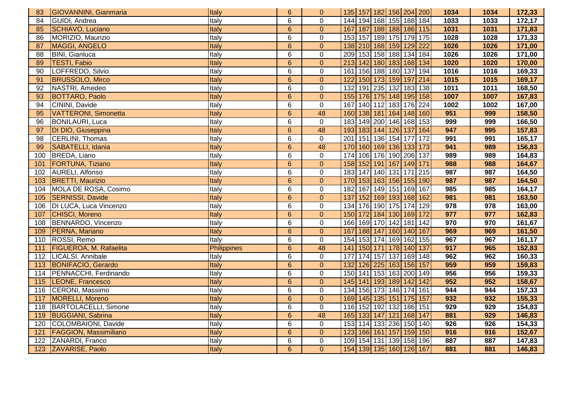| 83  | <b>GIOVANNINI, Gianmaria</b>  | Italy        | 6               | $\mathbf{0}$     | 135 157 182 156 204 200 |  |                         |     |     | 1034 | 1034             | 172,33 |
|-----|-------------------------------|--------------|-----------------|------------------|-------------------------|--|-------------------------|-----|-----|------|------------------|--------|
| 84  | GUIDI, Andrea                 | Italy        | 6               | $\mathbf 0$      | 144 194 168 155 188 184 |  |                         |     |     | 1033 | 1033             | 172,17 |
| 85  | SCHIAVO, Luciano              | Italy        | $6\phantom{1}$  | $\mathbf{0}$     |                         |  | 167 187 188 188 186 115 |     |     | 1031 | 1031             | 171,83 |
| 86  | MORIZIO, Maurizio             | Italy        | 6               | $\boldsymbol{0}$ | 153                     |  | 157 189 175 179 175     |     |     | 1028 | 1028             | 171,33 |
| 87  | MAGGI, ANGELO                 | Italy        | $6\overline{6}$ | $\overline{0}$   | 138 210 168 159 129 222 |  |                         |     |     | 1026 | 1026             | 171,00 |
| 88  | <b>BINI, Gianluca</b>         | Italy        | $\overline{6}$  | $\overline{0}$   | 209 153 158 188 134 184 |  |                         |     |     | 1026 | 1026             | 171,00 |
| 89  | <b>TESTI, Fabio</b>           | Italy        | $6\phantom{a}$  | $\overline{0}$   | 213                     |  | 142 180 183 168 134     |     |     | 1020 | 1020             | 170,00 |
| 90  | LOFFREDO, Silvio              | Italy        | 6               | $\mathbf 0$      | 161                     |  | 156 188 180 137         |     | 194 | 1016 | 1016             | 169,33 |
| 91  | <b>BRUSSOLO, Mirco</b>        | Italy        | $6\phantom{1}$  | $\mathbf{0}$     | 122                     |  | 150 173 159 197         |     | 214 | 1015 | 1015             | 169,17 |
| 92  | NASTRI, Amedeo                | Italy        | 6               | $\mathbf 0$      | $\overline{132}$        |  | 191 235 132 183 138     |     |     | 1011 | 1011             | 168,50 |
| 93  | <b>BOTTARO, Paolo</b>         | Italy        | $6\phantom{a}$  | $\mathbf{0}$     | 155 176 175 148 195 158 |  |                         |     |     | 1007 | 1007             | 167,83 |
| 94  | CININI, Davide                | Italy        | $\overline{6}$  | $\overline{0}$   | 167                     |  | 140 112 183 176 224     |     |     | 1002 | 1002             | 167,00 |
| 95  | <b>VATTERONI, Simonetta</b>   | Italy        | $6\phantom{a}$  | 48               | 160 138 181 164 148 160 |  |                         |     |     | 951  | 999              | 158,50 |
| 96  | <b>BONILAURI, Luca</b>        | Italy        | 6               | $\boldsymbol{0}$ | 183                     |  | 149 200 146 168 153     |     |     | 999  | 999              | 166,50 |
| 97  | DI DIO, Giuseppina            | Italy        | $6\phantom{1}$  | 48               | 193                     |  | 183 144 126 137         |     | 164 | 947  | 995              | 157,83 |
| 98  | CERLINI, Thomas               | Italy        | 6               | $\mathbf 0$      | 201                     |  | 151 136 154             | 177 | 172 | 991  | 991              | 165,17 |
| 99  | SABATELLI, Idania             | Italy        | $6\phantom{a}$  | 48               | 170                     |  | 160 169 136 133 173     |     |     | 941  | 989              | 156,83 |
| 100 | BREDA, Liano                  | Italy        | $\overline{6}$  | $\mathbf 0$      | 174                     |  | 106 176 190 206 137     |     |     | 989  | 989              | 164,83 |
| 101 | <b>FORTUNA, Tiziano</b>       | Italy        | $6\overline{6}$ | $\overline{0}$   | 158                     |  | 152 191 167 149 171     |     |     | 988  | 988              | 164,67 |
| 102 | AURELI, Alfonso               | Italy        | 6               | $\mathbf 0$      | 183                     |  | 147 140 131 171         |     | 215 | 987  | 987              | 164,50 |
| 103 | <b>BRETTI, Maurizio</b>       | Italy        | $6\phantom{a}$  | $\mathbf 0$      | 170 153 163 156 155     |  |                         |     | 190 | 987  | 987              | 164,50 |
|     | 104 MOLA DE ROSA, Cosimo      | Italy        | 6               | $\mathbf 0$      | 182                     |  | 167 149 151 169         |     | 167 | 985  | 985              | 164,17 |
| 105 | SERNISSI, Davide              | <b>Italy</b> | $\overline{6}$  | $\overline{0}$   | 137                     |  | 152 169 193 168 162     |     |     | 981  | 981              | 163,50 |
| 106 | <b>DI LUCA, Luca Vincenzo</b> | Italy        | $\overline{6}$  | $\overline{0}$   | 134 176 190 175 174     |  |                         |     | 129 | 978  | $\overline{978}$ | 163,00 |
| 107 | <b>CHISCI, Moreno</b>         | Italy        | $6\phantom{1}$  | $\mathbf{0}$     | 150 172 184 130 169 172 |  |                         |     |     | 977  | 977              | 162,83 |
| 108 | BENNARDO, Vincenzo            | Italy        | 6               | $\mathbf 0$      | 166                     |  | 169 170 142 181         |     | 142 | 970  | 970              | 161,67 |
| 109 | PERNA, Mariano                | <b>Italy</b> | $\overline{6}$  | $\overline{0}$   | 167                     |  | 188 147 160 140         |     | 167 | 969  | 969              | 161,50 |
| 110 | ROSSI, Remo                   | Italy        | 6               | $\overline{0}$   | 154                     |  | 153 174 169 162         |     | 155 | 967  | 967              | 161,17 |
| 111 | <b>FIGUEROA, M. Rafaelita</b> | Philippines  | $\overline{6}$  | 48               | $\overline{141}$        |  | 150 171 178 140 137     |     |     | 917  | 965              | 152,83 |
|     | 112 LICALSI, Annibale         | Italy        | $\overline{6}$  | $\mathbf 0$      | 177                     |  | 174 157 137 169 148     |     |     | 962  | 962              | 160,33 |
| 113 | <b>BONIFACIO, Gerardo</b>     | Italy        | $\overline{6}$  | $\overline{0}$   | 132 126 225 163 156 157 |  |                         |     |     | 959  | 959              | 159,83 |
| 114 | PENNACCHI, Ferdinando         | Italy        | 6               | $\mathbf 0$      | 150                     |  | 141 153 163 200 149     |     |     | 956  | 956              | 159,33 |
| 115 | LEONE, Francesco              | Italy        | $6\phantom{1}$  | $\pmb{0}$        | 145                     |  | 141 193 189 142         |     | 142 | 952  | 952              | 158,67 |
| 116 | CERONI, Massimo               | Italy        | 6               | $\overline{0}$   | 134                     |  | 156 173 146 174 161     |     |     | 944  | 944              | 157,33 |
| 117 | MORELLI, Moreno               | Italy        | $6\overline{6}$ | $\overline{0}$   | 169                     |  | 145 135 151 175 157     |     |     | 932  | 932              | 155,33 |
|     | 118 BARTOLACELLI, Simone      | Italy        | 6               | $\mathbf 0$      | 116 152 192 132 186 151 |  |                         |     |     | 929  | 929              | 154,83 |
| 119 | <b>BUGGIANI, Sabrina</b>      | Italy        | $\overline{6}$  | 48               | 165 133 147 121 168 147 |  |                         |     |     | 881  | 929              | 146,83 |
| 120 | COLOMBAIONI, Davide           | Italy        | 6               | $\mathbf 0$      | 153                     |  | 114 133 236 150 140     |     |     | 926  | 926              | 154,33 |
| 121 | <b>FAGGION, Massimiliano</b>  | Italy        | $6\phantom{1}$  | $\pmb{0}$        | 123                     |  | 166 161 157 159 150     |     |     | 916  | 916              | 152,67 |
| 122 | ZANARDI, Franco               | Italy        | 6               | $\boldsymbol{0}$ | 109                     |  | 154 131 139 158 196     |     |     | 887  | 887              | 147,83 |
| 123 | ZAVARISE, Paolo               | Italy        | $6\phantom{a}$  | $\overline{0}$   |                         |  | 154 139 135 160 126 167 |     |     | 881  | 881              | 146,83 |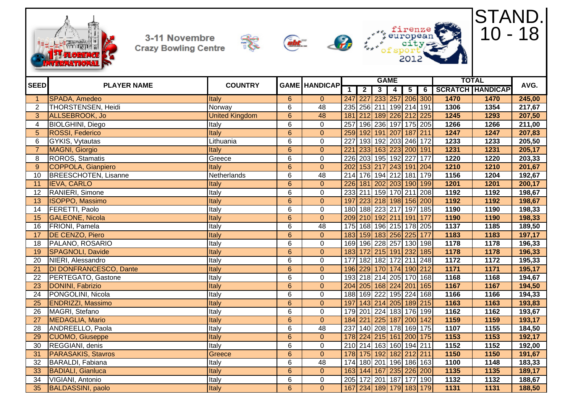









STAND.

| <b>SEED</b>     | <b>PLAYER NAME</b>          | <b>COUNTRY</b>        |                | <b>GAME HANDICAP</b> |             |                     |   | <b>GAME</b>    |                         |     |      | <b>TOTAL</b>            | AVG.   |
|-----------------|-----------------------------|-----------------------|----------------|----------------------|-------------|---------------------|---|----------------|-------------------------|-----|------|-------------------------|--------|
|                 |                             |                       |                |                      | $\mathbf 1$ | $\overline{2}$      | 3 | $\overline{4}$ | $\overline{\mathbf{5}}$ | 6   |      | <b>SCRATCH HANDICAP</b> |        |
| $\mathbf{1}$    | <b>SPADA, Amedeo</b>        | Italy                 | $6\phantom{1}$ | $\overline{0}$       |             |                     |   |                | 247 227 233 257 206 300 |     | 1470 | 1470                    | 245,00 |
| $\overline{2}$  | THORSTENSEN, Heidi          | Norway                | 6              | 48                   |             |                     |   |                | 235 256 211 199 214 191 |     | 1306 | 1354                    | 217,67 |
| 3 <sup>1</sup>  | ALLSEBROOK, Jo              | <b>United Kingdom</b> | $\overline{6}$ | 48                   | 181         |                     |   |                | 212 189 226 212 225     |     | 1245 | 1293                    | 207,50 |
| 4               | <b>BIOLGHINI, Diego</b>     | Italy                 | $\overline{6}$ | $\mathbf 0$          | 257         |                     |   |                | 196 236 197 175 205     |     | 1266 | 1266                    | 211,00 |
| 5               | <b>ROSSI, Federico</b>      | Italy                 | $\overline{6}$ | $\overline{0}$       |             |                     |   |                | 259 192 191 207 187 211 |     | 1247 | 1247                    | 207,83 |
| 6               | <b>GYKIS, Vytautas</b>      | Lithuania             | 6              | $\mathbf{0}$         | 227         |                     |   |                | 193 192 203 246 172     |     | 1233 | 1233                    | 205,50 |
| $\overline{7}$  | MAGNI, Giorgio              | Italy                 | $6\phantom{1}$ | $\mathbf{0}$         | 221         |                     |   |                | 233 163 223 200 191     |     | 1231 | 1231                    | 205,17 |
| 8               | <b>ROROS, Stamatis</b>      | Greece                | 6              | $\mathbf 0$          |             |                     |   |                | 226 203 195 192 227 177 |     | 1220 | 1220                    | 203,33 |
| 9               | COPPOLA, Gianpiero          | Italy                 | $\overline{6}$ | $\overline{0}$       |             |                     |   |                | 202 153 217 243 191 204 |     | 1210 | 1210                    | 201,67 |
| 10              | <b>BREESCHOTEN, Lisanne</b> | Netherlands           | $\overline{6}$ | 48                   |             |                     |   |                | 214 176 194 212 181 179 |     | 1156 | 1204                    | 192,67 |
| 11              | <b>IEVA, CARLO</b>          | Italy                 | $\overline{6}$ | $\overline{0}$       |             |                     |   |                | 226 181 202 203 190 199 |     | 1201 | 1201                    | 200,17 |
| 12              | RANIERI, Simone             | Italy                 | $\overline{6}$ | $\mathbf 0$          |             |                     |   |                | 233 211 159 170 211 208 |     | 1192 | 1192                    | 198,67 |
| 13              | <b>ISOPPO, Massimo</b>      | Italy                 | $\,6\,$        | $\mathbf{0}$         | 197         |                     |   |                | 223 218 198 156 200     |     | 1192 | 1192                    | 198,67 |
| 14              | FERETTI, Paolo              | Italy                 | $\overline{6}$ | $\mathbf 0$          |             |                     |   |                | 180 188 223 217 197 185 |     | 1190 | 1190                    | 198,33 |
| 15              | <b>GALEONE, Nicola</b>      | <b>Italy</b>          | $\overline{6}$ | $\overline{0}$       |             |                     |   |                | 209 210 192 211 191 177 |     | 1190 | 1190                    | 198,33 |
| 16              | FRIONI, Pamela              | Italy                 | $\overline{6}$ | $\overline{48}$      |             |                     |   |                | 175 168 196 215 178 205 |     | 1137 | 1185                    | 189,50 |
| 17              | DE CENZO, Piero             | Italy                 | $6\phantom{a}$ | $\overline{0}$       |             |                     |   |                | 183 159 183 256 225 177 |     | 1183 | 1183                    | 197,17 |
| 18              | PALANO, ROSARIO             | Italy                 | $\overline{6}$ | $\mathbf 0$          |             |                     |   |                | 169 196 228 257 130 198 |     | 1178 | 1178                    | 196,33 |
| 19              | <b>SPAGNOLI, Davide</b>     | Italy                 | $\overline{6}$ | $\mathbf{0}$         |             | 183 172 215 191 232 |   |                |                         | 185 | 1178 | 1178                    | 196,33 |
| 20              | NIERI, Alessandro           | Italy                 | $\overline{6}$ | $\mathbf 0$          | 177         |                     |   |                | 182 182 172 211 248     |     | 1172 | 1172                    | 195,33 |
| 21              | DI DONFRANCESCO, Dante      | Italy                 | $\overline{6}$ | $\mathbf{0}$         | 196         |                     |   |                | 229 170 174 190 212     |     | 1171 | 1171                    | 195,17 |
| 22              | PERTEGATO, Gastone          | Italy                 | $\overline{6}$ | $\mathbf 0$          |             |                     |   |                | 193 218 214 205 170 168 |     | 1168 | 1168                    | 194,67 |
| 23              | DONINI, Fabrizio            | Italy                 | $6\phantom{.}$ | $\mathbf{0}$         |             | 204 205 168 224 201 |   |                |                         | 165 | 1167 | 1167                    | 194,50 |
| 24              | PONGOLINI, Nicola           | Italy                 | $\overline{6}$ | $\mathbf 0$          |             |                     |   |                | 188 169 222 195 224 168 |     | 1166 | 1166                    | 194,33 |
| 25              | <b>ENDRIZZI, Massimo</b>    | Italy                 | $\overline{6}$ | $\overline{0}$       | 197         |                     |   |                | 143 214 205 189 215     |     | 1163 | 1163                    | 193,83 |
| 26              | MAGRI, Stefano              | Italy                 | $\overline{6}$ | $\overline{0}$       |             |                     |   |                | 179 201 224 183 176 199 |     | 1162 | 1162                    | 193,67 |
| 27              | MEDAGLIA, Mario             | Italy                 | $6\phantom{a}$ | $\overline{0}$       |             |                     |   |                | 184 221 225 187 200 142 |     | 1159 | 1159                    | 193,17 |
| 28              | ANDREELLO, Paola            | Italy                 | $\overline{6}$ | 48                   | 237         |                     |   |                | 140 208 178 169 175     |     | 1107 | 1155                    | 184,50 |
| 29              | <b>CUOMO, Giuseppe</b>      | Italy                 | $\overline{6}$ | $\overline{0}$       |             |                     |   |                | 178 224 215 161 200 175 |     | 1153 | 1153                    | 192,17 |
| 30              | REGGIANI, denis             | Italy                 | 6              | $\mathbf 0$          |             |                     |   |                | 210 214 163 160 194 211 |     | 1152 | 1152                    | 192,00 |
| 31              | <b>PARASAKIS, Stavros</b>   | Greece                | $6\phantom{a}$ | $\overline{0}$       |             |                     |   |                | 178 175 192 182 212 211 |     | 1150 | 1150                    | 191,67 |
| 32              | BARALDI, Fabiana            | <b>Italy</b>          | 6              | 48                   | 174         | 180 201             |   |                | 196 186 163             |     | 1100 | 1148                    | 183,33 |
| 33              | <b>BADIALI, Gianluca</b>    | <b>Italy</b>          | $6\phantom{1}$ | $\overline{0}$       |             |                     |   |                | 163 144 167 235 226 200 |     | 1135 | 1135                    | 189,17 |
| 34              | VIGIANI, Antonio            | Italy                 | 6              | $\mathbf 0$          |             |                     |   |                | 205 172 201 187 177 190 |     | 1132 | 1132                    | 188,67 |
| $\overline{35}$ | <b>BALDASSINI</b> , paolo   | Italy                 | $\overline{6}$ | $\mathbf{0}$         |             |                     |   |                | 167 234 189 179 183 179 |     | 1131 | 1131                    | 188,50 |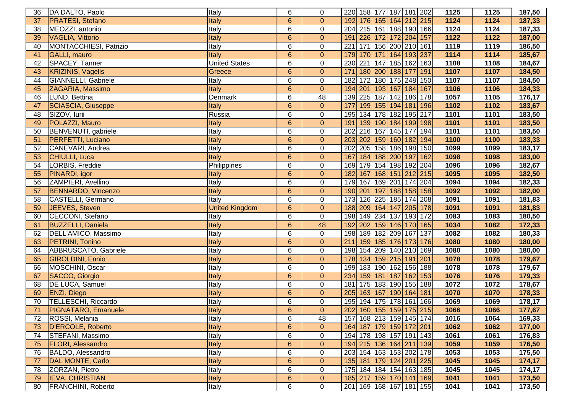| 36 | DA DALTO, Paolo           | Italy                 | 6              | 0                | 220 158 177 187 181 202           |                       |                             | 1125        | 1125 | 187,50 |
|----|---------------------------|-----------------------|----------------|------------------|-----------------------------------|-----------------------|-----------------------------|-------------|------|--------|
| 37 | <b>PRATESI, Stefano</b>   | Italy                 | $6\phantom{1}$ | $\overline{0}$   | 192                               |                       | 176   165   164   212   215 | 1124        | 1124 | 187,33 |
| 38 | MEOZZI, antonio           | Italy                 | 6              | $\mathbf 0$      | 204 215 161 188 190 166           |                       |                             | 1124        | 1124 | 187,33 |
| 39 | VAGLIA, Vittorio          | Italy                 | $6\phantom{1}$ | $\mathbf 0$      | 191                               |                       | 226 172 172 204 157         | 1122        | 1122 | 187,00 |
| 40 | MONTACCHIESI, Patrizio    | Italy                 | 6              | $\boldsymbol{0}$ | 221                               |                       | 171 156 200 210 161         | 1119        | 1119 | 186,50 |
| 41 | <b>GALLI</b> , mauro      | Italy                 | $6\phantom{a}$ | $\mathbf 0$      | 179                               |                       | 170 171 164 193 237         | 1114        | 1114 | 185,67 |
| 42 | SPACEY, Tanner            | <b>United States</b>  | 6              | $\pmb{0}$        | 230<br>221                        |                       | 147 185 162 163             | 1108        | 1108 | 184,67 |
| 43 | <b>KRIZINIS, Vagelis</b>  | Greece                | $6\phantom{a}$ | $\mathbf 0$      | 171                               | 180 200 188 177       | 191                         | 1107        | 1107 | 184,50 |
| 44 | GIANNELLI, Gabriele       | Italy                 | 6              | $\pmb{0}$        | 182                               |                       | 172 180 175 248 150         | 1107        | 1107 | 184,50 |
| 45 | ZAGARIA, Massimo          | Italy                 | $6\phantom{1}$ | $\mathbf 0$      | 194 201 193 167 184 167           |                       |                             | 1106        | 1106 | 184,33 |
| 46 | LUND, Bettina             | Denmark               | 6              | 48               | 139 225 187 142 186 178           |                       |                             | 1057        | 1105 | 176,17 |
| 47 | <b>SCIASCIA, Giuseppe</b> | Italy                 | $6\phantom{1}$ | $\mathbf 0$      | 177                               |                       | 199   155   194   181   196 | 1102        | 1102 | 183,67 |
| 48 | SIZOV, Iurii              | Russia                | 6              | $\pmb{0}$        | 195                               |                       | 134 178 182 195 217         | 1101        | 1101 | 183,50 |
| 49 | POLAZZI, Mauro            | Italy                 | $6\phantom{1}$ | $\overline{0}$   | 191                               |                       | 139 190 184 199 198         | 1101        | 1101 | 183,50 |
| 50 | BENVENUTI, gabriele       | Italy                 | 6              | $\boldsymbol{0}$ | 202                               | 216 167 145           | 177                         | 194<br>1101 | 1101 | 183,50 |
| 51 | <b>PERFETTI, Luciano</b>  | Italy                 | $6\phantom{1}$ | $\theta$         | 203                               |                       | 202 159 160 182 194         | 1100        | 1100 | 183,33 |
| 52 | CANEVARI, Andrea          | Italy                 | 6              | $\pmb{0}$        | 202                               |                       | 205 158 186 198 150         | 1099        | 1099 | 183,17 |
| 53 | CHIULLI, Luca             | Italy                 | $6\phantom{1}$ | $\mathbf 0$      | 167                               | 184 188 200 197       |                             | 162<br>1098 | 1098 | 183,00 |
| 54 | LORBIS, Freddie           | Philippines           | 6              | $\pmb{0}$        | 169                               | 179 154 198 192       | 204                         | 1096        | 1096 | 182,67 |
| 55 | PINARDI, igor             | Italy                 | $6\phantom{1}$ | $\mathbf 0$      | 182                               |                       | 167 168 151 212 215         | 1095        | 1095 | 182,50 |
| 56 | ZAMPIERI, Avellino        | Italy                 | 6              | 0                | 179                               |                       | 167 169 201 174 204         | 1094        | 1094 | 182,33 |
| 57 | <b>BENNARDO, Vincenzo</b> | Italy                 | $6\phantom{a}$ | $\mathbf 0$      | 190 201 197 188 158 158           |                       |                             | 1092        | 1092 | 182,00 |
| 58 | CASTELLI, Germano         | Italy                 | 6              | $\pmb{0}$        | 173 126 225 185 174 208           |                       |                             | 1091        | 1091 | 181,83 |
| 59 | JEEVES, Steven            | <b>United Kingdom</b> | $6\phantom{1}$ | $\mathbf 0$      | 188 209 164 147 205 178           |                       |                             | 1091        | 1091 | 181,83 |
| 60 | CECCONI, Stefano          | Italy                 | 6              | $\mathbf 0$      | 198 149 234 137 193 172           |                       |                             | 1083        | 1083 | 180,50 |
| 61 | <b>BUZZELLI, Daniela</b>  | Italy                 | $6\phantom{a}$ | 48               | 192 202 159 146 170 165           |                       |                             | 1034        | 1082 | 172,33 |
| 62 | DELL'AMICO, Massimo       | Italy                 | 6              | $\boldsymbol{0}$ | 198 189 182 209 167 137           |                       |                             | 1082        | 1082 | 180,33 |
| 63 | PETRINI, Tonino           | Italy                 | $6\phantom{1}$ | $\mathbf 0$      | $\overline{211}$                  | 159 185 176           | 173 176                     | 1080        | 1080 | 180,00 |
| 64 | ABBRUSCATO, Gabriele      | Italy                 | 6              | $\pmb{0}$        | 198 154 209 140 210 169           |                       |                             | 1080        | 1080 | 180,00 |
| 65 | <b>GIROLDINI, Ennio</b>   | Italy                 | $6\phantom{a}$ | $\mathbf 0$      | 178                               | 134   159   215   191 | 201                         | 1078        | 1078 | 179,67 |
| 66 | MOSCHINI, Oscar           | Italy                 | 6              | $\pmb{0}$        | 199                               |                       | 183 190 162 156 188         | 1078        | 1078 | 179,67 |
| 67 | SACCO, Giorgio            | Italy                 | $6\phantom{1}$ | $\mathbf 0$      | 234                               | 159 181 187 162       |                             | 1076<br>153 | 1076 | 179,33 |
| 68 | <b>DE LUCA, Samuel</b>    | Italy                 | 6              | 0                | 181                               |                       | 175 183 190 155 188         | 1072        | 1072 | 178,67 |
| 69 | <b>ENZI, Diego</b>        | Italy                 | $6\phantom{1}$ | $\mathbf 0$      | 205                               |                       | 163 167 190 164 181         | 1070        | 1070 | 178,33 |
| 70 | TELLESCHI, Riccardo       | Italy                 | 6              | $\pmb{0}$        | 195 194 175 178 161 166           |                       |                             | 1069        | 1069 | 178,17 |
| 71 | PIGNATARO, Emanuele       | Italy                 | $6\phantom{1}$ | $\mathbf 0$      | 202 160 155 159 175 215           |                       |                             | 1066        | 1066 | 177,67 |
| 72 | ROSSI, Melania            | Italy                 | 6              | 48               | 157 168 213 159 145 174           |                       |                             | 1016        | 1064 | 169,33 |
| 73 | D'ERCOLE, Roberto         | Italy                 | $6\phantom{1}$ | $\mathbf{0}$     | 164 187 179 159 172 201           |                       |                             | 1062        | 1062 | 177,00 |
| 74 | STEFANI, Massimo          | Italy                 | 6              | $\boldsymbol{0}$ | 194 178 198 157 191 143           |                       |                             | 1061        | 1061 | 176,83 |
| 75 | <b>FLORI, Alessandro</b>  | Italy                 | $6\phantom{a}$ | $\mathbf 0$      | 194 215 136 164 211 139           |                       |                             | 1059        | 1059 | 176,50 |
| 76 | BALDO, Alessandro         | Italy                 | 6              | 0                | 203 154 163 153 202 178           |                       |                             | 1053        | 1053 | 175,50 |
| 77 | DAL MONTE, Carlo          | Italy                 | $6\phantom{a}$ | $\mathbf{0}$     | 135 181 179 124 201 225           |                       |                             | 1045        | 1045 | 174,17 |
| 78 | ZORZAN, Pietro            | Italy                 | 6              | 0                | 175 184 184 154 163 185           |                       |                             | 1045        | 1045 | 174,17 |
| 79 | <b>IEVA, CHRISTIAN</b>    | Italy                 | $6\phantom{1}$ | $\mathbf 0$      | 185 217 159 170 141 169           |                       |                             | 1041        | 1041 | 173,50 |
| 80 | <b>FRANCHINI, Roberto</b> | Italy                 | 6              | $\mathbf 0$      | 201   169   168   167   181   155 |                       |                             | 1041        | 1041 | 173,50 |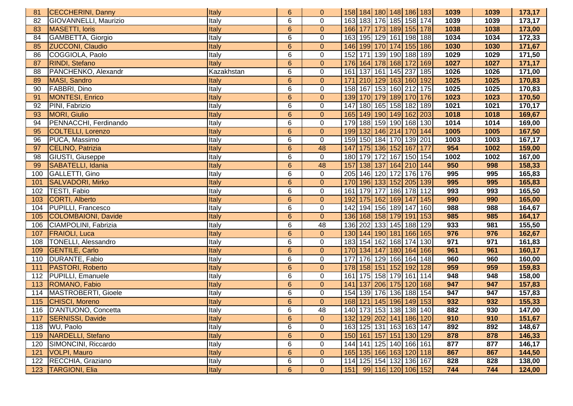| 81  | <b>CECCHERINI, Danny</b>   | Italy      | $6\phantom{1}$   | 0              | 158 184 180 148 186 183 |                             |             |     | 1039 | 1039 | 173,17 |
|-----|----------------------------|------------|------------------|----------------|-------------------------|-----------------------------|-------------|-----|------|------|--------|
| 82  | GIOVANNELLI, Maurizio      | Italy      | 6                | $\mathbf 0$    | 163 183 176 185 158 174 |                             |             |     | 1039 | 1039 | 173,17 |
| 83  | <b>MASETTI, loris</b>      | Italy      | $6\phantom{a}$   | $\overline{0}$ | 166 177 173 189 155 178 |                             |             |     | 1038 | 1038 | 173,00 |
| 84  | GAMBETTA, Giorgio          | Italy      | 6                | $\pmb{0}$      | 163 195 129 161 198 188 |                             |             |     | 1034 | 1034 | 172,33 |
| 85  | <b>ZUCCONI, Claudio</b>    | Italy      | $6\phantom{a}$   | $\overline{0}$ | 146 199 170 174 155 186 |                             |             |     | 1030 | 1030 | 171,67 |
| 86  | COGGIOLA, Paolo            | Italy      | 6                | $\pmb{0}$      | 152 171 139 190 188 189 |                             |             |     | 1029 | 1029 | 171,50 |
| 87  | RINDI, Stefano             | Italy      | $6\phantom{a}$   | $\pmb{0}$      | 176 164 178 168 172     |                             |             | 169 | 1027 | 1027 | 171,17 |
| 88  | PANCHENKO, Alexandr        | Kazakhstan | 6                | $\pmb{0}$      | 161                     | 137 161 145 237             |             | 185 | 1026 | 1026 | 171,00 |
| 89  | MASI, Sandro               | Italy      | $6\phantom{a}$   | $\mathbf 0$    | 171                     | 210 129 163 160             |             | 192 | 1025 | 1025 | 170,83 |
| 90  | FABBRI, Dino               | Italy      | 6                | 0              | 158                     | 167 153 160 212             |             | 175 | 1025 | 1025 | 170,83 |
| 91  | <b>MONTESI, Enrico</b>     | Italy      | $6\phantom{a}$   | $\mathbf 0$    | 139                     | 170 179 189 170             |             | 176 | 1023 | 1023 | 170,50 |
| 92  | PINI, Fabrizio             | Italy      | 6                | $\pmb{0}$      | 147                     | 180 165 158 182 189         |             |     | 1021 | 1021 | 170,17 |
| 93  | <b>MORI, Giulio</b>        | Italy      | $6\phantom{a}$   | $\pmb{0}$      | 165 149 190 149 162 203 |                             |             |     | 1018 | 1018 | 169,67 |
| 94  | PENNACCHI, Ferdinando      | Italy      | 6                | $\pmb{0}$      | 179 188 159 190 168 130 |                             |             |     | 1014 | 1014 | 169,00 |
| 95  | COLTELLI, Lorenzo          | Italy      | $6\phantom{.}6$  | $\mathbf{0}$   | 199 132 146 214 170 144 |                             |             |     | 1005 | 1005 | 167,50 |
| 96  | PUCA, Massimo              | Italy      | 6                | $\pmb{0}$      | 159 150 184 170 139 201 |                             |             |     | 1003 | 1003 | 167,17 |
| 97  | CELINO, Patrizia           | Italy      | $6\phantom{a}$   | 48             | 147                     | 175 136 152 167             |             | 177 | 954  | 1002 | 159,00 |
| 98  | GIUSTI, Giuseppe           | Italy      | 6                | $\mathbf 0$    | 180                     | 179 172 167 150 154         |             |     | 1002 | 1002 | 167,00 |
| 99  | SABATELLI, Idania          | Italy      | $6\phantom{1}$   | 48             | 157                     | 138 137                     | 164 210 144 |     | 950  | 998  | 158,33 |
| 100 | GALLETTI, Gino             | Italy      | 6                | $\pmb{0}$      | 205                     | 146 120 172 176             |             | 176 | 995  | 995  | 165,83 |
| 101 | <b>SALVADORI, Mirko</b>    | Italy      | $6\phantom{1}$   | $\pmb{0}$      | 170                     | 196 133 152 205             |             | 139 | 995  | 995  | 165,83 |
| 102 | TESTI, Fabio               | Italy      | 6                | $\pmb{0}$      | 161                     | 179 177 186 178             |             | 112 | 993  | 993  | 165,50 |
| 103 | <b>CORTI, Alberto</b>      | Italy      | $6\phantom{a}$   | $\mathbf 0$    | 192                     | 175 162 169 147             |             | 145 | 990  | 990  | 165,00 |
| 104 | PUPILLI, Francesco         | Italy      | 6                | 0              | 142                     | 194 156 189 147             |             | 160 | 988  | 988  | 164,67 |
| 105 | COLOMBAIONI, Davide        | Italy      | $6\phantom{a}$   | $\mathbf{0}$   | 136 168 158 179 191 153 |                             |             |     | 985  | 985  | 164,17 |
| 106 | CIAMPOLINI, Fabrizia       | Italy      | 6                | 48             | 136 202 133 145 188     |                             |             | 129 | 933  | 981  | 155,50 |
| 107 | <b>FRAIOLI, Luca</b>       | Italy      | $6\phantom{1}$   | $\mathbf{0}$   | 130 144 190 181 166 165 |                             |             |     | 976  | 976  | 162,67 |
| 108 | <b>TONELLI, Alessandro</b> | Italy      | 6                | $\mathbf 0$    | 183 154 162 168 174     |                             |             | 130 | 971  | 971  | 161,83 |
| 109 | <b>GENTILE, Carlo</b>      | Italy      | $6\phantom{a}$   | $\pmb{0}$      | 170                     | 134 147 180 164 166         |             |     | 961  | 961  | 160,17 |
| 110 | DURANTE, Fabio             | Italy      | 6                | $\mathbf 0$    | 177                     | 176 129 166 164             |             | 148 | 960  | 960  | 160,00 |
| 111 | PASTORI, Roberto           | Italy      | $\overline{6}$   | $\pmb{0}$      | 178                     | 158 151 152 192             |             | 128 | 959  | 959  | 159,83 |
| 112 | PUPILLI, Emanuele          | Italy      | $6\phantom{1}$   | $\mathbf 0$    | 161                     | 175 158 179 161             |             | 114 | 948  | 948  | 158,00 |
| 113 | ROMANO, Fabio              | Italy      | $6\phantom{a}$   | $\mathbf 0$    | 141                     | 137 206 175 120             |             | 168 | 947  | 947  | 157,83 |
| 114 | MASTROBERTI, Gioele        | Italy      | 6                | $\pmb{0}$      | 154                     | 139 176 136 188             |             | 154 | 947  | 947  | 157,83 |
| 115 | CHISCI, Moreno             | Italy      | $6\phantom{1}$   | $\mathbf 0$    | 168                     | 121   145   196   149   153 |             |     | 932  | 932  | 155,33 |
|     | 116   D'ANTUONO, Concetta  | Italy      | 6                | 48             | 140 173 153 138 138 140 |                             |             |     | 882  | 930  | 147,00 |
|     | 117   SERNISSI, Davide     | Italy      | $\boldsymbol{6}$ | $\mathbf{0}$   | 132 129 202 141 186 120 |                             |             |     | 910  | 910  | 151,67 |
| 118 | WU, Paolo                  | Italy      | 6                | $\mathbf 0$    | 163 125 131 163 163 147 |                             |             |     | 892  | 892  | 148,67 |
|     | 119   NARDELLI, Stefano    | Italy      | $6\phantom{a}$   | $\mathbf{0}$   | 150 161 157 151 130 129 |                             |             |     | 878  | 878  | 146,33 |
| 120 | SIMONCINI, Riccardo        | Italy      | 6                | $\pmb{0}$      | 144 141 125 140 166 161 |                             |             |     | 877  | 877  | 146,17 |
| 121 | VOLPI, Mauro               | Italy      | 6                | $\mathbf{0}$   | 165 135 166 163 120 118 |                             |             |     | 867  | 867  | 144,50 |
|     | 122   RECCHIA, Graziano    | Italy      | 6                | $\mathbf 0$    | 114 125 154 132 136 167 |                             |             |     | 828  | 828  | 138,00 |
|     | 123   TARGIONI, Elia       | Italy      | 6 <sup>°</sup>   | $\overline{0}$ | 151 99 116 120 106 152  |                             |             |     | 744  | 744  | 124,00 |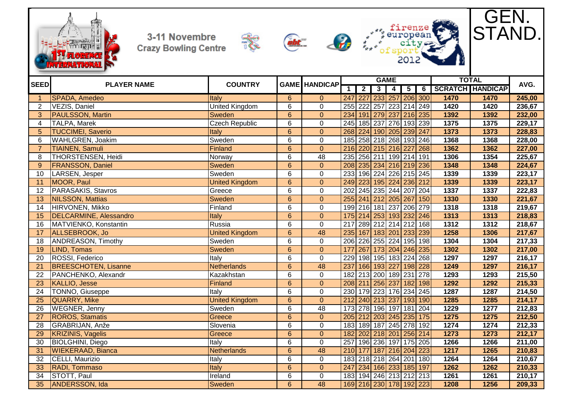







GEN.

STAND.



 RADI, Tommaso Italy 6 0 247 234 166 233 185 197 **1262 1262 210,33** STOTT, Paul Ireland 6 0 183 194 246 213 212 213 **1261 1261 210,17** ANDERSSON, Ida Sweden 6 48 169 216 230 178 192 223 **1208 1256 209,33**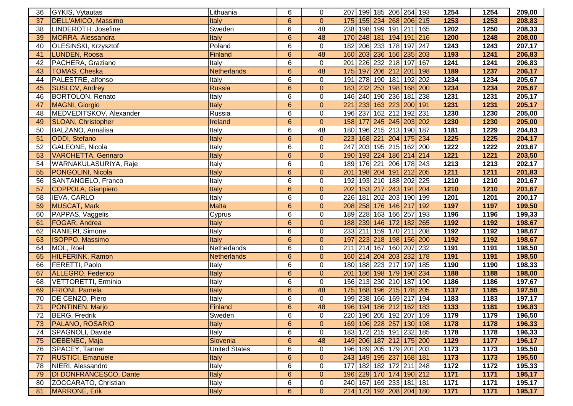| 36                             | GYKIS, Vytautas           | Lithuania            | 6              | 0                | 207   199   185   206   264   193 |                     |     | 1254 | 1254 | 209,00 |
|--------------------------------|---------------------------|----------------------|----------------|------------------|-----------------------------------|---------------------|-----|------|------|--------|
| 37                             | DELL'AMICO, Massimo       | Italy                | 6              | $\mathbf{0}$     | 175 155 234 268 206 215           |                     |     | 1253 | 1253 | 208,83 |
| 38                             | LINDEROTH, Josefine       | Sweden               | 6              | 48               | 238 198 199 191 211 165           |                     |     | 1202 | 1250 | 208,33 |
| 39                             | MORRA, Alessandra         | Italy                | $6\phantom{1}$ | 48               | 170 248 181 194 191 216           |                     |     | 1200 | 1248 | 208,00 |
| 40                             | OLESINSKI, Krzysztof      | Poland               | 6              | $\mathbf 0$      | 182 206 233 178 197 247           |                     |     | 1243 | 1243 | 207,17 |
| 41                             | LUNDEN, Roosa             | <b>Finland</b>       | $\overline{6}$ | 48               | 160 203 236 156 235 203           |                     |     | 1193 | 1241 | 206,83 |
| 42                             | PACHERA, Graziano         | Italy                | 6              | $\mathbf 0$      | 201                               | 226 232 218 197     | 167 | 1241 | 1241 | 206,83 |
| 43                             | <b>TOMAS, Cheska</b>      | <b>Netherlands</b>   | $6\phantom{1}$ | 48               | 175                               | 197 206 212 201     | 198 | 1189 | 1237 | 206,17 |
| 44                             | PALESTRE, alfonso         | Italy                | 6              | $\mathbf 0$      | 191                               | 278 190 181 192     | 202 | 1234 | 1234 | 205,67 |
| 45                             | SUSLOV, Andrey            | Russia               | $6\phantom{a}$ | $\mathbf 0$      | 183 232 253 198 168 200           |                     |     | 1234 | 1234 | 205,67 |
| 46                             | <b>BORTOLON, Renato</b>   | Italy                | 6              | $\mathbf 0$      | 146 240 190 236 181 238           |                     |     | 1231 | 1231 | 205,17 |
| 47                             | MAGNI, Giorgio            | Italy                | $6\phantom{1}$ | $\overline{0}$   | 221                               | 233 163 223 200 191 |     | 1231 | 1231 | 205,17 |
| 48                             | MEDVEDITSKOV, Alexander   | Russia               | 6              | $\pmb{0}$        | 196 237 162 212 192 231           |                     |     | 1230 | 1230 | 205,00 |
| 49                             | <b>SLOAN, Christopher</b> | Ireland              | $6\phantom{a}$ | $\overline{0}$   | 158 177 245 245 203 202           |                     |     | 1230 | 1230 | 205,00 |
| 50                             | BALZANO, Annalisa         | Italy                | 6              | 48               | 180 196 215 213 190 187           |                     |     | 1181 | 1229 | 204,83 |
| 51                             | ODDI, Stefano             | Italy                | $6\phantom{1}$ | $\mathbf{0}$     | 223 168 221 204 175 234           |                     |     | 1225 | 1225 | 204,17 |
| 52                             | GALEONE, Nicola           | Italy                | 6              | $\pmb{0}$        | 247                               | 203 195 215 162 200 |     | 1222 | 1222 | 203,67 |
| 53                             | <b>VARCHETTA, Gennaro</b> | Italy                | $6\phantom{a}$ | $\overline{0}$   | 190 193 224 186 214 214           |                     |     | 1221 | 1221 | 203,50 |
| 54                             | WARNAKULASURIYA, Raje     | Italy                | 6              | $\mathbf 0$      | 189 176 221 206 178 243           |                     |     | 1213 | 1213 | 202,17 |
| 55                             | PONGOLINI, Nicola         | Italy                | $6\phantom{1}$ | $\pmb{0}$        | 201                               | 198 204 191 212 205 |     | 1211 | 1211 | 201,83 |
| 56                             | SANTANGELO, Franco        | Italy                | 6              | $\boldsymbol{0}$ | 192                               | 193 210 188 202 225 |     | 1210 | 1210 | 201,67 |
| 57                             | COPPOLA, Gianpiero        | Italy                | $\overline{6}$ | $\overline{0}$   | 202                               | 153 217 243 191 204 |     | 1210 | 1210 | 201,67 |
| 58                             | <b>IEVA, CARLO</b>        | Italy                | 6              | $\boldsymbol{0}$ | 226                               | 181 202 203 190 199 |     | 1201 | 1201 | 200,17 |
| 59                             | <b>MUSCAT, Mark</b>       | <b>Malta</b>         | $6\phantom{1}$ | $\pmb{0}$        | 208                               | 258 176 146 217     | 192 | 1197 | 1197 | 199,50 |
| 60                             | PAPPAS, Vaggelis          | Cyprus               | 6              | $\mathbf 0$      | 189 228 163 166 257               |                     | 193 | 1196 | 1196 | 199,33 |
| 61                             | <b>FOGAR, Andrea</b>      | Italy                | $6\phantom{1}$ | $\pmb{0}$        | 188 239 146 172 182 265           |                     |     | 1192 | 1192 | 198,67 |
| 62                             | RANIERI, Simone           | Italy                | 6              | $\mathbf 0$      | 233 211 159 170 211               |                     | 208 | 1192 | 1192 | 198,67 |
| 63                             | <b>ISOPPO, Massimo</b>    | Italy                | $6\phantom{1}$ | $\pmb{0}$        | 197                               | 223 218 198 156 200 |     | 1192 | 1192 | 198,67 |
| 64                             | MOL, Roel                 | Netherlands          | 6              | $\pmb{0}$        | 211                               | 214 167 160 207 232 |     | 1191 | 1191 | 198,50 |
| 65                             | HILFERINK, Ramon          | <b>Netherlands</b>   | $6\phantom{1}$ | $\pmb{0}$        | 160 214 204 203 232 178           |                     |     | 1191 | 1191 | 198,50 |
| 66                             | FERETTI, Paolo            | Italy                | 6              | $\pmb{0}$        | 180 188 223 217 197 185           |                     |     | 1190 | 1190 | 198,33 |
| 67                             | ALLEGRO, Federico         | Italy                | $6\phantom{1}$ | $\pmb{0}$        | 201   186   198   179   190   234 |                     |     | 1188 | 1188 | 198,00 |
| 68                             | VETTORETTI, Erminio       | Italy                | 6              | $\mathbf 0$      | 156 213 230 210 187 190           |                     |     | 1186 | 1186 | 197,67 |
| 69                             | <b>FRIONI</b> , Pamela    | Italy                | $6\phantom{1}$ | 48               | 175 168 196 215 178 205           |                     |     | 1137 | 1185 | 197,50 |
| 70                             | DE CENZO, Piero           | Italy                | 6              | $\mathbf 0$      | 199 238 166 169 217 194           |                     |     | 1183 | 1183 | 197,17 |
| 71                             | PÖNTINEN, Marjo           | Finland              | $6\phantom{1}$ | 48               | 196 194 186 212 162 183           |                     |     | 1133 | 1181 | 196,83 |
| $\overline{\phantom{a}}$<br>72 | BERG, Fredrik             | Sweden               | $\overline{6}$ | $\pmb{0}$        | 220 196 205 192 207 159           |                     |     | 1179 | 1179 | 196,50 |
| 73                             | <b>PALANO, ROSARIO</b>    | <b>Italy</b>         | $6\phantom{1}$ | $\overline{0}$   | 169 196 228 257 130 198           |                     |     | 1178 | 1178 | 196,33 |
| 74                             | SPAGNOLI, Davide          | Italy                | 6              | $\mathbf 0$      | 183 172 215 191 232 185           |                     |     | 1178 | 1178 | 196,33 |
| 75                             | DEBENEC, Maja             | Slovenia             | $6\phantom{1}$ | 48               | 149 206 187 212 175 200           |                     |     | 1129 | 1177 | 196,17 |
| 76                             | SPACEY, Tanner            | <b>United States</b> | 6              | 0                | 196 189 205 179 201 203           |                     |     | 1173 | 1173 | 195,50 |
| 77                             | <b>RUSTICI, Emanuele</b>  | Italy                | $6\phantom{1}$ | $\boldsymbol{0}$ | 243 149 195 237 168 181           |                     |     | 1173 | 1173 | 195,50 |
| 78                             | NIERI, Alessandro         | Italy                | 6              | 0                | 177                               | 182 182 172 211 248 |     | 1172 | 1172 | 195,33 |
| 79                             | DI DONFRANCESCO, Dante    | Italy                | $6\phantom{.}$ | $\mathbf{0}$     | 196 229 170 174 190 212           |                     |     | 1171 | 1171 | 195,17 |
| 80                             | ZOCCARATO, Christian      | <b>Italy</b>         | 6              | $\mathbf 0$      | 240 167 169 233 181 181           |                     |     | 1171 | 1171 | 195,17 |
| 81                             | MARRONE, Erik             | <b>Italy</b>         | 6 <sup>°</sup> | $\mathbf{0}$     | 214 173 192 208 204 180           |                     |     | 1171 | 1171 | 195,17 |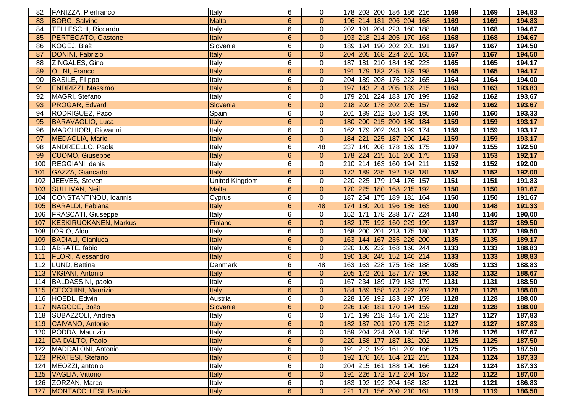| 82  | FANIZZA, Pierfranco          | Italy          | 6               | 0                   | 178 203 200 186 186 216           |                     |     | 1169                | 1169              | 194,83 |
|-----|------------------------------|----------------|-----------------|---------------------|-----------------------------------|---------------------|-----|---------------------|-------------------|--------|
| 83  | <b>BORG, Salvino</b>         | <b>Malta</b>   | $6\phantom{1}$  | $\mathbf{0}$        | 196 214 181 206 204 168           |                     |     | 1169                | 1169              | 194,83 |
| 84  | TELLESCHI, Riccardo          | Italy          | 6               | $\mathbf 0$         | 202                               | 191 204 223 160 188 |     | 1168                | $1168$            | 194,67 |
| 85  | <b>PERTEGATO, Gastone</b>    | Italy          | $6\phantom{1}$  | $\pmb{0}$           | 193 218 214 205 170 168           |                     |     | 1168                | 1168              | 194,67 |
| 86  | KOGEJ, Blaž                  | Slovenia       | 6               | $\pmb{0}$           | 189 194 190 202 201               |                     | 191 | 1167                | 1167              | 194,50 |
| 87  | DONINI, Fabrizio             | Italy          | $6\phantom{a}$  | $\mathbf 0$         | 204                               | 205 168 224 201     | 165 | 1167                | 1167              | 194,50 |
| 88  | ZINGALES, Gino               | Italy          | 6               | $\mathbf 0$         | 187                               | 181 210 184 180 223 |     | 1165                | 1165              | 194,17 |
| 89  | <b>OLINI, Franco</b>         | Italy          | $6\phantom{1}$  | $\pmb{0}$           | 191                               | 179 183 225 189 198 |     | 1165                | 1165              | 194,17 |
| 90  | <b>BASILE, Filippo</b>       | Italy          | 6               | $\pmb{0}$           | 204                               | 189 208 176 222     | 165 | 1164                | 1164              | 194,00 |
| 91  | <b>ENDRIZZI, Massimo</b>     | Italy          | $6\phantom{1}$  | $\mathbf 0$         | 197                               | 143 214 205 189 215 |     | 1163                | 1163              | 193,83 |
| 92  | MAGRI, Stefano               | Italy          | 6               | $\mathbf 0$         | 179                               | 201 224 183 176 199 |     | 1162                | 1162              | 193,67 |
| 93  | PROGAR, Edvard               | Slovenia       | $6\overline{6}$ | $\pmb{0}$           | 218 202 178 202 205 157           |                     |     | 1162                | 1162              | 193,67 |
| 94  | RODRIGUEZ, Paco              | Spain          | 6               | $\mathbf 0$         | 201                               | 189 212 180 183 195 |     | 1160                | 1160              | 193,33 |
| 95  | <b>BARAVAGLIO, Luca</b>      | Italy          | $6\overline{6}$ | $\mathbf{0}$        | 180 200 215 200 180 184           |                     |     | 1159                | 1159              | 193,17 |
| 96  | MARCHIORI, Giovanni          | Italy          | 6               | $\mathbf 0$         | 162 179 202 243 199 174           |                     |     | 1159                | 1159              | 193,17 |
| 97  | MEDAGLIA, Mario              | Italy          | $6\phantom{1}$  | $\mathbf{0}$        | 184 221                           | 225 187 200 142     |     | 1159                | 1159              | 193,17 |
| 98  | ANDREELLO, Paola             | Italy          | 6               | 48                  | 237 140 208 178 169 175           |                     |     | 1107                | 1155              | 192,50 |
| 99  | <b>CUOMO, Giuseppe</b>       | Italy          | $6\phantom{1}$  | $\boldsymbol{0}$    | 178                               | 224 215 161 200 175 |     | 1153                | 1153              | 192,17 |
| 100 | REGGIANI, denis              | Italy          | 6               | $\boldsymbol{0}$    | 210 214 163 160 194 211           |                     |     | 1152                | 1152              | 192,00 |
| 101 | GAZZA, Giancarlo             | Italy          | $6\phantom{1}$  | $\pmb{0}$           | 172                               | 189 235 192 183 181 |     | 1152                | 1152              | 192,00 |
| 102 | JEEVES, Steven               | United Kingdom | 6               | $\mathsf{O}\xspace$ | 220                               | 225 179 194 176 157 |     | 1151                | 1151              | 191,83 |
| 103 | <b>SULLIVAN, Neil</b>        | <b>Malta</b>   | $6\phantom{1}$  | $\pmb{0}$           | 170                               | 225 180 168 215 192 |     | 1150                | 1150              | 191,67 |
| 104 | CONSTANTINOU, Ioannis        | Cyprus         | 6               | $\mathbf 0$         | 187                               | 254 175 189 181     | 164 | 1150                | 1150              | 191,67 |
| 105 | <b>BARALDI, Fabiana</b>      | Italy          | $6\phantom{1}$  | 48                  | 174                               | 180 201 196 186 163 |     | 1100                | 1148              | 191,33 |
|     | 106   FRASCATI, Giuseppe     | Italy          | 6               | $\pmb{0}$           | 152                               | 171 178 238 177     | 224 | 1140                | 1140              | 190,00 |
| 107 | <b>KESKIRUOKANEN, Markus</b> | Finland        | 6               | $\boldsymbol{0}$    | 182                               | 175 192 160 229 199 |     | 1137                | 1137              | 189,50 |
| 108 | IORIO, Aldo                  | Italy          | 6               | $\pmb{0}$           | 168                               | 200 201 213 175 180 |     | 1137                | 1137              | 189,50 |
| 109 | <b>BADIALI, Gianluca</b>     | Italy          | $6\overline{6}$ | $\pmb{0}$           | 163 144 167 235 226 200           |                     |     | 1135                | 1135              | 189,17 |
| 110 | ABRATE, fabio                | Italy          | $\overline{6}$  | $\overline{0}$      | 220                               | 109 232 168 160 244 |     | 1133                | 1133              | 188,83 |
| 111 | <b>FLORI, Alessandro</b>     | Italy          | $6\overline{6}$ | $\overline{0}$      | 190 186 245 152 146 214           |                     |     | 1133                | 1133              | 188,83 |
| 112 | <b>ILUND, Bettina</b>        | Denmark        | 6               | 48                  | 163                               | 163 228 175 168 188 |     | 1085                | 1133              | 188,83 |
| 113 | VIGIANI, Antonio             | Italy          | $6\phantom{1}$  | $\mathbf{0}$        | 205 172 201 187 177               |                     | 190 | 1132                | 1132              | 188,67 |
| 114 | BALDASSINI, paolo            | Italy          | 6               | $\mathbf 0$         | 167 234 189 179 183 179           |                     |     | 1131                | 1131              | 188,50 |
| 115 | CECCHINI, Maurizio           | Italy          | $6\phantom{1}$  | $\mathbf{0}$        | 184 189 158 173 222 202           |                     |     | 1128                | 1128              | 188,00 |
| 116 | HOEDL, Edwin                 | Austria        | 6               | $\pmb{0}$           | 228                               | 169 192 183 197     | 159 | 1128                | 1128              | 188,00 |
| 117 | NAGODE, Božo                 | Slovenia       | $6\phantom{1}$  | $\mathbf{0}$        | 226                               | 198 181 170 194 159 |     | 1128                | 1128              | 188,00 |
|     | 118 SUBAZZOLI, Andrea        | Italy          | 6               | $\cup$              | 171 199 218 145 176 218           |                     |     | $\frac{1127}{1127}$ | $\overline{1127}$ | 187,83 |
|     | 119 CAIVANO, Antonio         | Italy          | $6\phantom{1}$  | $\mathbf{0}$        | 182 187 201 170 175 212           |                     |     | 1127                | 1127              | 187,83 |
| 120 | PODDA, Maurizio              | Italy          | 6               | 0                   | 159 204 224 203 180 156           |                     |     | 1126                | 1126              | 187,67 |
| 121 | DA DALTO, Paolo              | Italy          | $6\phantom{1}$  | $\boldsymbol{0}$    | 220 158 177 187 181 202           |                     |     | 1125                | 1125              | 187,50 |
|     | 122   MADDALONI, Antonio     | Italy          | 6               | 0                   | 191 213 192 161 202 166           |                     |     | 1125                | 1125              | 187,50 |
| 123 | <b>PRATESI, Stefano</b>      | Italy          | $6\phantom{1}$  | $\mathbf 0$         | 192 176 165 164 212 215           |                     |     | 1124                | 1124              | 187,33 |
| 124 | MEOZZI, antonio              | Italy          | 6               | 0                   | 204 215 161 188 190 166           |                     |     | 1124                | 1124              | 187,33 |
| 125 | VAGLIA, Vittorio             | Italy          | $6\phantom{1}$  | $\mathbf{0}$        | 191 226 172 172 204 157           |                     |     | 1122                | 1122              | 187,00 |
| 126 | ZORZAN, Marco                | Italy          | 6               | 0                   | 183 192 192 204 168 182           |                     |     | 1121                | 1121              | 186,83 |
|     | 127 MONTACCHIESI, Patrizio   | <b>Italy</b>   | $6\phantom{a}$  | $\overline{0}$      | 221   171   156   200   210   161 |                     |     | 1119                | 1119              | 186,50 |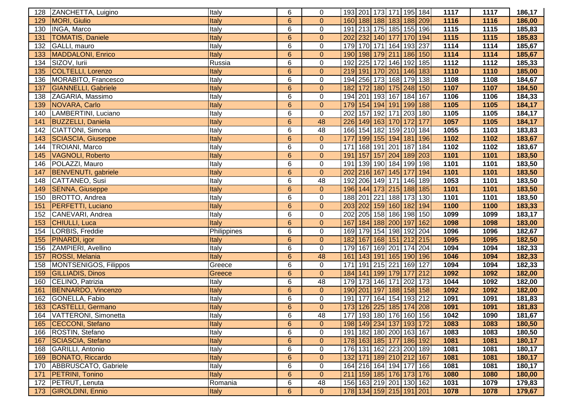| 128 | ZANCHETTA, Luigino          | Italy        | 6               | 0              | 193 201 173 171 195 184           |                 |                     |     | 1117 | 1117 | 186,17 |
|-----|-----------------------------|--------------|-----------------|----------------|-----------------------------------|-----------------|---------------------|-----|------|------|--------|
| 129 | <b>MORI, Giulio</b>         | Italy        | 6               | $\overline{0}$ | 160 188 188 183 188 209           |                 |                     |     | 1116 | 1116 | 186,00 |
| 130 | INGA, Marco                 | Italy        | 6               | $\mathbf 0$    | 191 213 175 185 155 196           |                 |                     |     | 1115 | 1115 | 185,83 |
| 131 | <b>TOMATIS, Daniele</b>     | Italy        | $6\phantom{1}6$ | $\overline{0}$ | 202 232 140 177 170 194           |                 |                     |     | 1115 | 1115 | 185,83 |
| 132 | GALLI, mauro                | Italy        | 6               | $\mathbf 0$    | 179 170 171 164 193 237           |                 |                     |     | 1114 | 1114 | 185,67 |
| 133 | <b>MADDALONI, Enrico</b>    | Italy        | 6               | $\pmb{0}$      | 190 198 179 211                   |                 | 186                 | 150 | 1114 | 1114 | 185,67 |
| 134 | SIZOV, lurii                | Russia       | 6               | $\pmb{0}$      | 192                               | 225 172 146 192 |                     | 185 | 1112 | 1112 | 185,33 |
| 135 | COLTELLI, Lorenzo           | Italy        | $6\phantom{1}6$ | $\overline{0}$ | 219 191 170 201 146 183           |                 |                     |     | 1110 | 1110 | 185,00 |
| 136 | MORABITO, Francesco         | Italy        | 6               | $\mathbf 0$    | 194 256 173 168 179               |                 |                     | 138 | 1108 | 1108 | 184,67 |
| 137 | <b>GIANNELLI, Gabriele</b>  | Italy        | 6               | $\mathbf{0}$   | 182 172                           | 180 175 248     |                     | 150 | 1107 | 1107 | 184,50 |
| 138 | ZAGARIA, Massimo            | Italy        | 6               | $\mathbf 0$    | 194 201 193 167 184 167           |                 |                     |     | 1106 | 1106 | 184,33 |
| 139 | NOVARA, Carlo               | Italy        | $6\phantom{1}6$ | $\overline{0}$ | 179 154 194 191 199 188           |                 |                     |     | 1105 | 1105 | 184,17 |
| 140 | LAMBERTINI, Luciano         | Italy        | 6               | $\mathbf 0$    | 202 157 192 171 203 180           |                 |                     |     | 1105 | 1105 | 184,17 |
| 141 | <b>BUZZELLI, Daniela</b>    | Italy        | 6               | 48             | 226 149 163 170 172               |                 |                     | 177 | 1057 | 1105 | 184,17 |
| 142 | CIATTONI, Simona            | Italy        | 6               | 48             | 166 154 182 159 210 184           |                 |                     |     | 1055 | 1103 | 183,83 |
| 143 | <b>SCIASCIA, Giuseppe</b>   | Italy        | $6\phantom{1}6$ | $\mathbf{0}$   | 177                               |                 | 199 155 194 181 196 |     | 1102 | 1102 | 183,67 |
| 144 | <b>TROIANI, Marco</b>       | Italy        | 6               | $\pmb{0}$      | 171                               | 168 191 201 187 |                     | 184 | 1102 | 1102 | 183,67 |
| 145 | <b>VAGNOLI, Roberto</b>     | Italy        | 6               | $\mathbf{0}$   | 191 157 157 204 189               |                 |                     | 203 | 1101 | 1101 | 183,50 |
| 146 | POLAZZI, Mauro              | Italy        | 6               | $\pmb{0}$      | 191 139 190 184 199               |                 |                     | 198 | 1101 | 1101 | 183,50 |
| 147 | <b>BENVENUTI</b> , gabriele | Italy        | $6\phantom{1}6$ | $\overline{0}$ | 202                               | 216 167 145 177 |                     | 194 | 1101 | 1101 | 183,50 |
| 148 | CATTANEO, Susi              | Italy        | 6               | 48             | 192 206 149 171 146               |                 |                     | 189 | 1053 | 1101 | 183,50 |
| 149 | <b>SENNA, Giuseppe</b>      | Italy        | 6               | $\mathbf{0}$   | 196 144 173 215 188 185           |                 |                     |     | 1101 | 1101 | 183,50 |
| 150 | BROTTO, Andrea              | Italy        | 6               | $\mathbf 0$    | 188 201 221 188 173               |                 |                     | 130 | 1101 | 1101 | 183,50 |
| 151 | <b>PERFETTI, Luciano</b>    | Italy        | 6               | $\mathbf{0}$   | 203 202 159 160 182 194           |                 |                     |     | 1100 | 1100 | 183,33 |
| 152 | CANEVARI, Andrea            | Italy        | 6               | $\mathbf 0$    | 202                               | 205 158 186 198 |                     | 150 | 1099 | 1099 | 183,17 |
| 153 | CHIULLI, Luca               | Italy        | 6               | $\mathbf{0}$   | 167                               | 184 188 200 197 |                     | 162 | 1098 | 1098 | 183,00 |
| 154 | LORBIS, Freddie             | Philippines  | 6               | $\mathbf 0$    | 169 179 154 198 192 204           |                 |                     |     | 1096 | 1096 | 182,67 |
| 155 | PINARDI, igor               | Italy        | $\overline{6}$  | $\overline{0}$ | 182 167 168 151 212 215           |                 |                     |     | 1095 | 1095 | 182,50 |
| 156 | ZAMPIERI, Avellino          | Italy        | 6               | $\mathbf 0$    | 179 167 169 201 174 204           |                 |                     |     | 1094 | 1094 | 182,33 |
| 157 | ROSSI, Melania              | Italy        | $6\phantom{1}$  | 48             | 161 143 191 165 190 196           |                 |                     |     | 1046 | 1094 | 182,33 |
| 158 | MONTSENIGOS, Filippos       | Greece       | 6               | $\mathbf 0$    | 171 191 215 221 169 127           |                 |                     |     | 1094 | 1094 | 182,33 |
| 159 | <b>GILLIADIS, Dinos</b>     | Greece       | 6               | $\overline{0}$ | 184 141 199 179 177               |                 |                     | 212 | 1092 | 1092 | 182,00 |
| 160 | CELINO, Patrizia            | Italy        | 6               | 48             | 179 173 146 171 202 173           |                 |                     |     | 1044 | 1092 | 182,00 |
| 161 | <b>BENNARDO, Vincenzo</b>   | Italy        | $6\phantom{1}6$ | $\mathbf{0}$   | 190 201 197 188 158 158           |                 |                     |     | 1092 | 1092 | 182,00 |
| 162 | GONELLA, Fabio              | Italy        | 6               | $\mathbf 0$    | 191 177                           |                 | 164 154 193 212     |     | 1091 | 1091 | 181,83 |
| 163 | <b>CASTELLI, Germano</b>    | Italy        | $6\phantom{1}$  | $\mathbf{0}$   | 173 126 225 185 174 208           |                 |                     |     | 1091 | 1091 | 181,83 |
|     | 164 VATTERONI, Simonetta    | <b>Italy</b> | 6               | 48             | 177 193 180 176 160 156           |                 |                     |     | 1042 | 1090 | 181,67 |
|     | 165 CECCONI, Stefano        | Italy        | $6\phantom{1}6$ | $\mathbf{0}$   | 198 149 234 137 193 172           |                 |                     |     | 1083 | 1083 | 180,50 |
|     | 166   ROSTIN, Stefano       | Italy        | 6               | $\mathbf 0$    | 191   182   180   200   163   167 |                 |                     |     | 1083 | 1083 | 180,50 |
| 167 | SCIASCIA, Stefano           | Italy        | 6               | $\mathbf{0}$   | 178 163 185 177 186 192           |                 |                     |     | 1081 | 1081 | 180,17 |
|     | 168 GARILLI, Antonio        | Italy        | 6               | $\mathbf 0$    | 176 131 162 223 200 189           |                 |                     |     | 1081 | 1081 | 180,17 |
| 169 | <b>BONATO, Riccardo</b>     | Italy        | $6\phantom{1}$  | $\mathbf{0}$   | 132 171 189 210 212 167           |                 |                     |     | 1081 | 1081 | 180,17 |
| 170 | ABBRUSCATO, Gabriele        | Italy        | 6               | $\mathbf 0$    | 164 216 164 194 177 166           |                 |                     |     | 1081 | 1081 | 180,17 |
| 171 | <b>PETRINI, Tonino</b>      | Italy        | $6\phantom{1}$  | $\mathbf{0}$   | 211 159 185 176 173 176           |                 |                     |     | 1080 | 1080 | 180,00 |
|     | 172   PETRUT, Lenuta        | Romania      | 6               | 48             | 156 163 219 201 130 162           |                 |                     |     | 1031 | 1079 | 179,83 |
|     | 173 GIROLDINI, Ennio        | <b>Italy</b> | $6\phantom{1}$  | $\mathbf{0}$   | 178 134 159 215 191 201           |                 |                     |     | 1078 | 1078 | 179,67 |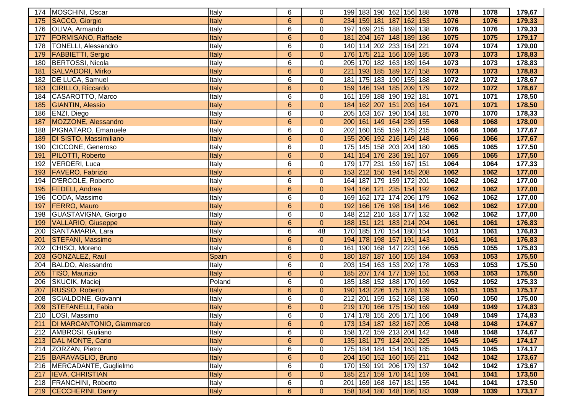| 174 | MOSCHINI, Oscar             | Italy        | 6               | 0                |     |  |                     | 199 183 190 162 156 188           |     | 1078 | 1078 | 179,67 |
|-----|-----------------------------|--------------|-----------------|------------------|-----|--|---------------------|-----------------------------------|-----|------|------|--------|
| 175 | SACCO, Giorgio              | Italy        | $6\phantom{1}6$ | $\overline{0}$   |     |  |                     | 234 159 181 187 162 153           |     | 1076 | 1076 | 179,33 |
| 176 | OLIVA, Armando              | Italy        | 6               | $\pmb{0}$        |     |  |                     | 197 169 215 188 169 138           |     | 1076 | 1076 | 179,33 |
| 177 | <b>FORMISANO, Raffaele</b>  | Italy        | $6\phantom{1}6$ | $\pmb{0}$        | 181 |  |                     | 204 167 148 189 186               |     | 1075 | 1075 | 179,17 |
| 178 | <b>TONELLI, Alessandro</b>  | Italy        | 6               | $\pmb{0}$        |     |  |                     | 140 114 202 233 164 221           |     | 1074 | 1074 | 179,00 |
| 179 | <b>FABBIETTI, Sergio</b>    | Italy        | $6\phantom{1}6$ | $\pmb{0}$        | 176 |  |                     | 175 212 156 169                   | 185 | 1073 | 1073 | 178,83 |
| 180 | <b>BERTOSSI, Nicola</b>     | Italy        | 6               | $\pmb{0}$        | 205 |  | 170 182 163 189     |                                   | 164 | 1073 | 1073 | 178,83 |
| 181 | <b>SALVADORI, Mirko</b>     | Italy        | 6               | $\mathbf{0}$     | 221 |  | 193 185 189 127     |                                   | 158 | 1073 | 1073 | 178,83 |
| 182 | <b>DE LUCA, Samuel</b>      | Italy        | 6               | $\mathbf 0$      | 181 |  |                     | 175 183 190 155 188               |     | 1072 | 1072 | 178,67 |
| 183 | CIRILLO, Riccardo           | Italy        | $6\phantom{1}6$ | $\overline{0}$   |     |  | 159 146 194 185 209 |                                   | 179 | 1072 | 1072 | 178,67 |
| 184 | CASAROTTO, Marco            | Italy        | 6               | $\mathbf 0$      | 161 |  | 159 188 190 192     |                                   | 181 | 1071 | 1071 | 178,50 |
| 185 | <b>GIANTIN, Alessio</b>     | Italy        | $6\phantom{1}$  | $\pmb{0}$        |     |  |                     | 184 162 207 151 203 164           |     | 1071 | 1071 | 178,50 |
| 186 | <b>ENZI, Diego</b>          | Italy        | 6               | $\mathbf 0$      |     |  |                     | 205 163 167 190 164 181           |     | 1070 | 1070 | 178,33 |
| 187 | MOZZONE, Alessandro         | Italy        | $6\phantom{1}6$ | $\overline{0}$   |     |  |                     | 200 161 149 164 239 155           |     | 1068 | 1068 | 178,00 |
| 188 | PIGNATARO, Emanuele         | Italy        | 6               | $\pmb{0}$        |     |  |                     | 202 160 155 159 175 215           |     | 1066 | 1066 | 177,67 |
| 189 | DI SISTO, Massimiliano      | Italy        | 6               | $\mathbf{0}$     |     |  | 155 206 192 216 149 |                                   | 148 | 1066 | 1066 | 177,67 |
| 190 | CICCONE, Generoso           | Italy        | 6               | $\boldsymbol{0}$ |     |  |                     | 175 145 158 203 204 180           |     | 1065 | 1065 | 177,50 |
| 191 | PILOTTI, Roberto            | Italy        | $6\phantom{1}6$ | $\mathbf{0}$     |     |  | 141 154 176 236 191 |                                   | 167 | 1065 | 1065 | 177,50 |
| 192 | <b>VERDERI, Luca</b>        | Italy        | 6               | $\pmb{0}$        | 179 |  | 177 231 159 167     |                                   | 151 | 1064 | 1064 | 177,33 |
| 193 | <b>FAVERO, Fabrizio</b>     | Italy        | $6\phantom{1}6$ | $\pmb{0}$        |     |  |                     | 153 212 150 194 145 208           |     | 1062 | 1062 | 177,00 |
| 194 | <b>D'ERCOLE, Roberto</b>    | Italy        | 6               | $\pmb{0}$        |     |  |                     | 164 187 179 159 172 201           |     | 1062 | 1062 | 177,00 |
| 195 | <b>FEDELI, Andrea</b>       | Italy        | $6\phantom{1}6$ | $\pmb{0}$        | 194 |  |                     | 166 121 235 154 192               |     | 1062 | 1062 | 177,00 |
| 196 | CODA, Massimo               | Italy        | 6               | $\mathsf 0$      | 169 |  |                     | 162 172 174 206                   | 179 | 1062 | 1062 | 177,00 |
| 197 | <b>FERRO, Mauro</b>         | Italy        | $6\phantom{1}6$ | $\mathbf{0}$     | 192 |  |                     | 166 176 198 184 146               |     | 1062 | 1062 | 177,00 |
| 198 | GUASTAVIGNA, Giorgio        | Italy        | 6               | $\pmb{0}$        |     |  | 148 212 210 183 177 |                                   | 132 | 1062 | 1062 | 177,00 |
| 199 | <b>VALLARIO, Giuseppe</b>   | Italy        | 6               | $\pmb{0}$        |     |  |                     | 188 151 121 183 214 204           |     | 1061 | 1061 | 176,83 |
| 200 | SANTAMARIA, Lara            | Italy        | 6               | 48               | 170 |  |                     | 185 170 154 180 154               |     | 1013 | 1061 | 176,83 |
| 201 | <b>STEFANI, Massimo</b>     | Italy        | $6\phantom{1}$  | $\overline{0}$   |     |  |                     | 194 178 198 157 191 143           |     | 1061 | 1061 | 176,83 |
| 202 | CHISCI, Moreno              | <b>Italy</b> | 6               | $\overline{0}$   |     |  |                     | 161 190 168 147 223 166           |     | 1055 | 1055 | 175,83 |
| 203 | GONZALEZ, Raul              | Spain        | 6               | $\overline{0}$   |     |  |                     | 180 187 187 160 155 184           |     | 1053 | 1053 | 175,50 |
| 204 | BALDO, Alessandro           | Italy        | 6               | $\pmb{0}$        |     |  |                     | 203 154 163 153 202 178           |     | 1053 | 1053 | 175,50 |
| 205 | <b>TISO, Maurizio</b>       | Italy        | $6\phantom{1}6$ | $\overline{0}$   |     |  |                     | 185 207 174 177 159 151           |     | 1053 | 1053 | 175,50 |
| 206 | SKUCIK, Maciej              | Poland       | 6               | $\pmb{0}$        |     |  |                     | 185 188 152 188 170 169           |     | 1052 | 1052 | 175,33 |
| 207 | RUSSO, Roberto              | Italy        | $6\phantom{1}6$ | $\overline{0}$   |     |  |                     | 190 143 226 175 178 139           |     | 1051 | 1051 | 175,17 |
| 208 | SCIALDONE, Giovanni         | Italy        | 6               | $\pmb{0}$        |     |  |                     | 212 201 159 152 168               | 158 | 1050 | 1050 | 175,00 |
| 209 | <b>STEFANELLI, Fabio</b>    | Italy        | $6\phantom{1}6$ | $\overline{0}$   |     |  |                     | 219 170 166 175 150 169           |     | 1049 | 1049 | 174,83 |
| 210 | LOSI, Massimo               | litaly       | 6               | 0                |     |  |                     | 174 178 155 205 171 166           |     | 1049 | 1049 | 174,83 |
| 211 | DI MARCANTONIO, Giammarco   | Italy        | $6\phantom{1}6$ | $\overline{0}$   |     |  |                     | 173 134 187 182 167 205           |     | 1048 | 1048 | 174,67 |
| 212 | AMBROSI, Giuliano           | Italy        | 6               | 0                |     |  |                     | 158 172 159 213 204 142           |     | 1048 | 1048 | 174,67 |
| 213 | DAL MONTE, Carlo            | Italy        | 6               | $\mathbf{0}$     |     |  |                     | 135 181 179 124 201 225           |     | 1045 | 1045 | 174,17 |
| 214 | ZORZAN, Pietro              | Italy        | 6               | 0                |     |  |                     | 175 184 184 154 163 185           |     | 1045 | 1045 | 174,17 |
|     | 215 BARAVAGLIO, Bruno       | Italy        | 6               | $\overline{0}$   |     |  |                     | 204 150 152 160 165 211           |     | 1042 | 1042 | 173,67 |
|     | 216   MERCADANTE, Guglielmo | Italy        | 6               | 0                |     |  |                     | 170 159 191 206 179 137           |     | 1042 | 1042 | 173,67 |
|     | 217 <b>IEVA, CHRISTIAN</b>  | Italy        | 6               | $\mathbf{0}$     |     |  |                     | 185 217 159 170 141 169           |     | 1041 | 1041 | 173,50 |
|     | 218   FRANCHINI, Roberto    | Italy        | 6               | 0                |     |  |                     | 201   169   168   167   181   155 |     | 1041 | 1041 | 173,50 |
|     | 219 CECCHERINI, Danny       | Italy        | $6\phantom{1}$  | $\overline{0}$   |     |  |                     | 158 184 180 148 186 183           |     | 1039 | 1039 | 173,17 |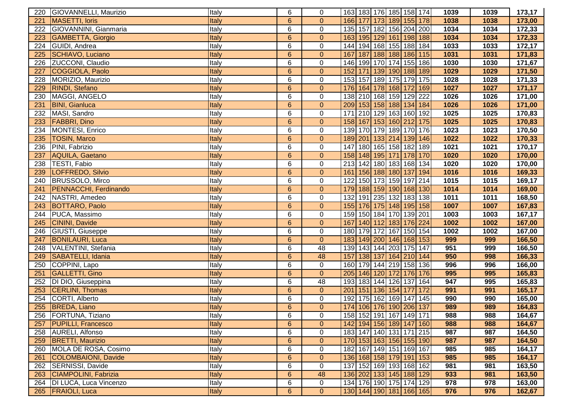| 220 | GIOVANNELLI, Maurizio        | Italy        | 6               | 0              |     |  | 163 183 176 185 158 174     |     | 1039 | 1039 | 173,17 |
|-----|------------------------------|--------------|-----------------|----------------|-----|--|-----------------------------|-----|------|------|--------|
| 221 | MASETTI, loris               | Italy        | 6               | $\overline{0}$ |     |  | 166 177 173 189 155 178     |     | 1038 | 1038 | 173,00 |
| 222 | GIOVANNINI, Gianmaria        | Italy        | 6               | $\mathbf 0$    |     |  | 135 157 182 156 204 200     |     | 1034 | 1034 | 172,33 |
| 223 | <b>GAMBETTA, Giorgio</b>     | Italy        | $6\phantom{1}6$ | $\mathbf{0}$   |     |  | 163 195 129 161 198 188     |     | 1034 | 1034 | 172,33 |
| 224 | GUIDI, Andrea                | Italy        | $6\phantom{1}6$ | $\mathbf 0$    |     |  | 144 194 168 155 188 184     |     | 1033 | 1033 | 172,17 |
| 225 | SCHIAVO, Luciano             | Italy        | 6               | $\mathbf{0}$   | 167 |  | 187 188 188 186             | 115 | 1031 | 1031 | 171,83 |
| 226 | ZUCCONI, Claudio             | Italy        | 6               | $\mathbf 0$    | 146 |  | 199 170 174 155             | 186 | 1030 | 1030 | 171,67 |
| 227 | COGGIOLA, Paolo              | Italy        | 6               | $\mathbf{0}$   | 152 |  | 171 139 190 188             | 189 | 1029 | 1029 | 171,50 |
| 228 | MORIZIO, Maurizio            | Italy        | 6               | $\mathbf 0$    | 153 |  | 157 189 175 179             | 175 | 1028 | 1028 | 171,33 |
| 229 | <b>RINDI</b> , Stefano       | Italy        | 6               | $\overline{0}$ |     |  | 176 164 178 168 172         | 169 | 1027 | 1027 | 171,17 |
| 230 | MAGGI, ANGELO                | Italy        | 6               | 0              |     |  | 138 210 168 159 129         | 222 | 1026 | 1026 | 171,00 |
| 231 | <b>BINI, Gianluca</b>        | Italy        | 6               | $\overline{0}$ |     |  | 209 153 158 188 134 184     |     | 1026 | 1026 | 171,00 |
| 232 | MASI, Sandro                 | Italy        | 6               | $\mathbf 0$    |     |  | 171 210 129 163 160 192     |     | 1025 | 1025 | 170,83 |
| 233 | <b>FABBRI, Dino</b>          | Italy        | 6               | $\overline{0}$ |     |  | 158 167 153 160 212         | 175 | 1025 | 1025 | 170,83 |
| 234 | MONTESI, Enrico              | Italy        | 6               | $\mathbf 0$    |     |  | 139 170 179 189 170 176     |     | 1023 | 1023 | 170,50 |
| 235 | <b>TOSIN, Marco</b>          | Italy        | 6               | $\overline{0}$ |     |  | 189 201 133 214 139         | 146 | 1022 | 1022 | 170,33 |
| 236 | PINI, Fabrizio               | Italy        | 6               | $\mathsf 0$    |     |  | 147 180 165 158 182 189     |     | 1021 | 1021 | 170,17 |
| 237 | AQUILA, Gaetano              | Italy        | 6               | $\mathbf{0}$   |     |  | 158 148 195 171 178         | 170 | 1020 | 1020 | 170,00 |
| 238 | TESTI, Fabio                 | Italy        | 6               | $\mathbf 0$    |     |  | 213 142 180 183 168         | 134 | 1020 | 1020 | 170,00 |
| 239 | LOFFREDO, Silvio             | Italy        | $6\phantom{1}6$ | $\mathbf 0$    | 161 |  | 156 188 180 137             | 194 | 1016 | 1016 | 169,33 |
| 240 | BRUSSOLO, Mirco              | Italy        | $6\phantom{1}6$ | $\mathsf 0$    | 122 |  | 150 173 159 197 214         |     | 1015 | 1015 | 169,17 |
| 241 | <b>PENNACCHI, Ferdinando</b> | Italy        | 6               | $\mathbf{0}$   | 179 |  | 188 159 190 168 130         |     | 1014 | 1014 | 169,00 |
| 242 | NASTRI, Amedeo               | Italy        | 6               | $\mathbf 0$    | 132 |  | 191 235 132 183 138         |     | 1011 | 1011 | 168,50 |
| 243 | <b>BOTTARO, Paolo</b>        | Italy        | 6               | $\mathbf{0}$   |     |  | 155 176 175 148 195         | 158 | 1007 | 1007 | 167,83 |
| 244 | PUCA, Massimo                | Italy        | 6               | $\overline{0}$ |     |  | 159 150 184 170 139 201     |     | 1003 | 1003 | 167,17 |
| 245 | <b>CININI</b> , Davide       | Italy        | 6               | $\mathbf{0}$   | 167 |  | 140 112 183 176 224         |     | 1002 | 1002 | 167,00 |
| 246 | GIUSTI, Giuseppe             | Italy        | 6               | $\mathbf 0$    |     |  | 180 179 172 167 150 154     |     | 1002 | 1002 | 167,00 |
| 247 | <b>BONILAURI, Luca</b>       | Italy        | 6               | $\overline{0}$ |     |  | 183 149 200 146 168 153     |     | 999  | 999  | 166,50 |
| 248 | <b>VALENTINI, Stefania</b>   | <b>Italy</b> | 6               | 48             |     |  | 139 143 144 203 175 147     |     | 951  | 999  | 166,50 |
| 249 | SABATELLI, Idania            | Italy        | $6\phantom{1}6$ | 48             |     |  | 157 138 137 164 210 144     |     | 950  | 998  | 166,33 |
| 250 | COPPINI, Lapo                | Italy        | 6               | $\mathbf 0$    |     |  | 160 179 144 219 158 136     |     | 996  | 996  | 166,00 |
| 251 | GALLETTI, Gino               | Italy        | 6               | $\overline{0}$ |     |  | 205 146 120 172 176         | 176 | 995  | 995  | 165,83 |
| 252 | <b>DI DIO, Giuseppina</b>    | Italy        | 6               | 48             |     |  | 193 183 144 126 137         | 164 | 947  | 995  | 165,83 |
| 253 | <b>CERLINI</b> , Thomas      | Italy        | 6               | $\overline{0}$ |     |  | 201   151   136   154   177 | 172 | 991  | 991  | 165,17 |
| 254 | CORTI, Alberto               | Italy        | 6               | $\mathsf 0$    | 192 |  | 175 162 169 147             | 145 | 990  | 990  | 165,00 |
| 255 | <b>BREDA, Liano</b>          | Italy        | 6               | $\overline{0}$ |     |  | 174 106 176 190 206         | 137 | 989  | 989  | 164,83 |
|     | 256 FORTUNA, Tiziano         | litaly       | 6               | 0              |     |  | 158 152 191 167 149 171     |     | 988  | 988  | 164,67 |
|     | 257   PUPILLI, Francesco     | Italy        | $6\phantom{1}6$ | $\overline{0}$ |     |  | 142 194 156 189 147 160     |     | 988  | 988  | 164,67 |
|     | 258   AURELI, Alfonso        | Italy        | 6               | $\mathbf 0$    |     |  | 183 147 140 131 171 215     |     | 987  | 987  | 164,50 |
|     | 259   BRETTI, Maurizio       | Italy        | 6               | $\overline{0}$ |     |  | 170 153 163 156 155 190     |     | 987  | 987  | 164,50 |
|     | 260   MOLA DE ROSA, Cosimo   | Italy        | 6               | $\mathbf 0$    |     |  | 182 167 149 151 169         | 167 | 985  | 985  | 164,17 |
| 261 | COLOMBAIONI, Davide          | Italy        | 6               | $\overline{0}$ |     |  | 136 168 158 179 191         | 153 | 985  | 985  | 164,17 |
|     | 262   SERNISSI, Davide       | Italy        | 6               | $\mathbf 0$    |     |  | 137 152 169 193 168 162     |     | 981  | 981  | 163,50 |
|     | 263 CIAMPOLINI, Fabrizia     | Italy        | 6               | 48             |     |  | 136 202 133 145 188 129     |     | 933  | 981  | 163,50 |
|     | 264   DI LUCA, Luca Vincenzo | Italy        | 6               | $\mathbf 0$    |     |  | 134 176 190 175 174 129     |     | 978  | 978  | 163,00 |
|     | 265 FRAIOLI, Luca            | <b>Italy</b> | $6\phantom{1}$  | $\mathbf{0}$   |     |  | 130 144 190 181 166 165     |     | 976  | 976  | 162,67 |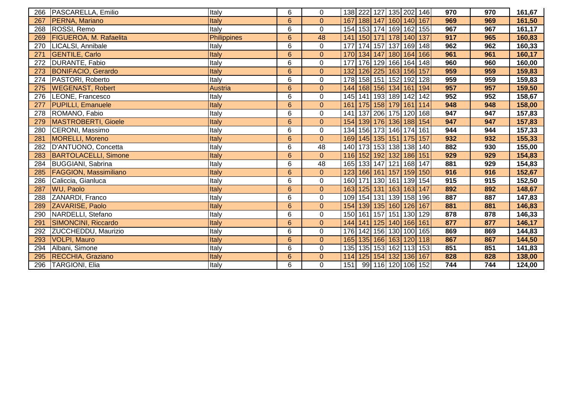| 266 | PASCARELLA, Emilio            | Italy          | 6              | 0                |     |  | 138 222 127 135 202 146           |     | 970 | 970 | 161,67 |
|-----|-------------------------------|----------------|----------------|------------------|-----|--|-----------------------------------|-----|-----|-----|--------|
| 267 | PERNA, Mariano                | Italy          | $6\phantom{1}$ | $\overline{0}$   |     |  | 167 188 147 160 140 167           |     | 969 | 969 | 161,50 |
| 268 | ROSSI, Remo                   | Italy          | 6              | $\pmb{0}$        |     |  | 154 153 174 169 162 155           |     | 967 | 967 | 161,17 |
| 269 | <b>FIGUEROA, M. Rafaelita</b> | Philippines    | $6\phantom{1}$ | 48               |     |  | 141   150   171   178   140   137 |     | 917 | 965 | 160,83 |
| 270 | LICALSI, Annibale             | Italy          | 6              | $\pmb{0}$        |     |  | 177 174 157 137 169               | 148 | 962 | 962 | 160,33 |
| 271 | <b>GENTILE, Carlo</b>         | Italy          | 6              | $\mathbf{0}$     |     |  | 170 134 147 180 164 166           |     | 961 | 961 | 160,17 |
| 272 | DURANTE, Fabio                | Italy          | 6              | $\overline{0}$   |     |  | 177 176 129 166 164 148           |     | 960 | 960 | 160,00 |
| 273 | <b>BONIFACIO, Gerardo</b>     | Italy          | $6\phantom{1}$ | $\overline{0}$   |     |  | 132 126 225 163 156 157           |     | 959 | 959 | 159,83 |
| 274 | PASTORI, Roberto              | Italy          | 6              | $\mathbf 0$      |     |  | 178 158 151 152 192               | 128 | 959 | 959 | 159,83 |
| 275 | <b>WEGENAST, Robert</b>       | <b>Austria</b> | 6              | $\pmb{0}$        |     |  | 144 168 156 134 161 194           |     | 957 | 957 | 159,50 |
| 276 | LEONE, Francesco              | Italy          | 6              | $\mathbf 0$      |     |  | 145 141 193 189 142               | 142 | 952 | 952 | 158,67 |
| 277 | <b>PUPILLI, Emanuele</b>      | Italy          | $6\phantom{1}$ | $\mathbf{0}$     |     |  | 161 175 158 179 161 114           |     | 948 | 948 | 158,00 |
| 278 | ROMANO, Fabio                 | Italy          | 6              | $\pmb{0}$        |     |  | 141   137   206   175   120   168 |     | 947 | 947 | 157,83 |
| 279 | <b>MASTROBERTI, Gioele</b>    | Italy          | 6              | $\mathbf{0}$     |     |  | 154 139 176 136 188 154           |     | 947 | 947 | 157,83 |
| 280 | CERONI, Massimo               | Italy          | 6              | $\pmb{0}$        |     |  | 134 156 173 146 174 161           |     | 944 | 944 | 157,33 |
| 281 | MORELLI, Moreno               | Italy          | $6\phantom{1}$ | $\overline{0}$   |     |  | 169 145 135 151 175 157           |     | 932 | 932 | 155,33 |
| 282 | D'ANTUONO, Concetta           | Italy          | 6              | 48               |     |  | 140 173 153 138 138 140           |     | 882 | 930 | 155,00 |
| 283 | <b>BARTOLACELLI, Simone</b>   | Italy          | $6\phantom{1}$ | $\overline{0}$   |     |  | 116 152 192 132 186 151           |     | 929 | 929 | 154,83 |
| 284 | <b>BUGGIANI, Sabrina</b>      | Italy          | 6              | 48               |     |  | 165 133 147 121 168 147           |     | 881 | 929 | 154,83 |
| 285 | <b>FAGGION, Massimiliano</b>  | Italy          | 6              | $\boldsymbol{0}$ |     |  | 123 166 161 157 159 150           |     | 916 | 916 | 152,67 |
| 286 | Caliccia, Gianluca            | Italy          | 6              | $\mathbf 0$      |     |  | 160 171 130 161 139 154           |     | 915 | 915 | 152,50 |
| 287 | <b>WU, Paolo</b>              | Italy          | $6\phantom{1}$ | $\overline{0}$   |     |  | 163 125 131 163 163 147           |     | 892 | 892 | 148,67 |
| 288 | ZANARDI, Franco               | Italy          | 6              | $\pmb{0}$        |     |  | 109 154 131 139 158 196           |     | 887 | 887 | 147,83 |
| 289 | ZAVARISE, Paolo               | Italy          | $6\phantom{1}$ | $\overline{0}$   |     |  | 154 139 135 160 126 167           |     | 881 | 881 | 146,83 |
| 290 | NARDELLI, Stefano             | Italy          | 6              | $\pmb{0}$        |     |  | 150 161 157 151 130 129           |     | 878 | 878 | 146,33 |
| 291 | SIMONCINI, Riccardo           | Italy          | $\overline{6}$ | $\overline{0}$   |     |  | 144 141 125 140 166 161           |     | 877 | 877 | 146,17 |
| 292 | ZUCCHEDDU, Maurizio           | Italy          | 6              | $\pmb{0}$        | 176 |  | 142 156 130 100 165               |     | 869 | 869 | 144,83 |
| 293 | <b>VOLPI, Mauro</b>           | Italy          | 6              | $\overline{0}$   | 165 |  | 135 166 163 120 118               |     | 867 | 867 | 144,50 |
| 294 | Albani, Simone                | Italy          | $\overline{6}$ | $\overline{0}$   |     |  | 135 135 153 162 113 153           |     | 851 | 851 | 141,83 |
| 295 | RECCHIA, Graziano             | Italy          | 6              | $\boldsymbol{0}$ | 114 |  | 125 154 132 136 167               |     | 828 | 828 | 138,00 |
| 296 | <b>TARGIONI, Elia</b>         | Italy          | 6              | $\mathbf 0$      | 151 |  | 99 116 120 106 152                |     | 744 | 744 | 124,00 |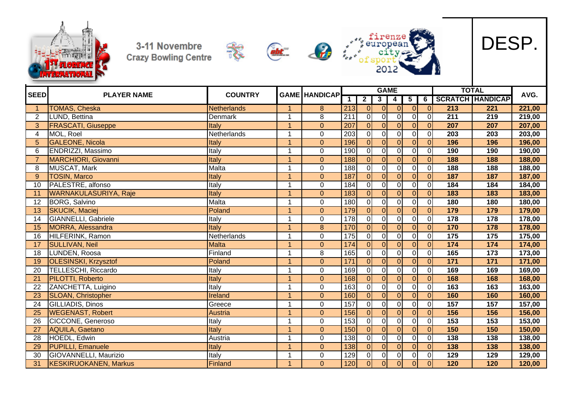











| <b>SEED</b>    |                              | <b>COUNTRY</b> |                      | <b>GAME HANDICAP</b> |                  |                  |                         | <b>GAME</b> |                |                |                  | <b>TOTAL</b>            |        |
|----------------|------------------------------|----------------|----------------------|----------------------|------------------|------------------|-------------------------|-------------|----------------|----------------|------------------|-------------------------|--------|
|                | <b>PLAYER NAME</b>           |                |                      |                      |                  | $\overline{2}$   | $\overline{\mathbf{3}}$ | 4           | 5              | 6              |                  | <b>SCRATCH HANDICAP</b> | AVG.   |
|                | <b>TOMAS, Cheska</b>         | Netherlands    |                      | 8                    | 213              | $\overline{0}$   | $\mathbf{0}$            | $\Omega$    | $\overline{0}$ | 0              | $\overline{213}$ | 221                     | 221,00 |
| $\overline{2}$ | LUND, Bettina                | Denmark        | 1                    | 8                    | 211              | $\overline{0}$   | $\overline{0}$          | $\Omega$    | $\overline{0}$ | $\overline{O}$ | $\overline{211}$ | 219                     | 219,00 |
| 3              | <b>FRASCATI, Giuseppe</b>    | Italy          | 1                    | $\overline{0}$       | 207              | $\overline{0}$   | $\Omega$                | $\Omega$    | οI             | 0              | 207              | 207                     | 207,00 |
| $\overline{4}$ | MOL, Roel                    | Netherlands    | 1                    | $\mathbf 0$          | $\overline{203}$ | $\overline{0}$   | $\overline{0}$          | $\Omega$    | $\overline{0}$ | $\overline{0}$ | $\overline{203}$ | 203                     | 203,00 |
| 5              | <b>GALEONE, Nicola</b>       | Italy          | $\overline{1}$       | $\overline{0}$       | 196              | $\mathbf{0}$     | $\Omega$                |             | $\Omega$       | $\overline{0}$ | 196              | 196                     | 196,00 |
| 6              | ENDRIZZI, Massimo            | Italy          | 1                    | $\mathbf 0$          | 190              | $\mathbf 0$      | $\overline{0}$          | $\Omega$    | $\overline{0}$ | $\overline{O}$ | 190              | 190                     | 190,00 |
|                | <b>MARCHIORI, Giovanni</b>   | Italy          | $\overline{1}$       | $\mathbf{0}$         | 188              | $\overline{0}$   | $\overline{0}$          |             | $\overline{0}$ | $\overline{0}$ | 188              | 188                     | 188,00 |
| 8              | <b>MUSCAT, Mark</b>          | Malta          | 1                    | $\mathbf 0$          | 188              | $\mathbf 0$      | $\overline{0}$          | $\Omega$    | οI             | $\mathbf 0$    | 188              | 188                     | 188,00 |
| 9              | <b>TOSIN, Marco</b>          | Italy          | $\overline{1}$       | $\mathbf 0$          | 187              | $\overline{0}$   | $\Omega$                | $\Omega$    | $\Omega$       | $\overline{0}$ | 187              | 187                     | 187,00 |
| 10             | PALESTRE, alfonso            | Italy          | 1                    | $\mathbf 0$          | 184              | $\overline{0}$   | $\overline{0}$          | $\Omega$    | 0l             | $\overline{0}$ | 184              | 184                     | 184,00 |
| 11             | <b>WARNAKULASURIYA, Raje</b> | Italy          | 1                    | $\overline{0}$       | 183              | $\overline{0}$   | $\overline{0}$          | $\Omega$    | $\Omega$       | $\overline{O}$ | 183              | 183                     | 183,00 |
| 12             | <b>BORG, Salvino</b>         | Malta          | 1                    | $\mathbf 0$          | 180              | $\overline{0}$   | $\overline{0}$          | $\Omega$    | οI             | $\overline{O}$ | 180              | 180                     | 180,00 |
| 13             | <b>SKUCIK, Maciej</b>        | Poland         | 1                    | $\overline{0}$       | 179              | $\mathbf 0$      | $\Omega$                | $\Omega$    | $\Omega$       | $\overline{O}$ | 179              | 179                     | 179,00 |
| 14             | GIANNELLI, Gabriele          | Italy          | 1                    | $\mathbf 0$          | 178              | $\mathbf 0$      | $\Omega$                |             | ٥l             | $\overline{O}$ | 178              | 178                     | 178,00 |
| 15             | <b>MORRA, Alessandra</b>     | Italy          | 1                    | $\boldsymbol{8}$     | 170              | $\overline{0}$   | $\overline{0}$          | $\Omega$    | $\overline{0}$ | $\overline{O}$ | 170              | 178                     | 178,00 |
| 16             | HILFERINK, Ramon             | Netherlands    | 1                    | $\pmb{0}$            | 175              | $\mathbf 0$      | $\Omega$                | $\Omega$    | $\Omega$       | $\overline{0}$ | 175              | 175                     | 175,00 |
| 17             | <b>SULLIVAN, Neil</b>        | <b>Malta</b>   | 1                    | $\mathbf{0}$         | 174              | $\overline{0}$   | $\overline{0}$          |             | $\overline{0}$ | $\overline{0}$ | 174              | 174                     | 174,00 |
| 18             | LUNDEN, Roosa                | Finland        | 1                    | 8                    | 165              | $\mathbf 0$      | $\overline{0}$          |             | οI             | $\overline{0}$ | 165              | $\overline{173}$        | 173,00 |
| 19             | <b>OLESINSKI, Krzysztof</b>  | Poland         | $\overline{ }$       | $\overline{0}$       | 171              | $\overline{0}$   | $\overline{0}$          | $\Omega$    | $\Omega$       | $\overline{O}$ | 171              | 171                     | 171,00 |
| 20             | TELLESCHI, Riccardo          | Italy          | 1                    | $\mathbf 0$          | 169              | $\mathbf 0$      | $\Omega$                |             | $\Omega$       | $\overline{0}$ | 169              | 169                     | 169,00 |
| 21             | PILOTTI, Roberto             | Italy          | 1                    | $\overline{0}$       | 168              | $\overline{0}$   | $\Omega$                |             | $\Omega$       | $\overline{0}$ | 168              | 168                     | 168,00 |
| 22             | ZANCHETTA, Luigino           | Italy          | 1                    | $\mathbf 0$          | 163              | $\mathbf 0$      | $\overline{0}$          |             | $\overline{0}$ | $\mathbf 0$    | 163              | 163                     | 163,00 |
| 23             | <b>SLOAN, Christopher</b>    | Ireland        | 1                    | $\overline{0}$       | 160              | $\overline{0}$   | $\overline{0}$          | $\Omega$    | $\overline{0}$ | $\overline{0}$ | 160              | 160                     | 160,00 |
| 24             | GILLIADIS, Dinos             | Greece         | 1                    | $\mathbf 0$          | 157              | $\overline{0}$   | 0                       |             | $\overline{0}$ | $\overline{0}$ | 157              | 157                     | 157,00 |
| 25             | <b>WEGENAST, Robert</b>      | <b>Austria</b> | 1                    | $\overline{0}$       | 156              | $\overline{0}$   | $\Omega$                | $\Omega$    | $\overline{0}$ | $\overline{0}$ | 156              | 156                     | 156,00 |
| 26             | CICCONE, Generoso            | Italy          | 1                    | $\mathbf 0$          | 153              | $\mathbf 0$      | $\mathbf 0$             | $\Omega$    | $\overline{0}$ | $\overline{O}$ | 153              | $\overline{153}$        | 153,00 |
| 27             | <b>AQUILA, Gaetano</b>       | Italy          | $\blacktriangleleft$ | $\mathbf{0}$         | 150              | $\Omega$         | $\Omega$                | $\Omega$    | $\Omega$       | $\overline{0}$ | 150              | 150                     | 150,00 |
| 28             | HOEDL, Edwin                 | Austria        | 1                    | $\mathbf 0$          | 138              | $\overline{0}$   | $\mathbf 0$             | $\Omega$    | $\overline{0}$ | $\overline{O}$ | 138              | 138                     | 138,00 |
| 29             | <b>PUPILLI, Emanuele</b>     | Italy          | $\overline{1}$       | $\overline{0}$       | 138              | $\overline{0}$   | $\Omega$                | $\Omega$    | $\overline{0}$ | $\overline{0}$ | 138              | 138                     | 138,00 |
| 30             | GIOVANNELLI, Maurizio        | Italy          | 1                    | $\mathbf 0$          | 129              | $\boldsymbol{0}$ | 0                       | $\Omega$    | $\overline{0}$ | $\overline{O}$ | 129              | 129                     | 129,00 |
| 31             | <b>KESKIRUOKANEN, Markus</b> | Finland        | $\blacktriangleleft$ | $\overline{0}$       | 120              | $\overline{0}$   | $\overline{0}$          | 0           | 0              | 0 <sup>l</sup> | 120              | 120                     | 120,00 |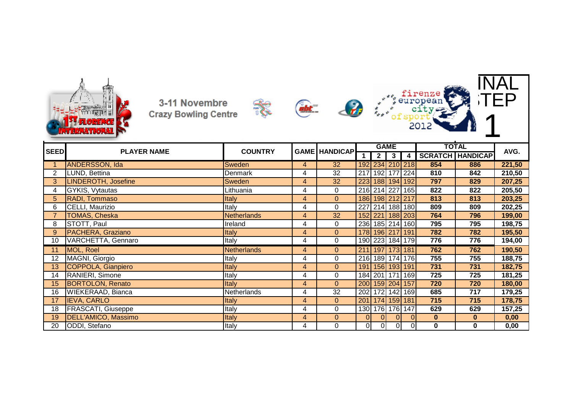





家



ofs



| <b>SEED</b> | <b>PLAYER NAME</b>        | <b>COUNTRY</b> |                | <b>GAME HANDICAP</b> |    |              | <b>GAME</b>           |   |              | TOTAL                   | AVG.   |
|-------------|---------------------------|----------------|----------------|----------------------|----|--------------|-----------------------|---|--------------|-------------------------|--------|
|             |                           |                |                |                      |    | $\mathbf{2}$ | 3                     | 4 |              | <b>SCRATCH HANDICAP</b> |        |
|             | <b>ANDERSSON, Ida</b>     | <b>Sweden</b>  | 4              | 32                   |    |              | 192 234 210 218       |   | 854          | 886                     | 221,50 |
| 2           | LUND, Bettina             | Denmark        | 4              | 32                   |    |              | 217 192 177 224       |   | 810          | 842                     | 210,50 |
|             | LINDEROTH, Josefine       | <b>Sweden</b>  | 4              | 32                   |    |              | 223 188 194 192       |   | 797          | 829                     | 207,25 |
| 4           | GYKIS, Vytautas           | Lithuania      | 4              | 0                    |    |              | 216 214 227 165       |   | 822          | 822                     | 205,50 |
| 5           | RADI, Tommaso             | Italy          | 4              | $\overline{0}$       |    |              | 186 198 212 217       |   | 813          | 813                     | 203,25 |
| 6           | CELLI, Maurizio           | Italy          | 4              | 0                    |    |              | 227 214 188 180       |   | 809          | 809                     | 202,25 |
|             | TOMAS, Cheska             | Netherlands    | 4              | 32                   |    |              | 152 221 188 203       |   | 764          | 796                     | 199,00 |
| 8           | STOTT, Paul               | Ireland        | 4              | 0                    |    |              | 236 185 214 160       |   | 795          | 795                     | 198,75 |
| 9           | PACHERA, Graziano         | <b>Italy</b>   | 4              | $\overline{0}$       |    |              | 178 196 217 191       |   | 782          | 782                     | 195,50 |
| 10          | VARCHETTA, Gennaro        | Italy          | 4              | 0                    |    |              | 190 223 184 179       |   | 776          | 776                     | 194,00 |
| 11          | MOL, Roel                 | Netherlands    | 4              | $\overline{0}$       |    |              | 211 197 173 181       |   | 762          | 762                     | 190,50 |
| 12          | MAGNI, Giorgio            | Italy          | 4              | 0                    |    |              | 216 189 174 176       |   | 755          | 755                     | 188,75 |
| 13          | COPPOLA, Gianpiero        | <b>Italy</b>   | 4              | $\overline{0}$       |    |              | 191 156 193 191       |   | 731          | 731                     | 182,75 |
| 14          | RANIERI, Simone           | Italy          | 4              | 0                    |    |              | 184 201 171 169       |   | 725          | 725                     | 181,25 |
| 15          | <b>BORTOLON, Renato</b>   | Italy          | $\overline{4}$ | $\overline{0}$       |    |              | 200 159 204 157       |   | 720          | 720                     | 180,00 |
| 16          | <b>WIEKERAAD, Bianca</b>  | Netherlands    | 4              | 32                   |    |              | 202 172 142 169       |   | 685          | 717                     | 179,25 |
| 17          | <b>IEVA, CARLO</b>        | <b>Italy</b>   | 4              | $\mathbf{0}$         |    |              | 201   174   159   181 |   | 715          | 715                     | 178,75 |
| 18          | <b>FRASCATI, Giuseppe</b> | Italy          | 4              | 0                    |    |              | 130 176 176 147       |   | 629          | 629                     | 157,25 |
| 19          | DELL'AMICO, Massimo       | <b>Italy</b>   | 4              | $\overline{0}$       | 01 | $\Omega$     |                       |   | $\mathbf{0}$ | $\mathbf{0}$            | 0,00   |
| 20          | ODDI, Stefano             | Italy          | 4              | 0                    | 01 | 0            | οI                    |   | $\mathbf 0$  | 0                       | 0,00   |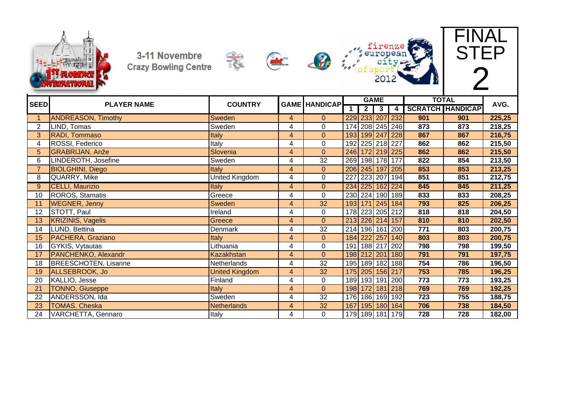











| <b>SEED</b>           | <b>PLAYER NAME</b>          | <b>COUNTRY</b>        | <b>GAME HANDICAP</b>    |                |                  |                | <b>GAME</b>     |     |     | <b>TOTAL</b>            | AVG.   |
|-----------------------|-----------------------------|-----------------------|-------------------------|----------------|------------------|----------------|-----------------|-----|-----|-------------------------|--------|
|                       |                             |                       |                         |                |                  | 2 <sub>1</sub> | $\mathbf{3}$    | 4   |     | <b>SCRATCH HANDICAP</b> |        |
|                       | <b>ANDREASON, Timothy</b>   | <b>Sweden</b>         | $\overline{4}$          | $\overline{0}$ |                  |                | 229 233 207 232 |     | 901 | 901                     | 225,25 |
| $\mathbf{2}^{\prime}$ | LIND, Tomas                 | Sweden                | 4                       | 0              |                  |                | 174 208 245 246 |     | 873 | 873                     | 218,25 |
| 3                     | RADI, Tommaso               | Italy                 | 4                       | $\overline{0}$ |                  |                | 193 199 247 228 |     | 867 | 867                     | 216,75 |
| 4                     | ROSSI, Federico             | Italy                 | 4                       | $\mathbf 0$    |                  |                | 192 225 218 227 |     | 862 | 862                     | 215,50 |
| 5                     | <b>GRABRIJAN, Anže</b>      | Slovenia              | 4                       | $\overline{0}$ |                  |                | 246 172 219 225 |     | 862 | 862                     | 215,50 |
| 6                     | LINDEROTH, Josefine         | Sweden                | 4                       | 32             |                  |                | 269 198 178 177 |     | 822 | 854                     | 213,50 |
| $\overline{7}$        | <b>BIOLGHINI, Diego</b>     | Italy                 | 4                       | $\overline{0}$ |                  |                | 206 245 197 205 |     | 853 | 853                     | 213,25 |
| 8                     | QUARRY, Mike                | <b>United Kingdom</b> | 4                       | 0              |                  |                | 227 223 207 194 |     | 851 | 851                     | 212,75 |
| 9                     | <b>CELLI, Maurizio</b>      | <b>Italy</b>          | 4                       | $\overline{0}$ |                  |                | 234 225 162 224 |     | 845 | 845                     | 211,25 |
| 10                    | <b>ROROS, Stamatis</b>      | Greece                | 4                       | $\mathbf 0$    |                  |                | 230 224 190 189 |     | 833 | 833                     | 208,25 |
| 11                    | <b>WEGNER, Jenny</b>        | <b>Sweden</b>         | $\overline{\mathbf{4}}$ | 32             |                  |                | 193 171 245 184 |     | 793 | 825                     | 206,25 |
| 12                    | STOTT, Paul                 | Ireland               | 4                       | 0              |                  |                | 178 223 205 212 |     | 818 | 818                     | 204,50 |
| 13                    | <b>KRIZINIS, Vagelis</b>    | Greece                | 4                       | $\mathbf 0$    |                  |                | 213 226 214 157 |     | 810 | 810                     | 202,50 |
| 14                    | LUND, Bettina               | Denmark               | $\overline{\mathbf{4}}$ | 32             |                  |                | 214 196 161 200 |     | 771 | 803                     | 200,75 |
| 15                    | PACHERA, Graziano           | <b>Italy</b>          | $\overline{\mathbf{4}}$ | $\overline{0}$ |                  |                | 184 222 257 140 |     | 803 | 803                     | 200,75 |
| 16                    | GYKIS, Vytautas             | Lithuania             | 4                       | $\mathbf 0$    |                  |                | 191 188 217     | 202 | 798 | 798                     | 199,50 |
| 17                    | PANCHENKO, Alexandr         | Kazakhstan            | 4                       | $\Omega$       |                  |                | 198 212 201 180 |     | 791 | 791                     | 197,75 |
| 18                    | <b>BREESCHOTEN, Lisanne</b> | Netherlands           | 4                       | 32             |                  |                | 195 189 182 188 |     | 754 | 786                     | 196,50 |
| 19                    | ALLSEBROOK, Jo              | <b>United Kingdom</b> | 4                       | 32             |                  |                | 175 205 156 217 |     | 753 | 785                     | 196,25 |
| 20                    | KALLIO, Jesse               | Finland               | 4                       | 0              |                  |                | 189 193 191 200 |     | 773 | 773                     | 193,25 |
| 21                    | <b>TONNO, Giuseppe</b>      | Italy                 | 4                       | $\mathbf{0}$   | 198              |                | 172 181         | 218 | 769 | 769                     | 192,25 |
| 22                    | ANDERSSON, Ida              | Sweden                | $\overline{\mathbf{4}}$ | 32             | 176 <sup> </sup> |                | 186 169 192     |     | 723 | 755                     | 188,75 |
| 23                    | <b>TOMAS, Cheska</b>        | Netherlands           | 4                       | 32             |                  |                | 167 195 180 164 |     | 706 | 738                     | 184,50 |
| 24                    | VARCHETTA, Gennaro          | Italy                 | 4                       | $\Omega$       |                  |                | 179 189 181 179 |     | 728 | 728                     | 182,00 |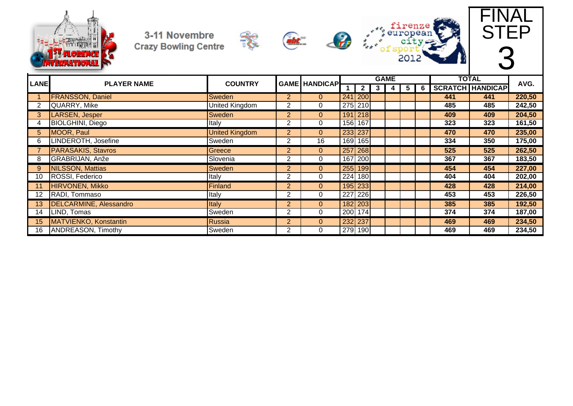



 $\frac{1}{2}$ 







| <b>LANE</b> |                               |                       |                | <b>GAME HANDICAP</b> |                      |   | <b>GAME</b> |   |   | <b>TOTAL</b> | AVG.                    |        |
|-------------|-------------------------------|-----------------------|----------------|----------------------|----------------------|---|-------------|---|---|--------------|-------------------------|--------|
|             | <b>PLAYER NAME</b>            | <b>COUNTRY</b>        |                |                      | 2 <sub>1</sub>       | 3 | 4           | 5 | 6 |              | <b>SCRATCH HANDICAP</b> |        |
|             | <b>FRANSSON, Daniel</b>       | <b>Sweden</b>         | $\overline{2}$ | 0                    | 241 200              |   |             |   |   | 441          | 441                     | 220,50 |
|             | QUARRY, Mike                  | United Kingdom        | 2              | 0                    | 275 210              |   |             |   |   | 485          | 485                     | 242,50 |
| 3           | LARSEN, Jesper                | Sweden                | $\overline{2}$ | $\overline{0}$       | 191 218              |   |             |   |   | 409          | 409                     | 204,50 |
|             | <b>BIOLGHINI</b> , Diego      | Italy                 | 2              | 0                    | 156 167              |   |             |   |   | 323          | 323                     | 161,50 |
| 5.          | MOOR, Paul                    | <b>United Kingdom</b> | $\overline{2}$ | $\overline{0}$       | 233 237              |   |             |   |   | 470          | 470                     | 235,00 |
| 6           | LINDEROTH, Josefine           | Sweden                | $\overline{2}$ | 16                   | 169 165              |   |             |   |   | 334          | 350                     | 175,00 |
|             | <b>PARASAKIS, Stavros</b>     | Greece                | $\overline{2}$ | $\overline{0}$       | 257 268              |   |             |   |   | 525          | 525                     | 262,50 |
| 8           | GRABRIJAN, Anže               | Slovenia              | 2              | 0                    | 167 200              |   |             |   |   | 367          | 367                     | 183,50 |
| 9           | <b>NILSSON, Mattias</b>       | Sweden                | $\overline{2}$ | $\overline{0}$       | 255 199              |   |             |   |   | 454          | 454                     | 227,00 |
| 10          | ROSSI, Federico               | Italy                 | 2              | 0                    | 224 180              |   |             |   |   | 404          | 404                     | 202,00 |
|             | <b>HIRVONEN, Mikko</b>        | Finland               | $\overline{2}$ | $\mathbf{0}$         | 195 233              |   |             |   |   | 428          | 428                     | 214,00 |
| 12          | RADI, Tommaso                 | Italy                 | 2              | 0                    | 227 226              |   |             |   |   | 453          | 453                     | 226,50 |
| 13          | <b>DELCARMINE, Alessandro</b> | <b>Italy</b>          | $\overline{2}$ | $\mathbf{0}$         | 182 203              |   |             |   |   | 385          | 385                     | 192,50 |
| 14          | LIND, Tomas                   | Sweden                | 2              | 0                    | $\overline{200}$ 174 |   |             |   |   | 374          | 374                     | 187,00 |
| 15          | MATVIENKO, Konstantin         | Russia                | $\overline{2}$ | $\overline{0}$       | 232 237              |   |             |   |   | 469          | 469                     | 234,50 |
| 16          | <b>ANDREASON, Timothy</b>     | Sweden                | $\overline{2}$ | 0                    | 279 190              |   |             |   |   | 469          | 469                     | 234,50 |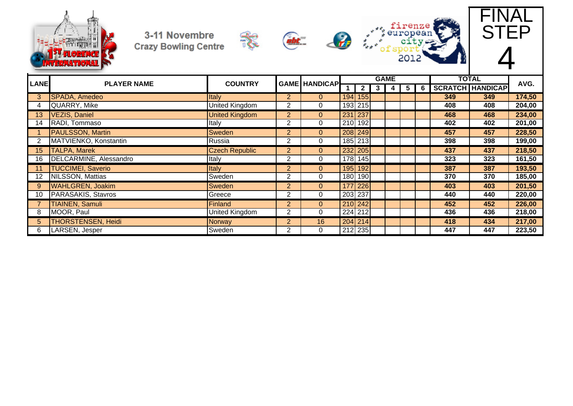



 $\frac{1}{2}$ 







| <b>LANE</b> | <b>PLAYER NAME</b>        |                       |                |                | <b>GAME HANDICAP</b> |  | <b>GAME</b> |                |     | <b>TOTAL</b>            | AVG.   |
|-------------|---------------------------|-----------------------|----------------|----------------|----------------------|--|-------------|----------------|-----|-------------------------|--------|
|             |                           | <b>COUNTRY</b>        |                |                |                      |  | 5           | 6 <sub>o</sub> |     | <b>SCRATCH HANDICAP</b> |        |
| 3           | <b>SPADA, Amedeo</b>      | Italy                 | $\overline{2}$ | $\Omega$       | 194 155              |  |             |                | 349 | 349                     | 174,50 |
|             | QUARRY, Mike              | United Kingdom        | $\overline{2}$ | 0              | 193 215              |  |             |                | 408 | 408                     | 204,00 |
| 13          | <b>VEZIS, Daniel</b>      | <b>United Kingdom</b> | $\overline{2}$ | $\overline{0}$ | 231 237              |  |             |                | 468 | 468                     | 234,00 |
| 14          | RADI, Tommaso             | Italy                 | $\overline{2}$ | 0              | 210 192              |  |             |                | 402 | 402                     | 201,00 |
|             | <b>PAULSSON, Martin</b>   | <b>Sweden</b>         | $\overline{2}$ | $\mathbf{0}$   | 208 249              |  |             |                | 457 | 457                     | 228,50 |
|             | MATVIENKO, Konstantin     | Russia                | $\overline{2}$ | 0              | 185 213              |  |             |                | 398 | 398                     | 199,00 |
| 15          | <b>TALPA, Marek</b>       | <b>Czech Republic</b> | $\overline{2}$ | $\overline{0}$ | 232 205              |  |             |                | 437 | 437                     | 218,50 |
| 16          | DELCARMINE, Alessandro    | Italy                 | $\overline{2}$ | 0              | 178 145              |  |             |                | 323 | 323                     | 161,50 |
|             | <b>TUCCIMEI, Saverio</b>  | <b>Italy</b>          | $\overline{2}$ | $\Omega$       | 195 192              |  |             |                | 387 | 387                     | 193,50 |
| 12          | <b>NILSSON, Mattias</b>   | Sweden                | $\overline{2}$ | 0              | 180 190              |  |             |                | 370 | 370                     | 185,00 |
| 9           | <b>WAHLGREN, Joakim</b>   | <b>Sweden</b>         | $\overline{2}$ | $\mathbf{0}$   | 177 226              |  |             |                | 403 | 403                     | 201,50 |
| 10          | PARASAKIS, Stavros        | Greece                | 2              | 0              | 203 237              |  |             |                | 440 | 440                     | 220,00 |
|             | <b>TIAINEN, Samuli</b>    | Finland               | $\overline{2}$ | $\overline{0}$ | 210 242              |  |             |                | 452 | 452                     | 226,00 |
| 8           | MOOR, Paul                | <b>United Kingdom</b> | $\overline{2}$ | 0              | 224 212              |  |             |                | 436 | 436                     | 218,00 |
| 5.          | <b>THORSTENSEN, Heidi</b> | Norway                | $\overline{2}$ | 16             | $204$ 214            |  |             |                | 418 | 434                     | 217,00 |
| 6           | LARSEN, Jesper            | Sweden                | $\overline{2}$ | 0              | 212 235              |  |             |                | 447 | 447                     | 223,50 |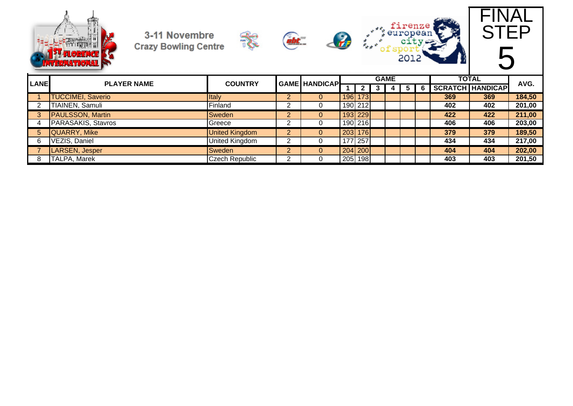









| <b>LANE</b> | <b>PLAYER NAME</b>       | <b>GAME HANDICAPL</b><br><b>COUNTRY</b> |            |   |         | <b>GAME</b> |  | <b>TOTAL</b> | AVG. |                         |        |
|-------------|--------------------------|-----------------------------------------|------------|---|---------|-------------|--|--------------|------|-------------------------|--------|
|             |                          |                                         |            |   |         |             |  |              |      | <b>SCRATCH HANDICAP</b> |        |
|             | <b>TUCCIMEI, Saverio</b> | Italy                                   | ◠<br>∠     |   |         | 196 173     |  |              | 369  | 369                     | 184,50 |
|             | <b>TIAINEN, Samuli</b>   | Finland                                 |            |   |         | 190 212     |  |              | 402  | 402                     | 201,00 |
|             | <b>PAULSSON, Martin</b>  | Sweden                                  | ⌒<br>∠     |   |         | 193 229     |  |              | 422  | 422                     | 211,00 |
|             | PARASAKIS, Stavros       | Greece                                  | $\sqrt{2}$ |   |         | 190 216     |  |              | 406  | 406                     | 203,00 |
| 5.          | QUARRY, Mike             | <b>United Kingdom</b>                   | റ          |   | 203 176 |             |  |              | 379  | 379                     | 189,50 |
|             | VEZIS, Daniel            | United Kingdom                          |            |   |         | 177 257     |  |              | 434  | 434                     | 217,00 |
|             | <b>LARSEN, Jesper</b>    | Sweden                                  |            | 0 | 204 200 |             |  |              | 404  | 404                     | 202,00 |
|             | <b>TALPA, Marek</b>      | <b>Czech Republic</b>                   | ົ          |   | 205 198 |             |  |              | 403  | 403                     | 201,50 |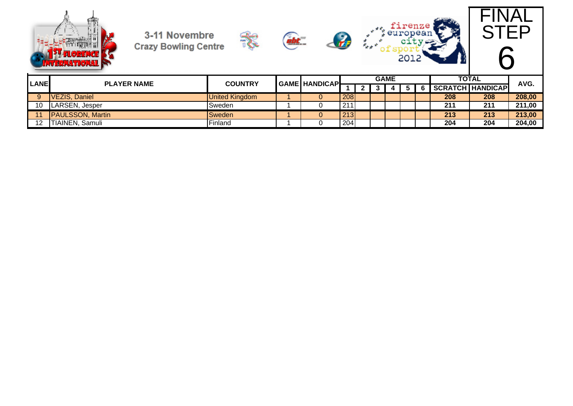











| <b>LANE</b> | <b>PLAYER NAME</b>       | <b>COUNTRY</b>        | <b>GAME HANDICAPL</b> |     |  | <b>GAME</b> |  | <b>TOTAL</b> | AVG.                    |        |
|-------------|--------------------------|-----------------------|-----------------------|-----|--|-------------|--|--------------|-------------------------|--------|
|             |                          |                       |                       |     |  |             |  |              | <b>SCRATCH HANDICAP</b> |        |
|             | <b>VEZIS, Daniel</b>     | <b>United Kingdom</b> |                       | 208 |  |             |  | 208          | 208                     | 208,00 |
|             | LARSEN, Jesper           | Sweden                |                       | 211 |  |             |  | 211          | 211                     | 211,00 |
|             | <b>IPAULSSON, Martin</b> | Sweden                |                       | 213 |  |             |  | 213          | 213                     | 213,00 |
| 10          | TIAINEN, Samuli          | Finland               |                       | 204 |  |             |  | 204          | 204                     | 204,00 |